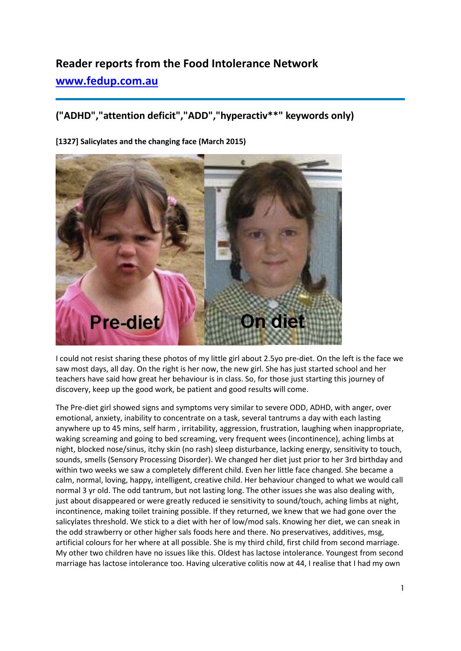# **Reader reports from the Food Intolerance Network [www.fedup.com.au](http://www.fedup.com.au/)**

## **("ADHD","attention deficit","ADD","hyperactiv\*\*" keywords only)**

**[1327] Salicylates and the changing face (March 2015)** 



I could not resist sharing these photos of my little girl about 2.5yo pre-diet. On the left is the face we saw most days, all day. On the right is her now, the new girl. She has just started school and her teachers have said how great her behaviour is in class. So, for those just starting this journey of discovery, keep up the good work, be patient and good results will come.

The Pre-diet girl showed signs and symptoms very similar to severe ODD, ADHD, with anger, over emotional, anxiety, inability to concentrate on a task, several tantrums a day with each lasting anywhere up to 45 mins, self harm , irritability, aggression, frustration, laughing when inappropriate, waking screaming and going to bed screaming, very frequent wees (incontinence), aching limbs at night, blocked nose/sinus, itchy skin (no rash) sleep disturbance, lacking energy, sensitivity to touch, sounds, smells (Sensory Processing Disorder). We changed her diet just prior to her 3rd birthday and within two weeks we saw a completely different child. Even her little face changed. She became a calm, normal, loving, happy, intelligent, creative child. Her behaviour changed to what we would call normal 3 yr old. The odd tantrum, but not lasting long. The other issues she was also dealing with, just about disappeared or were greatly reduced ie sensitivity to sound/touch, aching limbs at night, incontinence, making toilet training possible. If they returned, we knew that we had gone over the salicylates threshold. We stick to a diet with her of low/mod sals. Knowing her diet, we can sneak in the odd strawberry or other higher sals foods here and there. No preservatives, additives, msg, artificial colours for her where at all possible. She is my third child, first child from second marriage. My other two children have no issues like this. Oldest has lactose intolerance. Youngest from second marriage has lactose intolerance too. Having ulcerative colitis now at 44, I realise that I had my own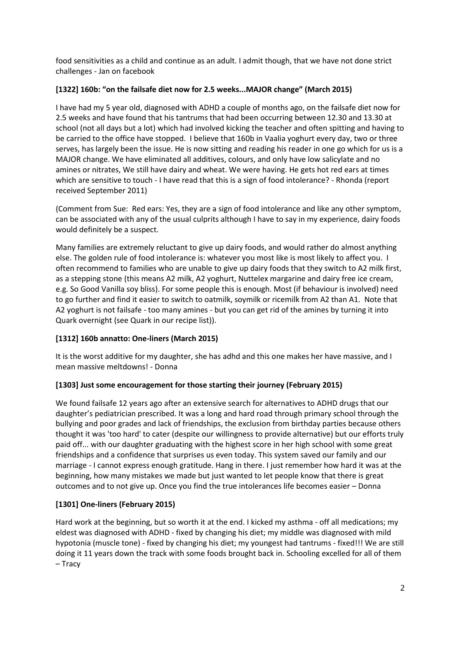food sensitivities as a child and continue as an adult. I admit though, that we have not done strict challenges - Jan on facebook

#### **[1322] 160b: "on the failsafe diet now for 2.5 weeks...MAJOR change" (March 2015)**

I have had my 5 year old, diagnosed with ADHD a couple of months ago, on the failsafe diet now for 2.5 weeks and have found that his tantrums that had been occurring between 12.30 and 13.30 at school (not all days but a lot) which had involved kicking the teacher and often spitting and having to be carried to the office have stopped. I believe that 160b in Vaalia yoghurt every day, two or three serves, has largely been the issue. He is now sitting and reading his reader in one go which for us is a MAJOR change. We have eliminated all additives, colours, and only have low salicylate and no amines or nitrates, We still have dairy and wheat. We were having. He gets hot red ears at times which are sensitive to touch - I have read that this is a sign of food intolerance? - Rhonda (report received September 2011)

(Comment from Sue: Red ears: Yes, they are a sign of food intolerance and like any other symptom, can be associated with any of the usual culprits although I have to say in my experience, dairy foods would definitely be a suspect.

Many families are extremely reluctant to give up dairy foods, and would rather do almost anything else. The golden rule of food intolerance is: whatever you most like is most likely to affect you. I often recommend to families who are unable to give up dairy foods that they switch to A2 milk first, as a stepping stone (this means A2 milk, A2 yoghurt, Nuttelex margarine and dairy free ice cream, e.g. So Good Vanilla soy bliss). For some people this is enough. Most (if behaviour is involved) need to go further and find it easier to switch to oatmilk, soymilk or ricemilk from A2 than A1. Note that A2 yoghurt is not failsafe - too many amines - but you can get rid of the amines by turning it into Quark overnight (see Quark in our recipe list)).

## **[1312] 160b annatto: One-liners (March 2015)**

It is the worst additive for my daughter, she has adhd and this one makes her have massive, and I mean massive meltdowns! - Donna

#### **[1303] Just some encouragement for those starting their journey (February 2015)**

We found failsafe 12 years ago after an extensive search for alternatives to ADHD drugs that our daughter's pediatrician prescribed. It was a long and hard road through primary school through the bullying and poor grades and lack of friendships, the exclusion from birthday parties because others thought it was 'too hard' to cater (despite our willingness to provide alternative) but our efforts truly paid off... with our daughter graduating with the highest score in her high school with some great friendships and a confidence that surprises us even today. This system saved our family and our marriage - I cannot express enough gratitude. Hang in there. I just remember how hard it was at the beginning, how many mistakes we made but just wanted to let people know that there is great outcomes and to not give up. Once you find the true intolerances life becomes easier – Donna

## **[1301] One-liners (February 2015)**

Hard work at the beginning, but so worth it at the end. I kicked my asthma - off all medications; my eldest was diagnosed with ADHD - fixed by changing his diet; my middle was diagnosed with mild hypotonia (muscle tone) - fixed by changing his diet; my youngest had tantrums - fixed!!! We are still doing it 11 years down the track with some foods brought back in. Schooling excelled for all of them – Tracy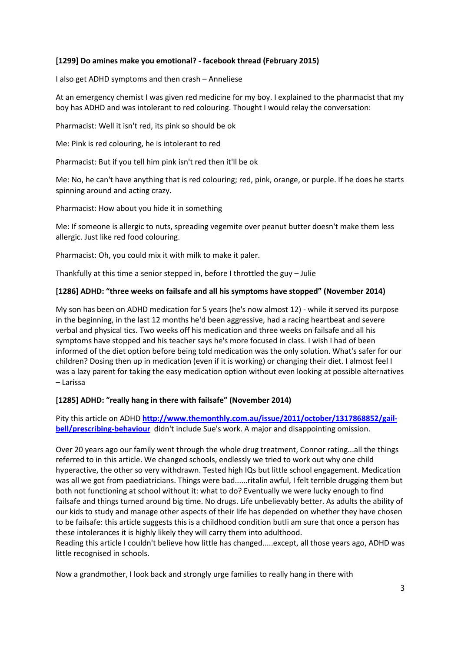#### **[1299] Do amines make you emotional? - facebook thread (February 2015)**

I also get ADHD symptoms and then crash – Anneliese

At an emergency chemist I was given red medicine for my boy. I explained to the pharmacist that my boy has ADHD and was intolerant to red colouring. Thought I would relay the conversation:

Pharmacist: Well it isn't red, its pink so should be ok

Me: Pink is red colouring, he is intolerant to red

Pharmacist: But if you tell him pink isn't red then it'll be ok

Me: No, he can't have anything that is red colouring; red, pink, orange, or purple. If he does he starts spinning around and acting crazy.

Pharmacist: How about you hide it in something

Me: If someone is allergic to nuts, spreading vegemite over peanut butter doesn't make them less allergic. Just like red food colouring.

Pharmacist: Oh, you could mix it with milk to make it paler.

Thankfully at this time a senior stepped in, before I throttled the guy – Julie

#### **[1286] ADHD: "three weeks on failsafe and all his symptoms have stopped" (November 2014)**

My son has been on ADHD medication for 5 years (he's now almost 12) - while it served its purpose in the beginning, in the last 12 months he'd been aggressive, had a racing heartbeat and severe verbal and physical tics. Two weeks off his medication and three weeks on failsafe and all his symptoms have stopped and his teacher says he's more focused in class. I wish I had of been informed of the diet option before being told medication was the only solution. What's safer for our children? Dosing then up in medication (even if it is working) or changing their diet. I almost feel I was a lazy parent for taking the easy medication option without even looking at possible alternatives – Larissa

#### **[1285] ADHD: "really hang in there with failsafe" (November 2014)**

Pity this article on ADHD **[http://www.themonthly.com.au/issue/2011/october/1317868852/gail](http://www.themonthly.com.au/issue/2011/october/1317868852/gail-bell/prescribing-behaviour)[bell/prescribing-behaviour](http://www.themonthly.com.au/issue/2011/october/1317868852/gail-bell/prescribing-behaviour)** didn't include Sue's work. A major and disappointing omission.

Over 20 years ago our family went through the whole drug treatment, Connor rating...all the things referred to in this article. We changed schools, endlessly we tried to work out why one child hyperactive, the other so very withdrawn. Tested high IQs but little school engagement. Medication was all we got from paediatricians. Things were bad......ritalin awful, I felt terrible drugging them but both not functioning at school without it: what to do? Eventually we were lucky enough to find failsafe and things turned around big time. No drugs. Life unbelievably better. As adults the ability of our kids to study and manage other aspects of their life has depended on whether they have chosen to be failsafe: this article suggests this is a childhood condition butli am sure that once a person has these intolerances it is highly likely they will carry them into adulthood.

Reading this article I couldn't believe how little has changed.....except, all those years ago, ADHD was little recognised in schools.

Now a grandmother, I look back and strongly urge families to really hang in there with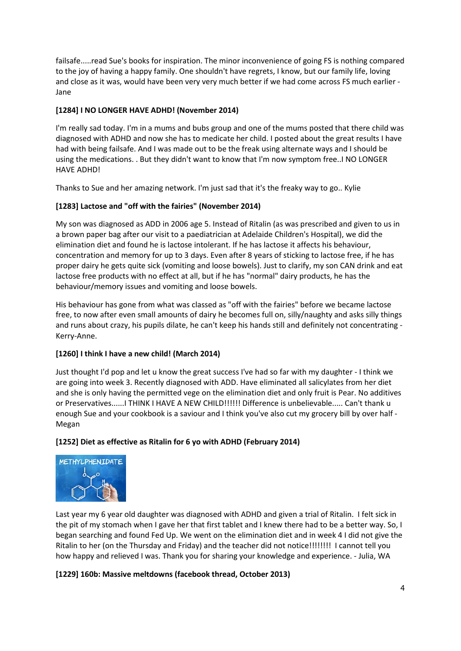failsafe.....read Sue's books for inspiration. The minor inconvenience of going FS is nothing compared to the joy of having a happy family. One shouldn't have regrets, I know, but our family life, loving and close as it was, would have been very very much better if we had come across FS much earlier - Jane

## **[1284] I NO LONGER HAVE ADHD! (November 2014)**

I'm really sad today. I'm in a mums and bubs group and one of the mums posted that there child was diagnosed with ADHD and now she has to medicate her child. I posted about the great results I have had with being failsafe. And I was made out to be the freak using alternate ways and I should be using the medications. . But they didn't want to know that I'm now symptom free..I NO LONGER HAVE ADHD!

Thanks to Sue and her amazing network. I'm just sad that it's the freaky way to go.. Kylie

#### **[1283] Lactose and "off with the fairies" (November 2014)**

My son was diagnosed as ADD in 2006 age 5. Instead of Ritalin (as was prescribed and given to us in a brown paper bag after our visit to a paediatrician at Adelaide Children's Hospital), we did the elimination diet and found he is lactose intolerant. If he has lactose it affects his behaviour, concentration and memory for up to 3 days. Even after 8 years of sticking to lactose free, if he has proper dairy he gets quite sick (vomiting and loose bowels). Just to clarify, my son CAN drink and eat lactose free products with no effect at all, but if he has "normal" dairy products, he has the behaviour/memory issues and vomiting and loose bowels.

His behaviour has gone from what was classed as "off with the fairies" before we became lactose free, to now after even small amounts of dairy he becomes full on, silly/naughty and asks silly things and runs about crazy, his pupils dilate, he can't keep his hands still and definitely not concentrating - Kerry-Anne.

#### **[1260] I think I have a new child! (March 2014)**

Just thought I'd pop and let u know the great success I've had so far with my daughter - I think we are going into week 3. Recently diagnosed with ADD. Have eliminated all salicylates from her diet and she is only having the permitted vege on the elimination diet and only fruit is Pear. No additives or Preservatives......I THINK I HAVE A NEW CHILD!!!!!! Difference is unbelievable..... Can't thank u enough Sue and your cookbook is a saviour and I think you've also cut my grocery bill by over half - Megan

#### **[1252] Diet as effective as Ritalin for 6 yo with ADHD (February 2014)**



Last year my 6 year old daughter was diagnosed with ADHD and given a trial of Ritalin. I felt sick in the pit of my stomach when I gave her that first tablet and I knew there had to be a better way. So, I began searching and found Fed Up. We went on the elimination diet and in week 4 I did not give the Ritalin to her (on the Thursday and Friday) and the teacher did not notice!!!!!!!! I cannot tell you how happy and relieved I was. Thank you for sharing your knowledge and experience. - Julia, WA

#### **[1229] 160b: Massive meltdowns (facebook thread, October 2013)**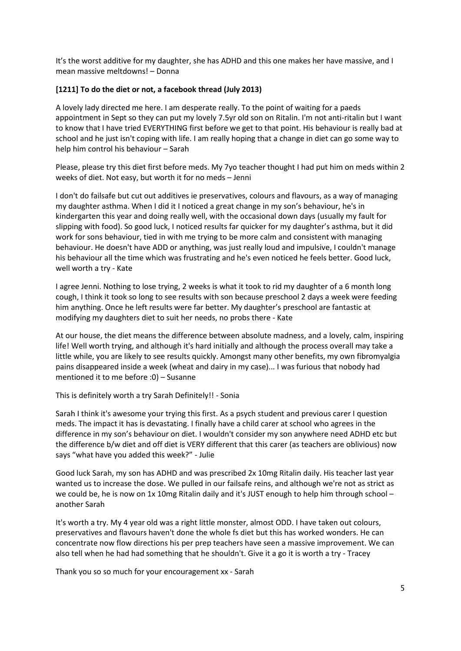It's the worst additive for my daughter, she has ADHD and this one makes her have massive, and I mean massive meltdowns! – Donna

#### **[1211] To do the diet or not, a facebook thread (July 2013)**

A lovely lady directed me here. I am desperate really. To the point of waiting for a paeds appointment in Sept so they can put my lovely 7.5yr old son on Ritalin. I'm not anti-ritalin but I want to know that I have tried EVERYTHING first before we get to that point. His behaviour is really bad at school and he just isn't coping with life. I am really hoping that a change in diet can go some way to help him control his behaviour – Sarah

Please, please try this diet first before meds. My 7yo teacher thought I had put him on meds within 2 weeks of diet. Not easy, but worth it for no meds – Jenni

I don't do failsafe but cut out additives ie preservatives, colours and flavours, as a way of managing my daughter asthma. When I did it I noticed a great change in my son's behaviour, he's in kindergarten this year and doing really well, with the occasional down days (usually my fault for slipping with food). So good luck, I noticed results far quicker for my daughter's asthma, but it did work for sons behaviour, tied in with me trying to be more calm and consistent with managing behaviour. He doesn't have ADD or anything, was just really loud and impulsive, I couldn't manage his behaviour all the time which was frustrating and he's even noticed he feels better. Good luck, well worth a try - Kate

I agree Jenni. Nothing to lose trying, 2 weeks is what it took to rid my daughter of a 6 month long cough, I think it took so long to see results with son because preschool 2 days a week were feeding him anything. Once he left results were far better. My daughter's preschool are fantastic at modifying my daughters diet to suit her needs, no probs there - Kate

At our house, the diet means the difference between absolute madness, and a lovely, calm, inspiring life! Well worth trying, and although it's hard initially and although the process overall may take a little while, you are likely to see results quickly. Amongst many other benefits, my own fibromyalgia pains disappeared inside a week (wheat and dairy in my case)... I was furious that nobody had mentioned it to me before :0) – Susanne

This is definitely worth a try Sarah Definitely!! - Sonia

Sarah I think it's awesome your trying this first. As a psych student and previous carer I question meds. The impact it has is devastating. I finally have a child carer at school who agrees in the difference in my son's behaviour on diet. I wouldn't consider my son anywhere need ADHD etc but the difference b/w diet and off diet is VERY different that this carer (as teachers are oblivious) now says "what have you added this week?" - Julie

Good luck Sarah, my son has ADHD and was prescribed 2x 10mg Ritalin daily. His teacher last year wanted us to increase the dose. We pulled in our failsafe reins, and although we're not as strict as we could be, he is now on 1x 10mg Ritalin daily and it's JUST enough to help him through school another Sarah

It's worth a try. My 4 year old was a right little monster, almost ODD. I have taken out colours, preservatives and flavours haven't done the whole fs diet but this has worked wonders. He can concentrate now flow directions his per prep teachers have seen a massive improvement. We can also tell when he had had something that he shouldn't. Give it a go it is worth a try - Tracey

Thank you so so much for your encouragement xx - Sarah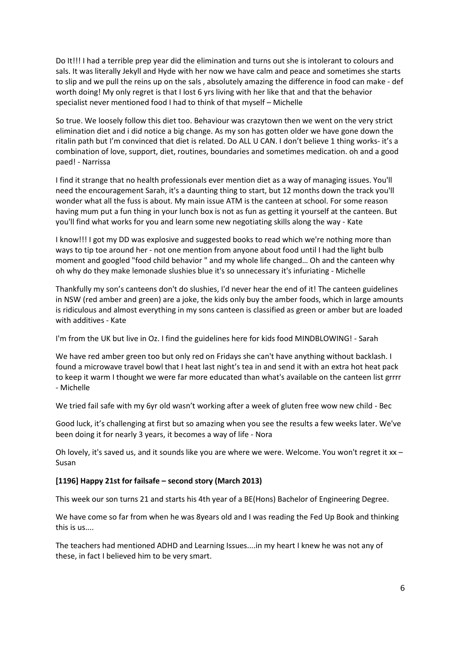Do It!!! I had a terrible prep year did the elimination and turns out she is intolerant to colours and sals. It was literally Jekyll and Hyde with her now we have calm and peace and sometimes she starts to slip and we pull the reins up on the sals , absolutely amazing the difference in food can make - def worth doing! My only regret is that I lost 6 yrs living with her like that and that the behavior specialist never mentioned food I had to think of that myself – Michelle

So true. We loosely follow this diet too. Behaviour was crazytown then we went on the very strict elimination diet and i did notice a big change. As my son has gotten older we have gone down the ritalin path but I'm convinced that diet is related. Do ALL U CAN. I don't believe 1 thing works- it's a combination of love, support, diet, routines, boundaries and sometimes medication. oh and a good paed! - Narrissa

I find it strange that no health professionals ever mention diet as a way of managing issues. You'll need the encouragement Sarah, it's a daunting thing to start, but 12 months down the track you'll wonder what all the fuss is about. My main issue ATM is the canteen at school. For some reason having mum put a fun thing in your lunch box is not as fun as getting it yourself at the canteen. But you'll find what works for you and learn some new negotiating skills along the way - Kate

I know!!! I got my DD was explosive and suggested books to read which we're nothing more than ways to tip toe around her - not one mention from anyone about food until I had the light bulb moment and googled "food child behavior " and my whole life changed… Oh and the canteen why oh why do they make lemonade slushies blue it's so unnecessary it's infuriating - Michelle

Thankfully my son's canteens don't do slushies, I'd never hear the end of it! The canteen guidelines in NSW (red amber and green) are a joke, the kids only buy the amber foods, which in large amounts is ridiculous and almost everything in my sons canteen is classified as green or amber but are loaded with additives - Kate

I'm from the UK but live in Oz. I find the guidelines here for kids food MINDBLOWING! - Sarah

We have red amber green too but only red on Fridays she can't have anything without backlash. I found a microwave travel bowl that I heat last night's tea in and send it with an extra hot heat pack to keep it warm I thought we were far more educated than what's available on the canteen list grrrr - Michelle

We tried fail safe with my 6yr old wasn't working after a week of gluten free wow new child - Bec

Good luck, it's challenging at first but so amazing when you see the results a few weeks later. We've been doing it for nearly 3 years, it becomes a way of life - Nora

Oh lovely, it's saved us, and it sounds like you are where we were. Welcome. You won't regret it  $xx -$ Susan

#### **[1196] Happy 21st for failsafe – second story (March 2013)**

This week our son turns 21 and starts his 4th year of a BE(Hons) Bachelor of Engineering Degree.

We have come so far from when he was 8years old and I was reading the Fed Up Book and thinking this is us....

The teachers had mentioned ADHD and Learning Issues....in my heart I knew he was not any of these, in fact I believed him to be very smart.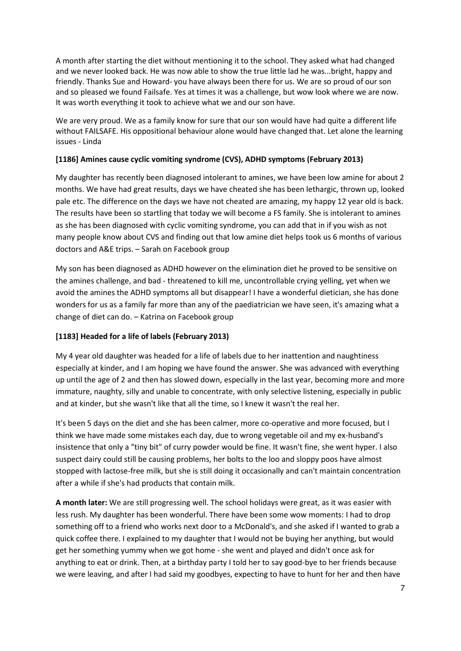A month after starting the diet without mentioning it to the school. They asked what had changed and we never looked back. He was now able to show the true little lad he was...bright, happy and friendly. Thanks Sue and Howard- you have always been there for us. We are so proud of our son and so pleased we found Failsafe. Yes at times it was a challenge, but wow look where we are now. It was worth everything it took to achieve what we and our son have.

We are very proud. We as a family know for sure that our son would have had quite a different life without FAILSAFE. His oppositional behaviour alone would have changed that. Let alone the learning issues - Linda

#### **[1186] Amines cause cyclic vomiting syndrome (CVS), ADHD symptoms (February 2013)**

My daughter has recently been diagnosed intolerant to amines, we have been low amine for about 2 months. We have had great results, days we have cheated she has been lethargic, thrown up, looked pale etc. The difference on the days we have not cheated are amazing, my happy 12 year old is back. The results have been so startling that today we will become a FS family. She is intolerant to amines as she has been diagnosed with cyclic vomiting syndrome, you can add that in if you wish as not many people know about CVS and finding out that low amine diet helps took us 6 months of various doctors and A&E trips. – Sarah on Facebook group

My son has been diagnosed as ADHD however on the elimination diet he proved to be sensitive on the amines challenge, and bad - threatened to kill me, uncontrollable crying yelling, yet when we avoid the amines the ADHD symptoms all but disappear! I have a wonderful dietician, she has done wonders for us as a family far more than any of the paediatrician we have seen, it's amazing what a change of diet can do. – Katrina on Facebook group

## **[1183] Headed for a life of labels (February 2013)**

My 4 year old daughter was headed for a life of labels due to her inattention and naughtiness especially at kinder, and I am hoping we have found the answer. She was advanced with everything up until the age of 2 and then has slowed down, especially in the last year, becoming more and more immature, naughty, silly and unable to concentrate, with only selective listening, especially in public and at kinder, but she wasn't like that all the time, so I knew it wasn't the real her.

It's been 5 days on the diet and she has been calmer, more co-operative and more focused, but I think we have made some mistakes each day, due to wrong vegetable oil and my ex-husband's insistence that only a "tiny bit" of curry powder would be fine. It wasn't fine, she went hyper. I also suspect dairy could still be causing problems, her bolts to the loo and sloppy poos have almost stopped with lactose-free milk, but she is still doing it occasionally and can't maintain concentration after a while if she's had products that contain milk.

**A month later:** We are still progressing well. The school holidays were great, as it was easier with less rush. My daughter has been wonderful. There have been some wow moments: I had to drop something off to a friend who works next door to a McDonald's, and she asked if I wanted to grab a quick coffee there. I explained to my daughter that I would not be buying her anything, but would get her something yummy when we got home - she went and played and didn't once ask for anything to eat or drink. Then, at a birthday party I told her to say good-bye to her friends because we were leaving, and after I had said my goodbyes, expecting to have to hunt for her and then have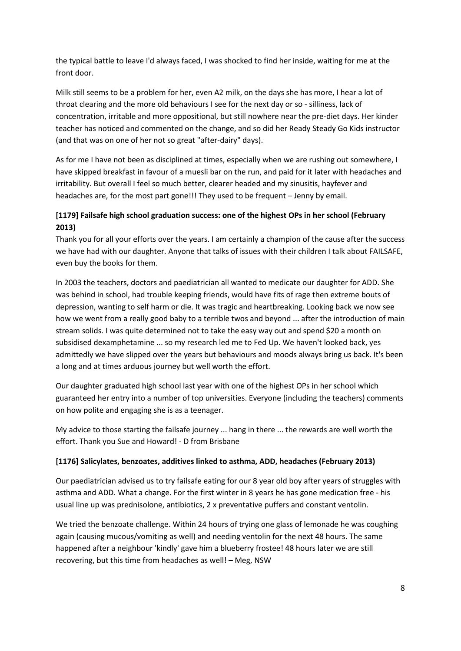the typical battle to leave I'd always faced, I was shocked to find her inside, waiting for me at the front door.

Milk still seems to be a problem for her, even A2 milk, on the days she has more, I hear a lot of throat clearing and the more old behaviours I see for the next day or so - silliness, lack of concentration, irritable and more oppositional, but still nowhere near the pre-diet days. Her kinder teacher has noticed and commented on the change, and so did her Ready Steady Go Kids instructor (and that was on one of her not so great "after-dairy" days).

As for me I have not been as disciplined at times, especially when we are rushing out somewhere, I have skipped breakfast in favour of a muesli bar on the run, and paid for it later with headaches and irritability. But overall I feel so much better, clearer headed and my sinusitis, hayfever and headaches are, for the most part gone!!! They used to be frequent – Jenny by email.

## **[1179] Failsafe high school graduation success: one of the highest OPs in her school (February 2013)**

Thank you for all your efforts over the years. I am certainly a champion of the cause after the success we have had with our daughter. Anyone that talks of issues with their children I talk about FAILSAFE, even buy the books for them.

In 2003 the teachers, doctors and paediatrician all wanted to medicate our daughter for ADD. She was behind in school, had trouble keeping friends, would have fits of rage then extreme bouts of depression, wanting to self harm or die. It was tragic and heartbreaking. Looking back we now see how we went from a really good baby to a terrible twos and beyond ... after the introduction of main stream solids. I was quite determined not to take the easy way out and spend \$20 a month on subsidised dexamphetamine ... so my research led me to Fed Up. We haven't looked back, yes admittedly we have slipped over the years but behaviours and moods always bring us back. It's been a long and at times arduous journey but well worth the effort.

Our daughter graduated high school last year with one of the highest OPs in her school which guaranteed her entry into a number of top universities. Everyone (including the teachers) comments on how polite and engaging she is as a teenager.

My advice to those starting the failsafe journey ... hang in there ... the rewards are well worth the effort. Thank you Sue and Howard! - D from Brisbane

#### **[1176] Salicylates, benzoates, additives linked to asthma, ADD, headaches (February 2013)**

Our paediatrician advised us to try failsafe eating for our 8 year old boy after years of struggles with asthma and ADD. What a change. For the first winter in 8 years he has gone medication free - his usual line up was prednisolone, antibiotics, 2 x preventative puffers and constant ventolin.

We tried the benzoate challenge. Within 24 hours of trying one glass of lemonade he was coughing again (causing mucous/vomiting as well) and needing ventolin for the next 48 hours. The same happened after a neighbour 'kindly' gave him a blueberry frostee! 48 hours later we are still recovering, but this time from headaches as well! – Meg, NSW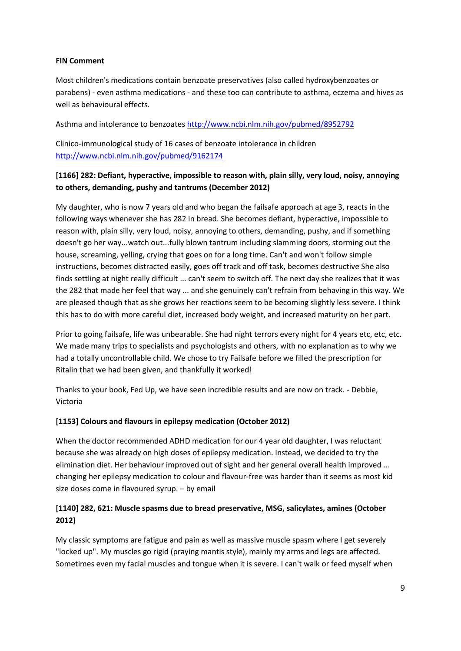#### **FIN Comment**

Most children's medications contain benzoate preservatives (also called hydroxybenzoates or parabens) - even asthma medications - and these too can contribute to asthma, eczema and hives as well as behavioural effects.

Asthma and intolerance to benzoate[s http://www.ncbi.nlm.nih.gov/pubmed/8952792](http://www.ncbi.nlm.nih.gov/pubmed/8952792)

Clinico-immunological study of 16 cases of benzoate intolerance in children <http://www.ncbi.nlm.nih.gov/pubmed/9162174>

## **[1166] 282: Defiant, hyperactive, impossible to reason with, plain silly, very loud, noisy, annoying to others, demanding, pushy and tantrums (December 2012)**

My daughter, who is now 7 years old and who began the failsafe approach at age 3, reacts in the following ways whenever she has 282 in bread. She becomes defiant, hyperactive, impossible to reason with, plain silly, very loud, noisy, annoying to others, demanding, pushy, and if something doesn't go her way...watch out...fully blown tantrum including slamming doors, storming out the house, screaming, yelling, crying that goes on for a long time. Can't and won't follow simple instructions, becomes distracted easily, goes off track and off task, becomes destructive She also finds settling at night really difficult ... can't seem to switch off. The next day she realizes that it was the 282 that made her feel that way ... and she genuinely can't refrain from behaving in this way. We are pleased though that as she grows her reactions seem to be becoming slightly less severe. I think this has to do with more careful diet, increased body weight, and increased maturity on her part.

Prior to going failsafe, life was unbearable. She had night terrors every night for 4 years etc, etc, etc. We made many trips to specialists and psychologists and others, with no explanation as to why we had a totally uncontrollable child. We chose to try Failsafe before we filled the prescription for Ritalin that we had been given, and thankfully it worked!

Thanks to your book, Fed Up, we have seen incredible results and are now on track. - Debbie, Victoria

#### **[1153] Colours and flavours in epilepsy medication (October 2012)**

When the doctor recommended ADHD medication for our 4 year old daughter, I was reluctant because she was already on high doses of epilepsy medication. Instead, we decided to try the elimination diet. Her behaviour improved out of sight and her general overall health improved ... changing her epilepsy medication to colour and flavour-free was harder than it seems as most kid size doses come in flavoured syrup. – by email

#### **[1140] 282, 621: Muscle spasms due to bread preservative, MSG, salicylates, amines (October 2012)**

My classic symptoms are fatigue and pain as well as massive muscle spasm where I get severely "locked up". My muscles go rigid (praying mantis style), mainly my arms and legs are affected. Sometimes even my facial muscles and tongue when it is severe. I can't walk or feed myself when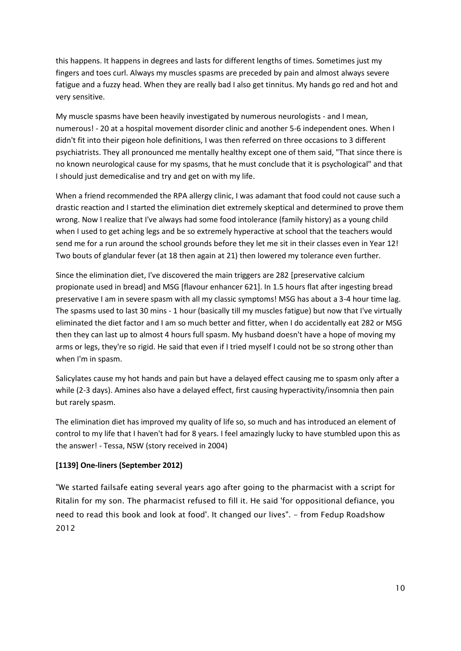this happens. It happens in degrees and lasts for different lengths of times. Sometimes just my fingers and toes curl. Always my muscles spasms are preceded by pain and almost always severe fatigue and a fuzzy head. When they are really bad I also get tinnitus. My hands go red and hot and very sensitive.

My muscle spasms have been heavily investigated by numerous neurologists - and I mean, numerous! - 20 at a hospital movement disorder clinic and another 5-6 independent ones. When I didn't fit into their pigeon hole definitions, I was then referred on three occasions to 3 different psychiatrists. They all pronounced me mentally healthy except one of them said, "That since there is no known neurological cause for my spasms, that he must conclude that it is psychological" and that I should just demedicalise and try and get on with my life.

When a friend recommended the RPA allergy clinic, I was adamant that food could not cause such a drastic reaction and I started the elimination diet extremely skeptical and determined to prove them wrong. Now I realize that I've always had some food intolerance (family history) as a young child when I used to get aching legs and be so extremely hyperactive at school that the teachers would send me for a run around the school grounds before they let me sit in their classes even in Year 12! Two bouts of glandular fever (at 18 then again at 21) then lowered my tolerance even further.

Since the elimination diet, I've discovered the main triggers are 282 [preservative calcium propionate used in bread] and MSG [flavour enhancer 621]. In 1.5 hours flat after ingesting bread preservative I am in severe spasm with all my classic symptoms! MSG has about a 3-4 hour time lag. The spasms used to last 30 mins - 1 hour (basically till my muscles fatigue) but now that I've virtually eliminated the diet factor and I am so much better and fitter, when I do accidentally eat 282 or MSG then they can last up to almost 4 hours full spasm. My husband doesn't have a hope of moving my arms or legs, they're so rigid. He said that even if I tried myself I could not be so strong other than when I'm in spasm.

Salicylates cause my hot hands and pain but have a delayed effect causing me to spasm only after a while (2-3 days). Amines also have a delayed effect, first causing hyperactivity/insomnia then pain but rarely spasm.

The elimination diet has improved my quality of life so, so much and has introduced an element of control to my life that I haven't had for 8 years. I feel amazingly lucky to have stumbled upon this as the answer! - Tessa, NSW (story received in 2004)

#### **[1139] One-liners (September 2012)**

"We started failsafe eating several years ago after going to the pharmacist with a script for Ritalin for my son. The pharmacist refused to fill it. He said 'for oppositional defiance, you need to read this book and look at food'. It changed our lives". - from Fedup Roadshow 2012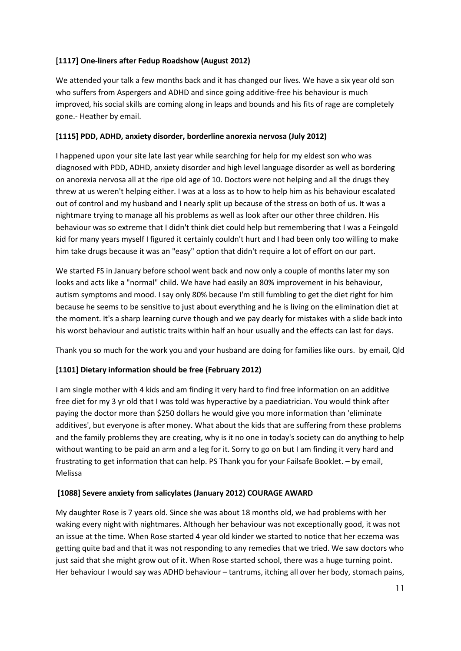#### **[1117] One-liners after Fedup Roadshow (August 2012)**

We attended your talk a few months back and it has changed our lives. We have a six year old son who suffers from Aspergers and ADHD and since going additive-free his behaviour is much improved, his social skills are coming along in leaps and bounds and his fits of rage are completely gone.- Heather by email.

#### **[1115] PDD, ADHD, anxiety disorder, borderline anorexia nervosa (July 2012)**

I happened upon your site late last year while searching for help for my eldest son who was diagnosed with PDD, ADHD, anxiety disorder and high level language disorder as well as bordering on anorexia nervosa all at the ripe old age of 10. Doctors were not helping and all the drugs they threw at us weren't helping either. I was at a loss as to how to help him as his behaviour escalated out of control and my husband and I nearly split up because of the stress on both of us. It was a nightmare trying to manage all his problems as well as look after our other three children. His behaviour was so extreme that I didn't think diet could help but remembering that I was a Feingold kid for many years myself I figured it certainly couldn't hurt and I had been only too willing to make him take drugs because it was an "easy" option that didn't require a lot of effort on our part.

We started FS in January before school went back and now only a couple of months later my son looks and acts like a "normal" child. We have had easily an 80% improvement in his behaviour, autism symptoms and mood. I say only 80% because I'm still fumbling to get the diet right for him because he seems to be sensitive to just about everything and he is living on the elimination diet at the moment. It's a sharp learning curve though and we pay dearly for mistakes with a slide back into his worst behaviour and autistic traits within half an hour usually and the effects can last for days.

Thank you so much for the work you and your husband are doing for families like ours. by email, Qld

## **[1101] Dietary information should be free (February 2012)**

I am single mother with 4 kids and am finding it very hard to find free information on an additive free diet for my 3 yr old that I was told was hyperactive by a paediatrician. You would think after paying the doctor more than \$250 dollars he would give you more information than 'eliminate additives', but everyone is after money. What about the kids that are suffering from these problems and the family problems they are creating, why is it no one in today's society can do anything to help without wanting to be paid an arm and a leg for it. Sorry to go on but I am finding it very hard and frustrating to get information that can help. PS Thank you for your Failsafe Booklet. – by email, Melissa

#### **[1088] Severe anxiety from salicylates (January 2012) COURAGE AWARD**

My daughter Rose is 7 years old. Since she was about 18 months old, we had problems with her waking every night with nightmares. Although her behaviour was not exceptionally good, it was not an issue at the time. When Rose started 4 year old kinder we started to notice that her eczema was getting quite bad and that it was not responding to any remedies that we tried. We saw doctors who just said that she might grow out of it. When Rose started school, there was a huge turning point. Her behaviour I would say was ADHD behaviour – tantrums, itching all over her body, stomach pains,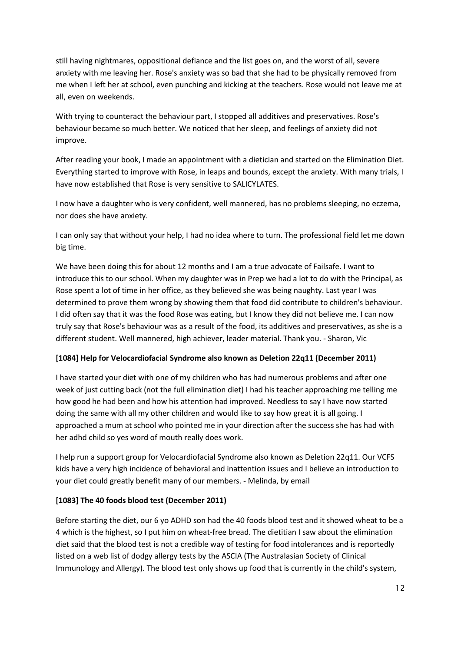still having nightmares, oppositional defiance and the list goes on, and the worst of all, severe anxiety with me leaving her. Rose's anxiety was so bad that she had to be physically removed from me when I left her at school, even punching and kicking at the teachers. Rose would not leave me at all, even on weekends.

With trying to counteract the behaviour part, I stopped all additives and preservatives. Rose's behaviour became so much better. We noticed that her sleep, and feelings of anxiety did not improve.

After reading your book, I made an appointment with a dietician and started on the Elimination Diet. Everything started to improve with Rose, in leaps and bounds, except the anxiety. With many trials, I have now established that Rose is very sensitive to SALICYLATES.

I now have a daughter who is very confident, well mannered, has no problems sleeping, no eczema, nor does she have anxiety.

I can only say that without your help, I had no idea where to turn. The professional field let me down big time.

We have been doing this for about 12 months and I am a true advocate of Failsafe. I want to introduce this to our school. When my daughter was in Prep we had a lot to do with the Principal, as Rose spent a lot of time in her office, as they believed she was being naughty. Last year I was determined to prove them wrong by showing them that food did contribute to children's behaviour. I did often say that it was the food Rose was eating, but I know they did not believe me. I can now truly say that Rose's behaviour was as a result of the food, its additives and preservatives, as she is a different student. Well mannered, high achiever, leader material. Thank you. - Sharon, Vic

#### **[1084] Help for Velocardiofacial Syndrome also known as Deletion 22q11 (December 2011)**

I have started your diet with one of my children who has had numerous problems and after one week of just cutting back (not the full elimination diet) I had his teacher approaching me telling me how good he had been and how his attention had improved. Needless to say I have now started doing the same with all my other children and would like to say how great it is all going. I approached a mum at school who pointed me in your direction after the success she has had with her adhd child so yes word of mouth really does work.

I help run a support group for Velocardiofacial Syndrome also known as Deletion 22q11. Our VCFS kids have a very high incidence of behavioral and inattention issues and I believe an introduction to your diet could greatly benefit many of our members. - Melinda, by email

## **[1083] The 40 foods blood test (December 2011)**

Before starting the diet, our 6 yo ADHD son had the 40 foods blood test and it showed wheat to be a 4 which is the highest, so I put him on wheat-free bread. The dietitian I saw about the elimination diet said that the blood test is not a credible way of testing for food intolerances and is reportedly listed on a web list of dodgy allergy tests by the ASCIA (The Australasian Society of Clinical Immunology and Allergy). The blood test only shows up food that is currently in the child's system,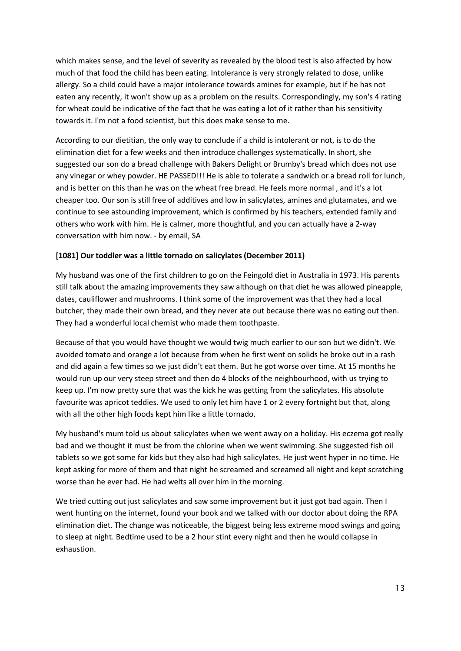which makes sense, and the level of severity as revealed by the blood test is also affected by how much of that food the child has been eating. Intolerance is very strongly related to dose, unlike allergy. So a child could have a major intolerance towards amines for example, but if he has not eaten any recently, it won't show up as a problem on the results. Correspondingly, my son's 4 rating for wheat could be indicative of the fact that he was eating a lot of it rather than his sensitivity towards it. I'm not a food scientist, but this does make sense to me.

According to our dietitian, the only way to conclude if a child is intolerant or not, is to do the elimination diet for a few weeks and then introduce challenges systematically. In short, she suggested our son do a bread challenge with Bakers Delight or Brumby's bread which does not use any vinegar or whey powder. HE PASSED!!! He is able to tolerate a sandwich or a bread roll for lunch, and is better on this than he was on the wheat free bread. He feels more normal , and it's a lot cheaper too. Our son is still free of additives and low in salicylates, amines and glutamates, and we continue to see astounding improvement, which is confirmed by his teachers, extended family and others who work with him. He is calmer, more thoughtful, and you can actually have a 2-way conversation with him now. - by email, SA

#### **[1081] Our toddler was a little tornado on salicylates (December 2011)**

My husband was one of the first children to go on the Feingold diet in Australia in 1973. His parents still talk about the amazing improvements they saw although on that diet he was allowed pineapple, dates, cauliflower and mushrooms. I think some of the improvement was that they had a local butcher, they made their own bread, and they never ate out because there was no eating out then. They had a wonderful local chemist who made them toothpaste.

Because of that you would have thought we would twig much earlier to our son but we didn't. We avoided tomato and orange a lot because from when he first went on solids he broke out in a rash and did again a few times so we just didn't eat them. But he got worse over time. At 15 months he would run up our very steep street and then do 4 blocks of the neighbourhood, with us trying to keep up. I'm now pretty sure that was the kick he was getting from the salicylates. His absolute favourite was apricot teddies. We used to only let him have 1 or 2 every fortnight but that, along with all the other high foods kept him like a little tornado.

My husband's mum told us about salicylates when we went away on a holiday. His eczema got really bad and we thought it must be from the chlorine when we went swimming. She suggested fish oil tablets so we got some for kids but they also had high salicylates. He just went hyper in no time. He kept asking for more of them and that night he screamed and screamed all night and kept scratching worse than he ever had. He had welts all over him in the morning.

We tried cutting out just salicylates and saw some improvement but it just got bad again. Then I went hunting on the internet, found your book and we talked with our doctor about doing the RPA elimination diet. The change was noticeable, the biggest being less extreme mood swings and going to sleep at night. Bedtime used to be a 2 hour stint every night and then he would collapse in exhaustion.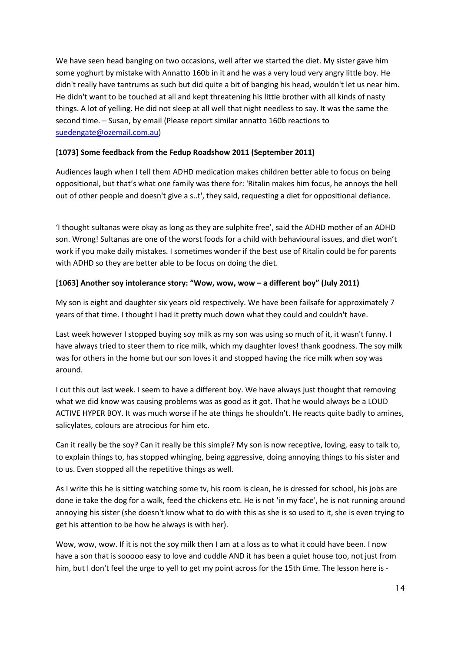We have seen head banging on two occasions, well after we started the diet. My sister gave him some yoghurt by mistake with Annatto 160b in it and he was a very loud very angry little boy. He didn't really have tantrums as such but did quite a bit of banging his head, wouldn't let us near him. He didn't want to be touched at all and kept threatening his little brother with all kinds of nasty things. A lot of yelling. He did not sleep at all well that night needless to say. It was the same the second time. – Susan, by email (Please report similar annatto 160b reactions to [suedengate@ozemail.com.au\)](mailto:suedengate@ozemail.com.au)

#### **[1073] Some feedback from the Fedup Roadshow 2011 (September 2011)**

Audiences laugh when I tell them ADHD medication makes children better able to focus on being oppositional, but that's what one family was there for: 'Ritalin makes him focus, he annoys the hell out of other people and doesn't give a s..t', they said, requesting a diet for oppositional defiance.

'I thought sultanas were okay as long as they are sulphite free', said the ADHD mother of an ADHD son. Wrong! Sultanas are one of the worst foods for a child with behavioural issues, and diet won't work if you make daily mistakes. I sometimes wonder if the best use of Ritalin could be for parents with ADHD so they are better able to be focus on doing the diet.

#### **[1063] Another soy intolerance story: "Wow, wow, wow – a different boy" (July 2011)**

My son is eight and daughter six years old respectively. We have been failsafe for approximately 7 years of that time. I thought I had it pretty much down what they could and couldn't have.

Last week however I stopped buying soy milk as my son was using so much of it, it wasn't funny. I have always tried to steer them to rice milk, which my daughter loves! thank goodness. The soy milk was for others in the home but our son loves it and stopped having the rice milk when soy was around.

I cut this out last week. I seem to have a different boy. We have always just thought that removing what we did know was causing problems was as good as it got. That he would always be a LOUD ACTIVE HYPER BOY. It was much worse if he ate things he shouldn't. He reacts quite badly to amines, salicylates, colours are atrocious for him etc.

Can it really be the soy? Can it really be this simple? My son is now receptive, loving, easy to talk to, to explain things to, has stopped whinging, being aggressive, doing annoying things to his sister and to us. Even stopped all the repetitive things as well.

As I write this he is sitting watching some tv, his room is clean, he is dressed for school, his jobs are done ie take the dog for a walk, feed the chickens etc. He is not 'in my face', he is not running around annoying his sister (she doesn't know what to do with this as she is so used to it, she is even trying to get his attention to be how he always is with her).

Wow, wow, wow. If it is not the soy milk then I am at a loss as to what it could have been. I now have a son that is sooooo easy to love and cuddle AND it has been a quiet house too, not just from him, but I don't feel the urge to yell to get my point across for the 15th time. The lesson here is -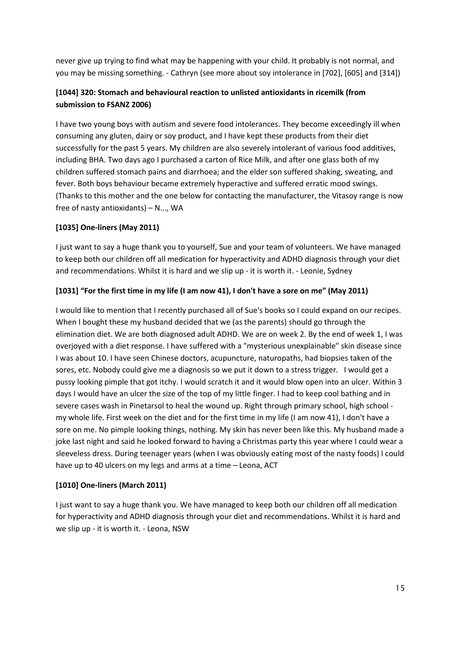never give up trying to find what may be happening with your child. It probably is not normal, and you may be missing something. - Cathryn (see more about soy intolerance in [702], [605] and [314])

## **[1044] 320: Stomach and behavioural reaction to unlisted antioxidants in ricemilk (from submission to FSANZ 2006)**

I have two young boys with autism and severe food intolerances. They become exceedingly ill when consuming any gluten, dairy or soy product, and I have kept these products from their diet successfully for the past 5 years. My children are also severely intolerant of various food additives, including BHA. Two days ago I purchased a carton of Rice Milk, and after one glass both of my children suffered stomach pains and diarrhoea; and the elder son suffered shaking, sweating, and fever. Both boys behaviour became extremely hyperactive and suffered erratic mood swings. (Thanks to this mother and the one below for contacting the manufacturer, the Vitasoy range is now free of nasty antioxidants) – N..., WA

#### **[1035] One-liners (May 2011)**

I just want to say a huge thank you to yourself, Sue and your team of volunteers. We have managed to keep both our children off all medication for hyperactivity and ADHD diagnosis through your diet and recommendations. Whilst it is hard and we slip up - it is worth it. - Leonie, Sydney

#### **[1031] "For the first time in my life (I am now 41), I don't have a sore on me" (May 2011)**

I would like to mention that I recently purchased all of Sue's books so I could expand on our recipes. When I bought these my husband decided that we (as the parents) should go through the elimination diet. We are both diagnosed adult ADHD. We are on week 2. By the end of week 1, I was overjoyed with a diet response. I have suffered with a "mysterious unexplainable" skin disease since I was about 10. I have seen Chinese doctors, acupuncture, naturopaths, had biopsies taken of the sores, etc. Nobody could give me a diagnosis so we put it down to a stress trigger. I would get a pussy looking pimple that got itchy. I would scratch it and it would blow open into an ulcer. Within 3 days I would have an ulcer the size of the top of my little finger. I had to keep cool bathing and in severe cases wash in Pinetarsol to heal the wound up. Right through primary school, high school my whole life. First week on the diet and for the first time in my life (I am now 41), I don't have a sore on me. No pimple looking things, nothing. My skin has never been like this. My husband made a joke last night and said he looked forward to having a Christmas party this year where I could wear a sleeveless dress. During teenager years (when I was obviously eating most of the nasty foods) I could have up to 40 ulcers on my legs and arms at a time – Leona, ACT

#### **[1010] One-liners (March 2011)**

I just want to say a huge thank you. We have managed to keep both our children off all medication for hyperactivity and ADHD diagnosis through your diet and recommendations. Whilst it is hard and we slip up - it is worth it. - Leona, NSW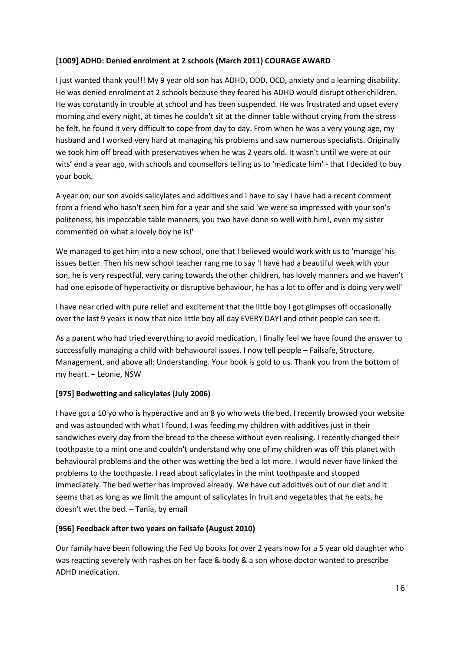#### **[1009] ADHD: Denied enrolment at 2 schools (March 2011) COURAGE AWARD**

I just wanted thank you!!! My 9 year old son has ADHD, ODD, OCD, anxiety and a learning disability. He was denied enrolment at 2 schools because they feared his ADHD would disrupt other children. He was constantly in trouble at school and has been suspended. He was frustrated and upset every morning and every night, at times he couldn't sit at the dinner table without crying from the stress he felt, he found it very difficult to cope from day to day. From when he was a very young age, my husband and I worked very hard at managing his problems and saw numerous specialists. Originally we took him off bread with preservatives when he was 2 years old. It wasn't until we were at our wits' end a year ago, with schools and counsellors telling us to 'medicate him' - that I decided to buy your book.

A year on, our son avoids salicylates and additives and I have to say I have had a recent comment from a friend who hasn't seen him for a year and she said 'we were so impressed with your son's politeness, his impeccable table manners, you two have done so well with him!, even my sister commented on what a lovely boy he is!'

We managed to get him into a new school, one that I believed would work with us to 'manage' his issues better. Then his new school teacher rang me to say 'I have had a beautiful week with your son, he is very respectful, very caring towards the other children, has lovely manners and we haven't had one episode of hyperactivity or disruptive behaviour, he has a lot to offer and is doing very well'

I have near cried with pure relief and excitement that the little boy I got glimpses off occasionally over the last 9 years is now that nice little boy all day EVERY DAY! and other people can see it.

As a parent who had tried everything to avoid medication, I finally feel we have found the answer to successfully managing a child with behavioural issues. I now tell people – Failsafe, Structure, Management, and above all: Understanding. Your book is gold to us. Thank you from the bottom of my heart. – Leonie, NSW

## **[975] Bedwetting and salicylates (July 2006)**

I have got a 10 yo who is hyperactive and an 8 yo who wets the bed. I recently browsed your website and was astounded with what I found. I was feeding my children with additives just in their sandwiches every day from the bread to the cheese without even realising. I recently changed their toothpaste to a mint one and couldn't understand why one of my children was off this planet with behavioural problems and the other was wetting the bed a lot more. I would never have linked the problems to the toothpaste. I read about salicylates in the mint toothpaste and stopped immediately. The bed wetter has improved already. We have cut additives out of our diet and it seems that as long as we limit the amount of salicylates in fruit and vegetables that he eats, he doesn't wet the bed. – Tania, by email

## **[956] Feedback after two years on failsafe (August 2010)**

Our family have been following the Fed Up books for over 2 years now for a 5 year old daughter who was reacting severely with rashes on her face & body & a son whose doctor wanted to prescribe ADHD medication.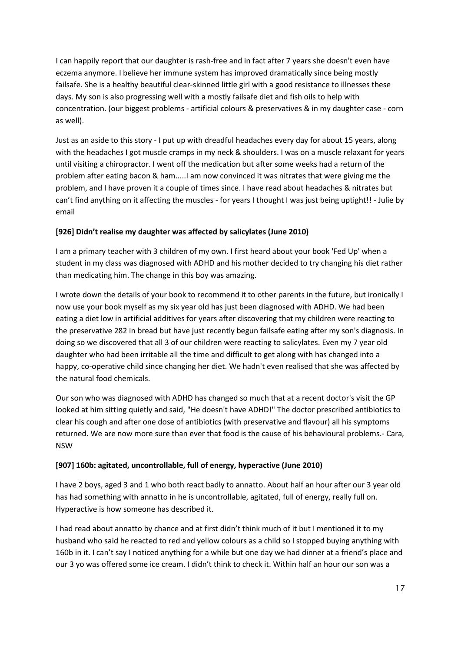I can happily report that our daughter is rash-free and in fact after 7 years she doesn't even have eczema anymore. I believe her immune system has improved dramatically since being mostly failsafe. She is a healthy beautiful clear-skinned little girl with a good resistance to illnesses these days. My son is also progressing well with a mostly failsafe diet and fish oils to help with concentration. (our biggest problems - artificial colours & preservatives & in my daughter case - corn as well).

Just as an aside to this story - I put up with dreadful headaches every day for about 15 years, along with the headaches I got muscle cramps in my neck & shoulders. I was on a muscle relaxant for years until visiting a chiropractor. I went off the medication but after some weeks had a return of the problem after eating bacon & ham.....I am now convinced it was nitrates that were giving me the problem, and I have proven it a couple of times since. I have read about headaches & nitrates but can't find anything on it affecting the muscles - for years I thought I was just being uptight!! - Julie by email

#### **[926] Didn't realise my daughter was affected by salicylates (June 2010)**

I am a primary teacher with 3 children of my own. I first heard about your book 'Fed Up' when a student in my class was diagnosed with ADHD and his mother decided to try changing his diet rather than medicating him. The change in this boy was amazing.

I wrote down the details of your book to recommend it to other parents in the future, but ironically I now use your book myself as my six year old has just been diagnosed with ADHD. We had been eating a diet low in artificial additives for years after discovering that my children were reacting to the preservative 282 in bread but have just recently begun failsafe eating after my son's diagnosis. In doing so we discovered that all 3 of our children were reacting to salicylates. Even my 7 year old daughter who had been irritable all the time and difficult to get along with has changed into a happy, co-operative child since changing her diet. We hadn't even realised that she was affected by the natural food chemicals.

Our son who was diagnosed with ADHD has changed so much that at a recent doctor's visit the GP looked at him sitting quietly and said, "He doesn't have ADHD!" The doctor prescribed antibiotics to clear his cough and after one dose of antibiotics (with preservative and flavour) all his symptoms returned. We are now more sure than ever that food is the cause of his behavioural problems.- Cara, NSW

#### **[907] 160b: agitated, uncontrollable, full of energy, hyperactive (June 2010)**

I have 2 boys, aged 3 and 1 who both react badly to annatto. About half an hour after our 3 year old has had something with annatto in he is uncontrollable, agitated, full of energy, really full on. Hyperactive is how someone has described it.

I had read about annatto by chance and at first didn't think much of it but I mentioned it to my husband who said he reacted to red and yellow colours as a child so I stopped buying anything with 160b in it. I can't say I noticed anything for a while but one day we had dinner at a friend's place and our 3 yo was offered some ice cream. I didn't think to check it. Within half an hour our son was a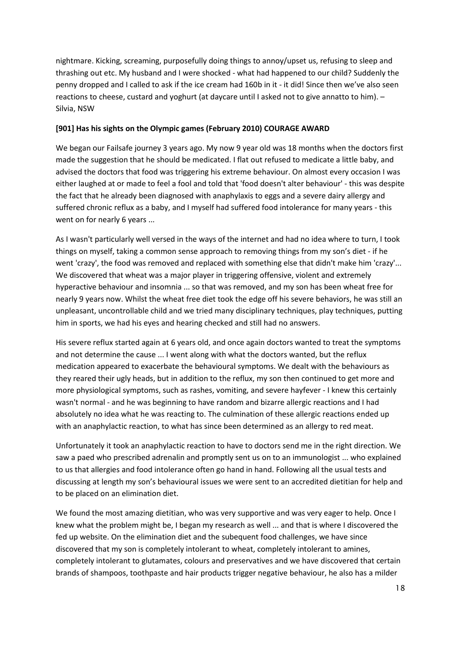nightmare. Kicking, screaming, purposefully doing things to annoy/upset us, refusing to sleep and thrashing out etc. My husband and I were shocked - what had happened to our child? Suddenly the penny dropped and I called to ask if the ice cream had 160b in it - it did! Since then we've also seen reactions to cheese, custard and yoghurt (at daycare until I asked not to give annatto to him). – Silvia, NSW

#### **[901] Has his sights on the Olympic games (February 2010) COURAGE AWARD**

We began our Failsafe journey 3 years ago. My now 9 year old was 18 months when the doctors first made the suggestion that he should be medicated. I flat out refused to medicate a little baby, and advised the doctors that food was triggering his extreme behaviour. On almost every occasion I was either laughed at or made to feel a fool and told that 'food doesn't alter behaviour' - this was despite the fact that he already been diagnosed with anaphylaxis to eggs and a severe dairy allergy and suffered chronic reflux as a baby, and I myself had suffered food intolerance for many years - this went on for nearly 6 years ...

As I wasn't particularly well versed in the ways of the internet and had no idea where to turn, I took things on myself, taking a common sense approach to removing things from my son's diet - if he went 'crazy', the food was removed and replaced with something else that didn't make him 'crazy'... We discovered that wheat was a major player in triggering offensive, violent and extremely hyperactive behaviour and insomnia ... so that was removed, and my son has been wheat free for nearly 9 years now. Whilst the wheat free diet took the edge off his severe behaviors, he was still an unpleasant, uncontrollable child and we tried many disciplinary techniques, play techniques, putting him in sports, we had his eyes and hearing checked and still had no answers.

His severe reflux started again at 6 years old, and once again doctors wanted to treat the symptoms and not determine the cause ... I went along with what the doctors wanted, but the reflux medication appeared to exacerbate the behavioural symptoms. We dealt with the behaviours as they reared their ugly heads, but in addition to the reflux, my son then continued to get more and more physiological symptoms, such as rashes, vomiting, and severe hayfever - I knew this certainly wasn't normal - and he was beginning to have random and bizarre allergic reactions and I had absolutely no idea what he was reacting to. The culmination of these allergic reactions ended up with an anaphylactic reaction, to what has since been determined as an allergy to red meat.

Unfortunately it took an anaphylactic reaction to have to doctors send me in the right direction. We saw a paed who prescribed adrenalin and promptly sent us on to an immunologist ... who explained to us that allergies and food intolerance often go hand in hand. Following all the usual tests and discussing at length my son's behavioural issues we were sent to an accredited dietitian for help and to be placed on an elimination diet.

We found the most amazing dietitian, who was very supportive and was very eager to help. Once I knew what the problem might be, I began my research as well ... and that is where I discovered the fed up website. On the elimination diet and the subequent food challenges, we have since discovered that my son is completely intolerant to wheat, completely intolerant to amines, completely intolerant to glutamates, colours and preservatives and we have discovered that certain brands of shampoos, toothpaste and hair products trigger negative behaviour, he also has a milder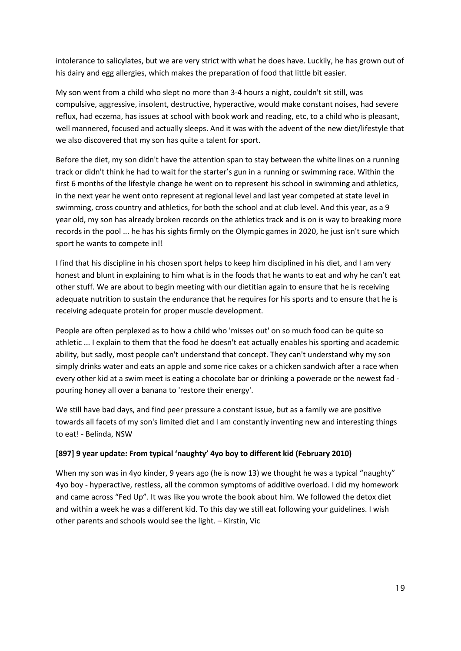intolerance to salicylates, but we are very strict with what he does have. Luckily, he has grown out of his dairy and egg allergies, which makes the preparation of food that little bit easier.

My son went from a child who slept no more than 3-4 hours a night, couldn't sit still, was compulsive, aggressive, insolent, destructive, hyperactive, would make constant noises, had severe reflux, had eczema, has issues at school with book work and reading, etc, to a child who is pleasant, well mannered, focused and actually sleeps. And it was with the advent of the new diet/lifestyle that we also discovered that my son has quite a talent for sport.

Before the diet, my son didn't have the attention span to stay between the white lines on a running track or didn't think he had to wait for the starter's gun in a running or swimming race. Within the first 6 months of the lifestyle change he went on to represent his school in swimming and athletics, in the next year he went onto represent at regional level and last year competed at state level in swimming, cross country and athletics, for both the school and at club level. And this year, as a 9 year old, my son has already broken records on the athletics track and is on is way to breaking more records in the pool ... he has his sights firmly on the Olympic games in 2020, he just isn't sure which sport he wants to compete in!!

I find that his discipline in his chosen sport helps to keep him disciplined in his diet, and I am very honest and blunt in explaining to him what is in the foods that he wants to eat and why he can't eat other stuff. We are about to begin meeting with our dietitian again to ensure that he is receiving adequate nutrition to sustain the endurance that he requires for his sports and to ensure that he is receiving adequate protein for proper muscle development.

People are often perplexed as to how a child who 'misses out' on so much food can be quite so athletic ... I explain to them that the food he doesn't eat actually enables his sporting and academic ability, but sadly, most people can't understand that concept. They can't understand why my son simply drinks water and eats an apple and some rice cakes or a chicken sandwich after a race when every other kid at a swim meet is eating a chocolate bar or drinking a powerade or the newest fad pouring honey all over a banana to 'restore their energy'.

We still have bad days, and find peer pressure a constant issue, but as a family we are positive towards all facets of my son's limited diet and I am constantly inventing new and interesting things to eat! - Belinda, NSW

#### **[897] 9 year update: From typical 'naughty' 4yo boy to different kid (February 2010)**

When my son was in 4yo kinder, 9 years ago (he is now 13) we thought he was a typical "naughty" 4yo boy - hyperactive, restless, all the common symptoms of additive overload. I did my homework and came across "Fed Up". It was like you wrote the book about him. We followed the detox diet and within a week he was a different kid. To this day we still eat following your guidelines. I wish other parents and schools would see the light. – Kirstin, Vic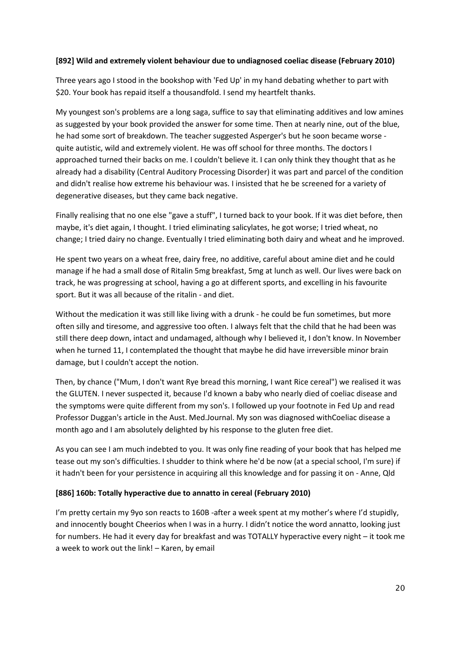#### **[892] Wild and extremely violent behaviour due to undiagnosed coeliac disease (February 2010)**

Three years ago I stood in the bookshop with 'Fed Up' in my hand debating whether to part with \$20. Your book has repaid itself a thousandfold. I send my heartfelt thanks.

My youngest son's problems are a long saga, suffice to say that eliminating additives and low amines as suggested by your book provided the answer for some time. Then at nearly nine, out of the blue, he had some sort of breakdown. The teacher suggested Asperger's but he soon became worse quite autistic, wild and extremely violent. He was off school for three months. The doctors I approached turned their backs on me. I couldn't believe it. I can only think they thought that as he already had a disability (Central Auditory Processing Disorder) it was part and parcel of the condition and didn't realise how extreme his behaviour was. I insisted that he be screened for a variety of degenerative diseases, but they came back negative.

Finally realising that no one else "gave a stuff", I turned back to your book. If it was diet before, then maybe, it's diet again, I thought. I tried eliminating salicylates, he got worse; I tried wheat, no change; I tried dairy no change. Eventually I tried eliminating both dairy and wheat and he improved.

He spent two years on a wheat free, dairy free, no additive, careful about amine diet and he could manage if he had a small dose of Ritalin 5mg breakfast, 5mg at lunch as well. Our lives were back on track, he was progressing at school, having a go at different sports, and excelling in his favourite sport. But it was all because of the ritalin - and diet.

Without the medication it was still like living with a drunk - he could be fun sometimes, but more often silly and tiresome, and aggressive too often. I always felt that the child that he had been was still there deep down, intact and undamaged, although why I believed it, I don't know. In November when he turned 11, I contemplated the thought that maybe he did have irreversible minor brain damage, but I couldn't accept the notion.

Then, by chance ("Mum, I don't want Rye bread this morning, I want Rice cereal") we realised it was the GLUTEN. I never suspected it, because I'd known a baby who nearly died of coeliac disease and the symptoms were quite different from my son's. I followed up your footnote in Fed Up and read Professor Duggan's article in the Aust. Med.Journal. My son was diagnosed withCoeliac disease a month ago and I am absolutely delighted by his response to the gluten free diet.

As you can see I am much indebted to you. It was only fine reading of your book that has helped me tease out my son's difficulties. I shudder to think where he'd be now (at a special school, I'm sure) if it hadn't been for your persistence in acquiring all this knowledge and for passing it on - Anne, Qld

#### **[886] 160b: Totally hyperactive due to annatto in cereal (February 2010)**

I'm pretty certain my 9yo son reacts to 160B -after a week spent at my mother's where I'd stupidly, and innocently bought Cheerios when I was in a hurry. I didn't notice the word annatto, looking just for numbers. He had it every day for breakfast and was TOTALLY hyperactive every night – it took me a week to work out the link! – Karen, by email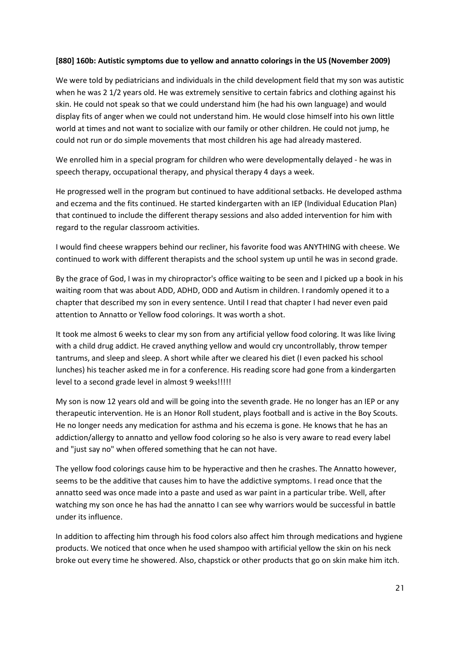#### **[880] 160b: Autistic symptoms due to yellow and annatto colorings in the US (November 2009)**

We were told by pediatricians and individuals in the child development field that my son was autistic when he was 2 1/2 years old. He was extremely sensitive to certain fabrics and clothing against his skin. He could not speak so that we could understand him (he had his own language) and would display fits of anger when we could not understand him. He would close himself into his own little world at times and not want to socialize with our family or other children. He could not jump, he could not run or do simple movements that most children his age had already mastered.

We enrolled him in a special program for children who were developmentally delayed - he was in speech therapy, occupational therapy, and physical therapy 4 days a week.

He progressed well in the program but continued to have additional setbacks. He developed asthma and eczema and the fits continued. He started kindergarten with an IEP (Individual Education Plan) that continued to include the different therapy sessions and also added intervention for him with regard to the regular classroom activities.

I would find cheese wrappers behind our recliner, his favorite food was ANYTHING with cheese. We continued to work with different therapists and the school system up until he was in second grade.

By the grace of God, I was in my chiropractor's office waiting to be seen and I picked up a book in his waiting room that was about ADD, ADHD, ODD and Autism in children. I randomly opened it to a chapter that described my son in every sentence. Until I read that chapter I had never even paid attention to Annatto or Yellow food colorings. It was worth a shot.

It took me almost 6 weeks to clear my son from any artificial yellow food coloring. It was like living with a child drug addict. He craved anything yellow and would cry uncontrollably, throw temper tantrums, and sleep and sleep. A short while after we cleared his diet (I even packed his school lunches) his teacher asked me in for a conference. His reading score had gone from a kindergarten level to a second grade level in almost 9 weeks!!!!!

My son is now 12 years old and will be going into the seventh grade. He no longer has an IEP or any therapeutic intervention. He is an Honor Roll student, plays football and is active in the Boy Scouts. He no longer needs any medication for asthma and his eczema is gone. He knows that he has an addiction/allergy to annatto and yellow food coloring so he also is very aware to read every label and "just say no" when offered something that he can not have.

The yellow food colorings cause him to be hyperactive and then he crashes. The Annatto however, seems to be the additive that causes him to have the addictive symptoms. I read once that the annatto seed was once made into a paste and used as war paint in a particular tribe. Well, after watching my son once he has had the annatto I can see why warriors would be successful in battle under its influence.

In addition to affecting him through his food colors also affect him through medications and hygiene products. We noticed that once when he used shampoo with artificial yellow the skin on his neck broke out every time he showered. Also, chapstick or other products that go on skin make him itch.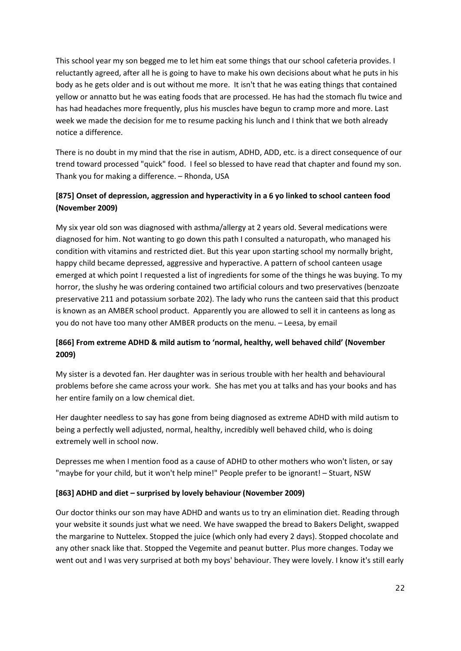This school year my son begged me to let him eat some things that our school cafeteria provides. I reluctantly agreed, after all he is going to have to make his own decisions about what he puts in his body as he gets older and is out without me more. It isn't that he was eating things that contained yellow or annatto but he was eating foods that are processed. He has had the stomach flu twice and has had headaches more frequently, plus his muscles have begun to cramp more and more. Last week we made the decision for me to resume packing his lunch and I think that we both already notice a difference.

There is no doubt in my mind that the rise in autism, ADHD, ADD, etc. is a direct consequence of our trend toward processed "quick" food. I feel so blessed to have read that chapter and found my son. Thank you for making a difference. – Rhonda, USA

## **[875] Onset of depression, aggression and hyperactivity in a 6 yo linked to school canteen food (November 2009)**

My six year old son was diagnosed with asthma/allergy at 2 years old. Several medications were diagnosed for him. Not wanting to go down this path I consulted a naturopath, who managed his condition with vitamins and restricted diet. But this year upon starting school my normally bright, happy child became depressed, aggressive and hyperactive. A pattern of school canteen usage emerged at which point I requested a list of ingredients for some of the things he was buying. To my horror, the slushy he was ordering contained two artificial colours and two preservatives (benzoate preservative 211 and potassium sorbate 202). The lady who runs the canteen said that this product is known as an AMBER school product. Apparently you are allowed to sell it in canteens as long as you do not have too many other AMBER products on the menu. – Leesa, by email

## **[866] From extreme ADHD & mild autism to 'normal, healthy, well behaved child' (November 2009)**

My sister is a devoted fan. Her daughter was in serious trouble with her health and behavioural problems before she came across your work. She has met you at talks and has your books and has her entire family on a low chemical diet.

Her daughter needless to say has gone from being diagnosed as extreme ADHD with mild autism to being a perfectly well adjusted, normal, healthy, incredibly well behaved child, who is doing extremely well in school now.

Depresses me when I mention food as a cause of ADHD to other mothers who won't listen, or say "maybe for your child, but it won't help mine!" People prefer to be ignorant! – Stuart, NSW

#### **[863] ADHD and diet – surprised by lovely behaviour (November 2009)**

Our doctor thinks our son may have ADHD and wants us to try an elimination diet. Reading through your website it sounds just what we need. We have swapped the bread to Bakers Delight, swapped the margarine to Nuttelex. Stopped the juice (which only had every 2 days). Stopped chocolate and any other snack like that. Stopped the Vegemite and peanut butter. Plus more changes. Today we went out and I was very surprised at both my boys' behaviour. They were lovely. I know it's still early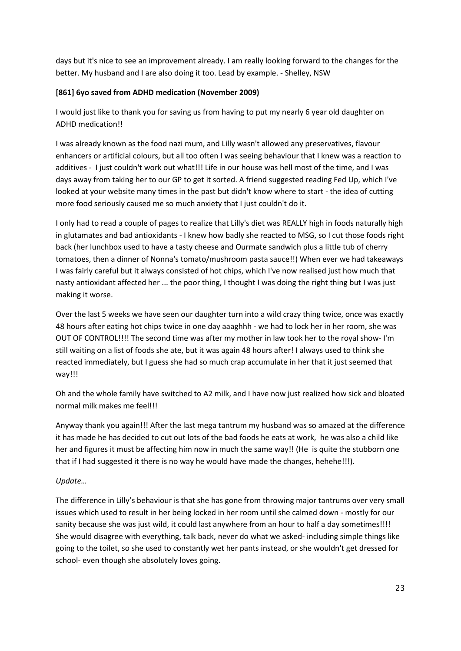days but it's nice to see an improvement already. I am really looking forward to the changes for the better. My husband and I are also doing it too. Lead by example. - Shelley, NSW

#### **[861] 6yo saved from ADHD medication (November 2009)**

I would just like to thank you for saving us from having to put my nearly 6 year old daughter on ADHD medication!!

I was already known as the food nazi mum, and Lilly wasn't allowed any preservatives, flavour enhancers or artificial colours, but all too often I was seeing behaviour that I knew was a reaction to additives - I just couldn't work out what!!! Life in our house was hell most of the time, and I was days away from taking her to our GP to get it sorted. A friend suggested reading Fed Up, which I've looked at your website many times in the past but didn't know where to start - the idea of cutting more food seriously caused me so much anxiety that I just couldn't do it.

I only had to read a couple of pages to realize that Lilly's diet was REALLY high in foods naturally high in glutamates and bad antioxidants - I knew how badly she reacted to MSG, so I cut those foods right back (her lunchbox used to have a tasty cheese and Ourmate sandwich plus a little tub of cherry tomatoes, then a dinner of Nonna's tomato/mushroom pasta sauce!!) When ever we had takeaways I was fairly careful but it always consisted of hot chips, which I've now realised just how much that nasty antioxidant affected her ... the poor thing, I thought I was doing the right thing but I was just making it worse.

Over the last 5 weeks we have seen our daughter turn into a wild crazy thing twice, once was exactly 48 hours after eating hot chips twice in one day aaaghhh - we had to lock her in her room, she was OUT OF CONTROL!!!! The second time was after my mother in law took her to the royal show- I'm still waiting on a list of foods she ate, but it was again 48 hours after! I always used to think she reacted immediately, but I guess she had so much crap accumulate in her that it just seemed that way!!!

Oh and the whole family have switched to A2 milk, and I have now just realized how sick and bloated normal milk makes me feel!!!

Anyway thank you again!!! After the last mega tantrum my husband was so amazed at the difference it has made he has decided to cut out lots of the bad foods he eats at work, he was also a child like her and figures it must be affecting him now in much the same way!! (He is quite the stubborn one that if I had suggested it there is no way he would have made the changes, hehehe!!!).

#### *Update…*

The difference in Lilly's behaviour is that she has gone from throwing major tantrums over very small issues which used to result in her being locked in her room until she calmed down - mostly for our sanity because she was just wild, it could last anywhere from an hour to half a day sometimes!!!! She would disagree with everything, talk back, never do what we asked- including simple things like going to the toilet, so she used to constantly wet her pants instead, or she wouldn't get dressed for school- even though she absolutely loves going.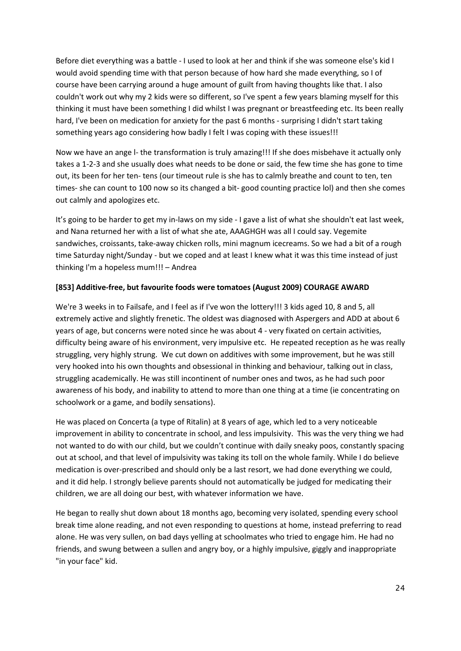Before diet everything was a battle - I used to look at her and think if she was someone else's kid I would avoid spending time with that person because of how hard she made everything, so I of course have been carrying around a huge amount of guilt from having thoughts like that. I also couldn't work out why my 2 kids were so different, so I've spent a few years blaming myself for this thinking it must have been something I did whilst I was pregnant or breastfeeding etc. Its been really hard, I've been on medication for anxiety for the past 6 months - surprising I didn't start taking something years ago considering how badly I felt I was coping with these issues!!!

Now we have an ange l- the transformation is truly amazing!!! If she does misbehave it actually only takes a 1-2-3 and she usually does what needs to be done or said, the few time she has gone to time out, its been for her ten- tens (our timeout rule is she has to calmly breathe and count to ten, ten times- she can count to 100 now so its changed a bit- good counting practice lol) and then she comes out calmly and apologizes etc.

It's going to be harder to get my in-laws on my side - I gave a list of what she shouldn't eat last week, and Nana returned her with a list of what she ate, AAAGHGH was all I could say. Vegemite sandwiches, croissants, take-away chicken rolls, mini magnum icecreams. So we had a bit of a rough time Saturday night/Sunday - but we coped and at least I knew what it was this time instead of just thinking I'm a hopeless mum!!! – Andrea

#### **[853] Additive-free, but favourite foods were tomatoes (August 2009) COURAGE AWARD**

We're 3 weeks in to Failsafe, and I feel as if I've won the lottery!!! 3 kids aged 10, 8 and 5, all extremely active and slightly frenetic. The oldest was diagnosed with Aspergers and ADD at about 6 years of age, but concerns were noted since he was about 4 - very fixated on certain activities, difficulty being aware of his environment, very impulsive etc. He repeated reception as he was really struggling, very highly strung. We cut down on additives with some improvement, but he was still very hooked into his own thoughts and obsessional in thinking and behaviour, talking out in class, struggling academically. He was still incontinent of number ones and twos, as he had such poor awareness of his body, and inability to attend to more than one thing at a time (ie concentrating on schoolwork or a game, and bodily sensations).

He was placed on Concerta (a type of Ritalin) at 8 years of age, which led to a very noticeable improvement in ability to concentrate in school, and less impulsivity. This was the very thing we had not wanted to do with our child, but we couldn't continue with daily sneaky poos, constantly spacing out at school, and that level of impulsivity was taking its toll on the whole family. While I do believe medication is over-prescribed and should only be a last resort, we had done everything we could, and it did help. I strongly believe parents should not automatically be judged for medicating their children, we are all doing our best, with whatever information we have.

He began to really shut down about 18 months ago, becoming very isolated, spending every school break time alone reading, and not even responding to questions at home, instead preferring to read alone. He was very sullen, on bad days yelling at schoolmates who tried to engage him. He had no friends, and swung between a sullen and angry boy, or a highly impulsive, giggly and inappropriate "in your face" kid.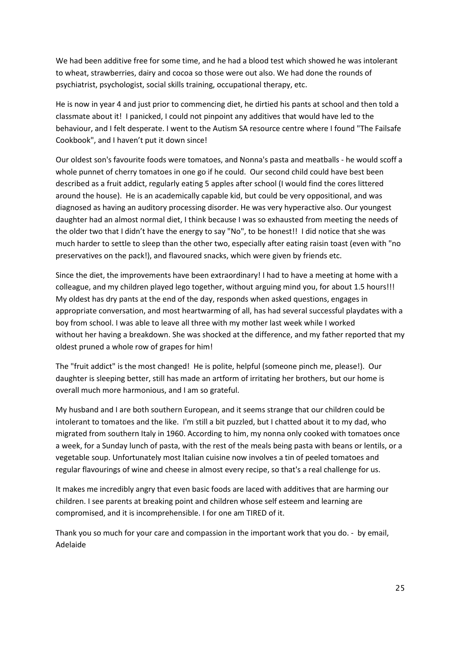We had been additive free for some time, and he had a blood test which showed he was intolerant to wheat, strawberries, dairy and cocoa so those were out also. We had done the rounds of psychiatrist, psychologist, social skills training, occupational therapy, etc.

He is now in year 4 and just prior to commencing diet, he dirtied his pants at school and then told a classmate about it! I panicked, I could not pinpoint any additives that would have led to the behaviour, and I felt desperate. I went to the Autism SA resource centre where I found "The Failsafe Cookbook", and I haven't put it down since!

Our oldest son's favourite foods were tomatoes, and Nonna's pasta and meatballs - he would scoff a whole punnet of cherry tomatoes in one go if he could. Our second child could have best been described as a fruit addict, regularly eating 5 apples after school (I would find the cores littered around the house). He is an academically capable kid, but could be very oppositional, and was diagnosed as having an auditory processing disorder. He was very hyperactive also. Our youngest daughter had an almost normal diet, I think because I was so exhausted from meeting the needs of the older two that I didn't have the energy to say "No", to be honest!! I did notice that she was much harder to settle to sleep than the other two, especially after eating raisin toast (even with "no preservatives on the pack!), and flavoured snacks, which were given by friends etc.

Since the diet, the improvements have been extraordinary! I had to have a meeting at home with a colleague, and my children played lego together, without arguing mind you, for about 1.5 hours!!! My oldest has dry pants at the end of the day, responds when asked questions, engages in appropriate conversation, and most heartwarming of all, has had several successful playdates with a boy from school. I was able to leave all three with my mother last week while I worked without her having a breakdown. She was shocked at the difference, and my father reported that my oldest pruned a whole row of grapes for him!

The "fruit addict" is the most changed! He is polite, helpful (someone pinch me, please!). Our daughter is sleeping better, still has made an artform of irritating her brothers, but our home is overall much more harmonious, and I am so grateful.

My husband and I are both southern European, and it seems strange that our children could be intolerant to tomatoes and the like. I'm still a bit puzzled, but I chatted about it to my dad, who migrated from southern Italy in 1960. According to him, my nonna only cooked with tomatoes once a week, for a Sunday lunch of pasta, with the rest of the meals being pasta with beans or lentils, or a vegetable soup. Unfortunately most Italian cuisine now involves a tin of peeled tomatoes and regular flavourings of wine and cheese in almost every recipe, so that's a real challenge for us.

It makes me incredibly angry that even basic foods are laced with additives that are harming our children. I see parents at breaking point and children whose self esteem and learning are compromised, and it is incomprehensible. I for one am TIRED of it.

Thank you so much for your care and compassion in the important work that you do. - by email, Adelaide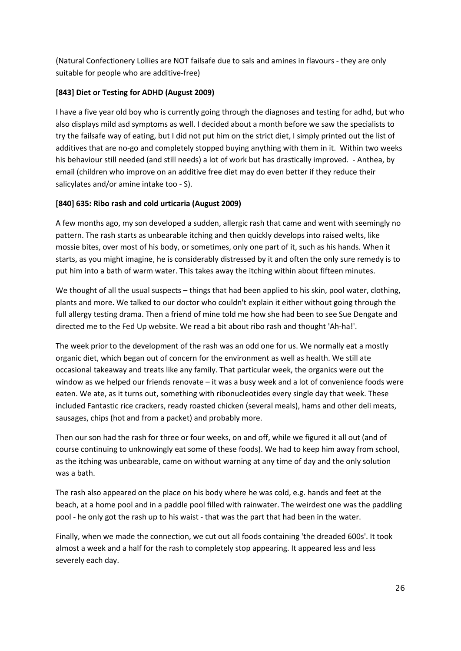(Natural Confectionery Lollies are NOT failsafe due to sals and amines in flavours - they are only suitable for people who are additive-free)

## **[843] Diet or Testing for ADHD (August 2009)**

I have a five year old boy who is currently going through the diagnoses and testing for adhd, but who also displays mild asd symptoms as well. I decided about a month before we saw the specialists to try the failsafe way of eating, but I did not put him on the strict diet, I simply printed out the list of additives that are no-go and completely stopped buying anything with them in it. Within two weeks his behaviour still needed (and still needs) a lot of work but has drastically improved. - Anthea, by email (children who improve on an additive free diet may do even better if they reduce their salicylates and/or amine intake too - S).

#### **[840] 635: Ribo rash and cold urticaria (August 2009)**

A few months ago, my son developed a sudden, allergic rash that came and went with seemingly no pattern. The rash starts as unbearable itching and then quickly develops into raised welts, like mossie bites, over most of his body, or sometimes, only one part of it, such as his hands. When it starts, as you might imagine, he is considerably distressed by it and often the only sure remedy is to put him into a bath of warm water. This takes away the itching within about fifteen minutes.

We thought of all the usual suspects – things that had been applied to his skin, pool water, clothing, plants and more. We talked to our doctor who couldn't explain it either without going through the full allergy testing drama. Then a friend of mine told me how she had been to see Sue Dengate and directed me to the Fed Up website. We read a bit about ribo rash and thought 'Ah-ha!'.

The week prior to the development of the rash was an odd one for us. We normally eat a mostly organic diet, which began out of concern for the environment as well as health. We still ate occasional takeaway and treats like any family. That particular week, the organics were out the window as we helped our friends renovate – it was a busy week and a lot of convenience foods were eaten. We ate, as it turns out, something with ribonucleotides every single day that week. These included Fantastic rice crackers, ready roasted chicken (several meals), hams and other deli meats, sausages, chips (hot and from a packet) and probably more.

Then our son had the rash for three or four weeks, on and off, while we figured it all out (and of course continuing to unknowingly eat some of these foods). We had to keep him away from school, as the itching was unbearable, came on without warning at any time of day and the only solution was a bath.

The rash also appeared on the place on his body where he was cold, e.g. hands and feet at the beach, at a home pool and in a paddle pool filled with rainwater. The weirdest one was the paddling pool - he only got the rash up to his waist - that was the part that had been in the water.

Finally, when we made the connection, we cut out all foods containing 'the dreaded 600s'. It took almost a week and a half for the rash to completely stop appearing. It appeared less and less severely each day.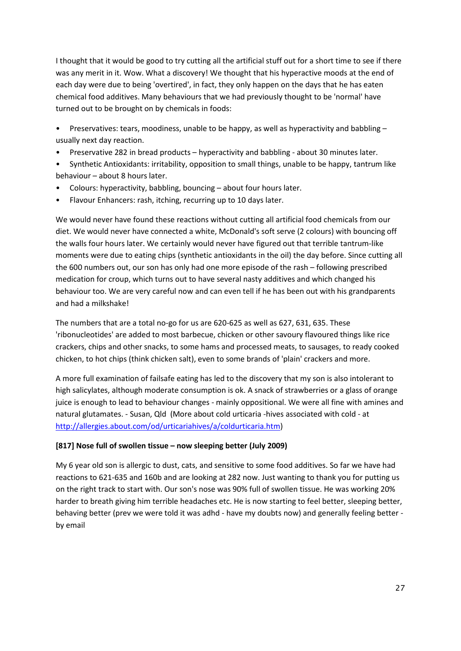I thought that it would be good to try cutting all the artificial stuff out for a short time to see if there was any merit in it. Wow. What a discovery! We thought that his hyperactive moods at the end of each day were due to being 'overtired', in fact, they only happen on the days that he has eaten chemical food additives. Many behaviours that we had previously thought to be 'normal' have turned out to be brought on by chemicals in foods:

- Preservatives: tears, moodiness, unable to be happy, as well as hyperactivity and babbling usually next day reaction.
- Preservative 282 in bread products hyperactivity and babbling about 30 minutes later.
- Synthetic Antioxidants: irritability, opposition to small things, unable to be happy, tantrum like behaviour – about 8 hours later.
- Colours: hyperactivity, babbling, bouncing about four hours later.
- Flavour Enhancers: rash, itching, recurring up to 10 days later.

We would never have found these reactions without cutting all artificial food chemicals from our diet. We would never have connected a white, McDonald's soft serve (2 colours) with bouncing off the walls four hours later. We certainly would never have figured out that terrible tantrum-like moments were due to eating chips (synthetic antioxidants in the oil) the day before. Since cutting all the 600 numbers out, our son has only had one more episode of the rash – following prescribed medication for croup, which turns out to have several nasty additives and which changed his behaviour too. We are very careful now and can even tell if he has been out with his grandparents and had a milkshake!

The numbers that are a total no-go for us are 620-625 as well as 627, 631, 635. These 'ribonucleotides' are added to most barbecue, chicken or other savoury flavoured things like rice crackers, chips and other snacks, to some hams and processed meats, to sausages, to ready cooked chicken, to hot chips (think chicken salt), even to some brands of 'plain' crackers and more.

A more full examination of failsafe eating has led to the discovery that my son is also intolerant to high salicylates, although moderate consumption is ok. A snack of strawberries or a glass of orange juice is enough to lead to behaviour changes - mainly oppositional. We were all fine with amines and natural glutamates. - Susan, Qld (More about cold urticaria -hives associated with cold - at [http://allergies.about.com/od/urticariahives/a/coldurticaria.htm\)](http://allergies.about.com/od/urticariahives/a/coldurticaria.htm)

## **[817] Nose full of swollen tissue – now sleeping better (July 2009)**

My 6 year old son is allergic to dust, cats, and sensitive to some food additives. So far we have had reactions to 621-635 and 160b and are looking at 282 now. Just wanting to thank you for putting us on the right track to start with. Our son's nose was 90% full of swollen tissue. He was working 20% harder to breath giving him terrible headaches etc. He is now starting to feel better, sleeping better, behaving better (prev we were told it was adhd - have my doubts now) and generally feeling better by email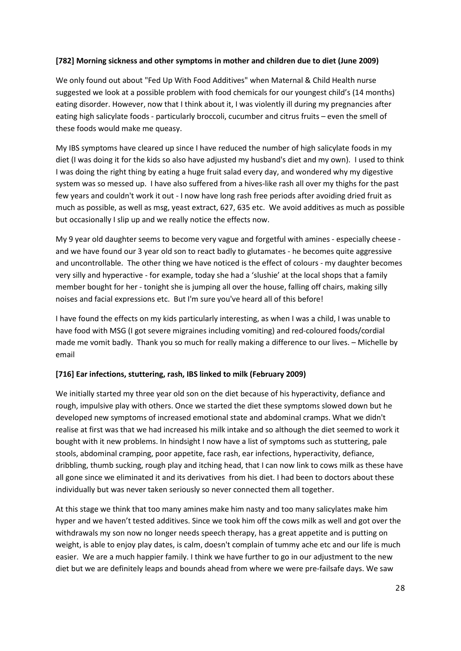#### **[782] Morning sickness and other symptoms in mother and children due to diet (June 2009)**

We only found out about "Fed Up With Food Additives" when Maternal & Child Health nurse suggested we look at a possible problem with food chemicals for our youngest child's (14 months) eating disorder. However, now that I think about it, I was violently ill during my pregnancies after eating high salicylate foods - particularly broccoli, cucumber and citrus fruits – even the smell of these foods would make me queasy.

My IBS symptoms have cleared up since I have reduced the number of high salicylate foods in my diet (I was doing it for the kids so also have adjusted my husband's diet and my own). I used to think I was doing the right thing by eating a huge fruit salad every day, and wondered why my digestive system was so messed up. I have also suffered from a hives-like rash all over my thighs for the past few years and couldn't work it out - I now have long rash free periods after avoiding dried fruit as much as possible, as well as msg, yeast extract, 627, 635 etc. We avoid additives as much as possible but occasionally I slip up and we really notice the effects now.

My 9 year old daughter seems to become very vague and forgetful with amines - especially cheese and we have found our 3 year old son to react badly to glutamates - he becomes quite aggressive and uncontrollable. The other thing we have noticed is the effect of colours - my daughter becomes very silly and hyperactive - for example, today she had a 'slushie' at the local shops that a family member bought for her - tonight she is jumping all over the house, falling off chairs, making silly noises and facial expressions etc. But I'm sure you've heard all of this before!

I have found the effects on my kids particularly interesting, as when I was a child, I was unable to have food with MSG (I got severe migraines including vomiting) and red-coloured foods/cordial made me vomit badly. Thank you so much for really making a difference to our lives. – Michelle by email

#### **[716] Ear infections, stuttering, rash, IBS linked to milk (February 2009)**

We initially started my three year old son on the diet because of his hyperactivity, defiance and rough, impulsive play with others. Once we started the diet these symptoms slowed down but he developed new symptoms of increased emotional state and abdominal cramps. What we didn't realise at first was that we had increased his milk intake and so although the diet seemed to work it bought with it new problems. In hindsight I now have a list of symptoms such as stuttering, pale stools, abdominal cramping, poor appetite, face rash, ear infections, hyperactivity, defiance, dribbling, thumb sucking, rough play and itching head, that I can now link to cows milk as these have all gone since we eliminated it and its derivatives from his diet. I had been to doctors about these individually but was never taken seriously so never connected them all together.

At this stage we think that too many amines make him nasty and too many salicylates make him hyper and we haven't tested additives. Since we took him off the cows milk as well and got over the withdrawals my son now no longer needs speech therapy, has a great appetite and is putting on weight, is able to enjoy play dates, is calm, doesn't complain of tummy ache etc and our life is much easier. We are a much happier family. I think we have further to go in our adjustment to the new diet but we are definitely leaps and bounds ahead from where we were pre-failsafe days. We saw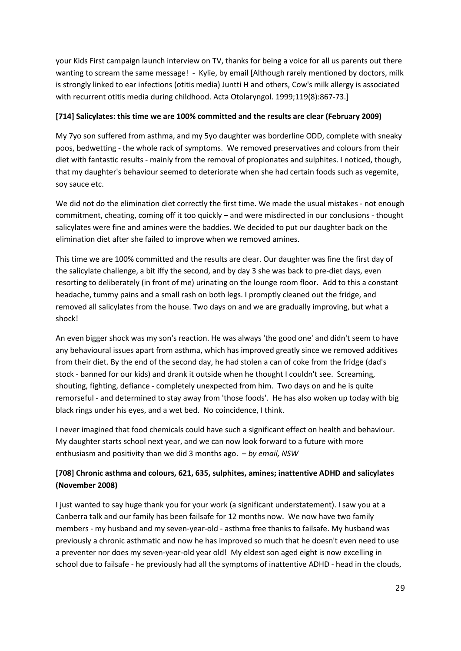your Kids First campaign launch interview on TV, thanks for being a voice for all us parents out there wanting to scream the same message! - Kylie, by email [Although rarely mentioned by doctors, milk is strongly linked to ear infections (otitis media) Juntti H and others, Cow's milk allergy is associated with recurrent otitis media during childhood. Acta Otolaryngol. 1999;119(8):867-73.]

#### **[714] Salicylates: this time we are 100% committed and the results are clear (February 2009)**

My 7yo son suffered from asthma, and my 5yo daughter was borderline ODD, complete with sneaky poos, bedwetting - the whole rack of symptoms. We removed preservatives and colours from their diet with fantastic results - mainly from the removal of propionates and sulphites. I noticed, though, that my daughter's behaviour seemed to deteriorate when she had certain foods such as vegemite, soy sauce etc.

We did not do the elimination diet correctly the first time. We made the usual mistakes - not enough commitment, cheating, coming off it too quickly – and were misdirected in our conclusions - thought salicylates were fine and amines were the baddies. We decided to put our daughter back on the elimination diet after she failed to improve when we removed amines.

This time we are 100% committed and the results are clear. Our daughter was fine the first day of the salicylate challenge, a bit iffy the second, and by day 3 she was back to pre-diet days, even resorting to deliberately (in front of me) urinating on the lounge room floor. Add to this a constant headache, tummy pains and a small rash on both legs. I promptly cleaned out the fridge, and removed all salicylates from the house. Two days on and we are gradually improving, but what a shock!

An even bigger shock was my son's reaction. He was always 'the good one' and didn't seem to have any behavioural issues apart from asthma, which has improved greatly since we removed additives from their diet. By the end of the second day, he had stolen a can of coke from the fridge (dad's stock - banned for our kids) and drank it outside when he thought I couldn't see. Screaming, shouting, fighting, defiance - completely unexpected from him. Two days on and he is quite remorseful - and determined to stay away from 'those foods'. He has also woken up today with big black rings under his eyes, and a wet bed. No coincidence, I think.

I never imagined that food chemicals could have such a significant effect on health and behaviour. My daughter starts school next year, and we can now look forward to a future with more enthusiasm and positivity than we did 3 months ago. – *by email, NSW*

## **[708] Chronic asthma and colours, 621, 635, sulphites, amines; inattentive ADHD and salicylates (November 2008)**

I just wanted to say huge thank you for your work (a significant understatement). I saw you at a Canberra talk and our family has been failsafe for 12 months now. We now have two family members - my husband and my seven-year-old - asthma free thanks to failsafe. My husband was previously a chronic asthmatic and now he has improved so much that he doesn't even need to use a preventer nor does my seven-year-old year old! My eldest son aged eight is now excelling in school due to failsafe - he previously had all the symptoms of inattentive ADHD - head in the clouds,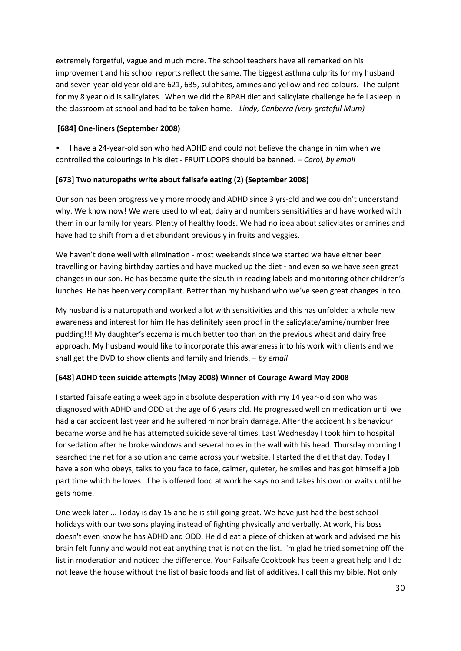extremely forgetful, vague and much more. The school teachers have all remarked on his improvement and his school reports reflect the same. The biggest asthma culprits for my husband and seven-year-old year old are 621, 635, sulphites, amines and yellow and red colours. The culprit for my 8 year old is salicylates. When we did the RPAH diet and salicylate challenge he fell asleep in the classroom at school and had to be taken home. - *Lindy, Canberra (very grateful Mum)*

#### **[684] One-liners (September 2008)**

• I have a 24-year-old son who had ADHD and could not believe the change in him when we controlled the colourings in his diet - FRUIT LOOPS should be banned. – *Carol, by email*

#### **[673] Two naturopaths write about failsafe eating (2) (September 2008)**

Our son has been progressively more moody and ADHD since 3 yrs-old and we couldn't understand why. We know now! We were used to wheat, dairy and numbers sensitivities and have worked with them in our family for years. Plenty of healthy foods. We had no idea about salicylates or amines and have had to shift from a diet abundant previously in fruits and veggies.

We haven't done well with elimination - most weekends since we started we have either been travelling or having birthday parties and have mucked up the diet - and even so we have seen great changes in our son. He has become quite the sleuth in reading labels and monitoring other children's lunches. He has been very compliant. Better than my husband who we've seen great changes in too.

My husband is a naturopath and worked a lot with sensitivities and this has unfolded a whole new awareness and interest for him He has definitely seen proof in the salicylate/amine/number free pudding!!! My daughter's eczema is much better too than on the previous wheat and dairy free approach. My husband would like to incorporate this awareness into his work with clients and we shall get the DVD to show clients and family and friends. – *by email* 

## **[648] ADHD teen suicide attempts (May 2008) Winner of Courage Award May 2008**

I started failsafe eating a week ago in absolute desperation with my 14 year-old son who was diagnosed with ADHD and ODD at the age of 6 years old. He progressed well on medication until we had a car accident last year and he suffered minor brain damage. After the accident his behaviour became worse and he has attempted suicide several times. Last Wednesday I took him to hospital for sedation after he broke windows and several holes in the wall with his head. Thursday morning I searched the net for a solution and came across your website. I started the diet that day. Today I have a son who obeys, talks to you face to face, calmer, quieter, he smiles and has got himself a job part time which he loves. If he is offered food at work he says no and takes his own or waits until he gets home.

One week later ... Today is day 15 and he is still going great. We have just had the best school holidays with our two sons playing instead of fighting physically and verbally. At work, his boss doesn't even know he has ADHD and ODD. He did eat a piece of chicken at work and advised me his brain felt funny and would not eat anything that is not on the list. I'm glad he tried something off the list in moderation and noticed the difference. Your Failsafe Cookbook has been a great help and I do not leave the house without the list of basic foods and list of additives. I call this my bible. Not only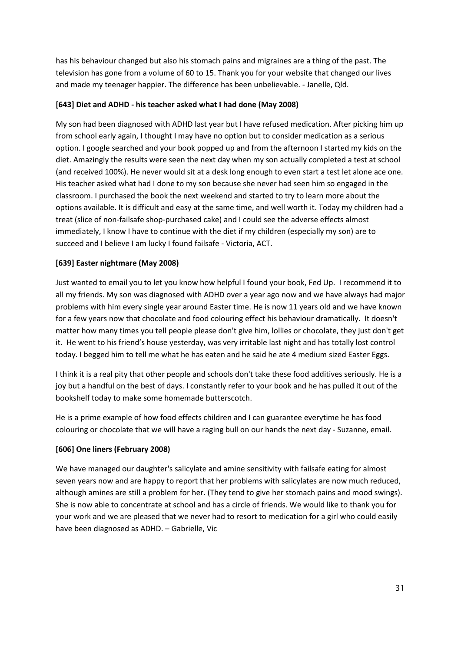has his behaviour changed but also his stomach pains and migraines are a thing of the past. The television has gone from a volume of 60 to 15. Thank you for your website that changed our lives and made my teenager happier. The difference has been unbelievable. - Janelle, Qld.

#### **[643] Diet and ADHD - his teacher asked what I had done (May 2008)**

My son had been diagnosed with ADHD last year but I have refused medication. After picking him up from school early again, I thought I may have no option but to consider medication as a serious option. I google searched and your book popped up and from the afternoon I started my kids on the diet. Amazingly the results were seen the next day when my son actually completed a test at school (and received 100%). He never would sit at a desk long enough to even start a test let alone ace one. His teacher asked what had I done to my son because she never had seen him so engaged in the classroom. I purchased the book the next weekend and started to try to learn more about the options available. It is difficult and easy at the same time, and well worth it. Today my children had a treat (slice of non-failsafe shop-purchased cake) and I could see the adverse effects almost immediately, I know I have to continue with the diet if my children (especially my son) are to succeed and I believe I am lucky I found failsafe - Victoria, ACT.

#### **[639] Easter nightmare (May 2008)**

Just wanted to email you to let you know how helpful I found your book, Fed Up. I recommend it to all my friends. My son was diagnosed with ADHD over a year ago now and we have always had major problems with him every single year around Easter time. He is now 11 years old and we have known for a few years now that chocolate and food colouring effect his behaviour dramatically. It doesn't matter how many times you tell people please don't give him, lollies or chocolate, they just don't get it. He went to his friend's house yesterday, was very irritable last night and has totally lost control today. I begged him to tell me what he has eaten and he said he ate 4 medium sized Easter Eggs.

I think it is a real pity that other people and schools don't take these food additives seriously. He is a joy but a handful on the best of days. I constantly refer to your book and he has pulled it out of the bookshelf today to make some homemade butterscotch.

He is a prime example of how food effects children and I can guarantee everytime he has food colouring or chocolate that we will have a raging bull on our hands the next day - Suzanne, email.

#### **[606] One liners (February 2008)**

We have managed our daughter's salicylate and amine sensitivity with failsafe eating for almost seven years now and are happy to report that her problems with salicylates are now much reduced, although amines are still a problem for her. (They tend to give her stomach pains and mood swings). She is now able to concentrate at school and has a circle of friends. We would like to thank you for your work and we are pleased that we never had to resort to medication for a girl who could easily have been diagnosed as ADHD. – Gabrielle, Vic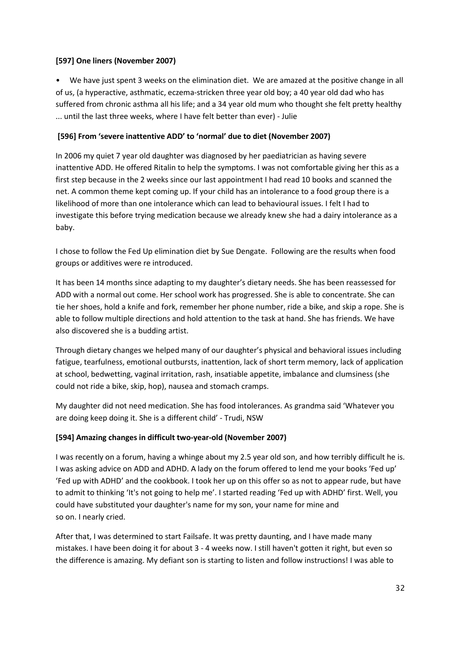#### **[597] One liners (November 2007)**

• We have just spent 3 weeks on the elimination diet. We are amazed at the positive change in all of us, (a hyperactive, asthmatic, eczema-stricken three year old boy; a 40 year old dad who has suffered from chronic asthma all his life; and a 34 year old mum who thought she felt pretty healthy ... until the last three weeks, where I have felt better than ever) - Julie

## **[596] From 'severe inattentive ADD' to 'normal' due to diet (November 2007)**

In 2006 my quiet 7 year old daughter was diagnosed by her paediatrician as having severe inattentive ADD. He offered Ritalin to help the symptoms. I was not comfortable giving her this as a first step because in the 2 weeks since our last appointment I had read 10 books and scanned the net. A common theme kept coming up. If your child has an intolerance to a food group there is a likelihood of more than one intolerance which can lead to behavioural issues. I felt I had to investigate this before trying medication because we already knew she had a dairy intolerance as a baby.

I chose to follow the Fed Up elimination diet by Sue Dengate. Following are the results when food groups or additives were re introduced.

It has been 14 months since adapting to my daughter's dietary needs. She has been reassessed for ADD with a normal out come. Her school work has progressed. She is able to concentrate. She can tie her shoes, hold a knife and fork, remember her phone number, ride a bike, and skip a rope. She is able to follow multiple directions and hold attention to the task at hand. She has friends. We have also discovered she is a budding artist.

Through dietary changes we helped many of our daughter's physical and behavioral issues including fatigue, tearfulness, emotional outbursts, inattention, lack of short term memory, lack of application at school, bedwetting, vaginal irritation, rash, insatiable appetite, imbalance and clumsiness (she could not ride a bike, skip, hop), nausea and stomach cramps.

My daughter did not need medication. She has food intolerances. As grandma said 'Whatever you are doing keep doing it. She is a different child' - Trudi, NSW

## **[594] Amazing changes in difficult two-year-old (November 2007)**

I was recently on a forum, having a whinge about my 2.5 year old son, and how terribly difficult he is. I was asking advice on ADD and ADHD. A lady on the forum offered to lend me your books 'Fed up' 'Fed up with ADHD' and the cookbook. I took her up on this offer so as not to appear rude, but have to admit to thinking 'It's not going to help me'. I started reading 'Fed up with ADHD' first. Well, you could have substituted your daughter's name for my son, your name for mine and so on. I nearly cried.

After that, I was determined to start Failsafe. It was pretty daunting, and I have made many mistakes. I have been doing it for about 3 - 4 weeks now. I still haven't gotten it right, but even so the difference is amazing. My defiant son is starting to listen and follow instructions! I was able to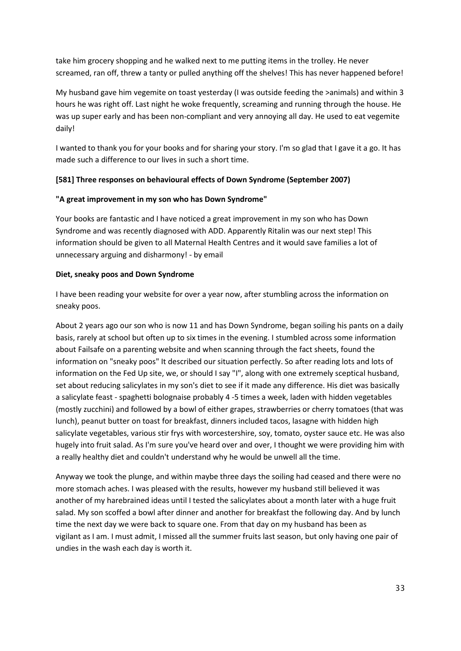take him grocery shopping and he walked next to me putting items in the trolley. He never screamed, ran off, threw a tanty or pulled anything off the shelves! This has never happened before!

My husband gave him vegemite on toast yesterday (I was outside feeding the >animals) and within 3 hours he was right off. Last night he woke frequently, screaming and running through the house. He was up super early and has been non-compliant and very annoying all day. He used to eat vegemite daily!

I wanted to thank you for your books and for sharing your story. I'm so glad that I gave it a go. It has made such a difference to our lives in such a short time.

#### **[581] Three responses on behavioural effects of Down Syndrome (September 2007)**

#### **"A great improvement in my son who has Down Syndrome"**

Your books are fantastic and I have noticed a great improvement in my son who has Down Syndrome and was recently diagnosed with ADD. Apparently Ritalin was our next step! This information should be given to all Maternal Health Centres and it would save families a lot of unnecessary arguing and disharmony! - by email

#### **Diet, sneaky poos and Down Syndrome**

I have been reading your website for over a year now, after stumbling across the information on sneaky poos.

About 2 years ago our son who is now 11 and has Down Syndrome, began soiling his pants on a daily basis, rarely at school but often up to six times in the evening. I stumbled across some information about Failsafe on a parenting website and when scanning through the fact sheets, found the information on "sneaky poos" It described our situation perfectly. So after reading lots and lots of information on the Fed Up site, we, or should I say "I", along with one extremely sceptical husband, set about reducing salicylates in my son's diet to see if it made any difference. His diet was basically a salicylate feast - spaghetti bolognaise probably 4 -5 times a week, laden with hidden vegetables (mostly zucchini) and followed by a bowl of either grapes, strawberries or cherry tomatoes (that was lunch), peanut butter on toast for breakfast, dinners included tacos, lasagne with hidden high salicylate vegetables, various stir frys with worcestershire, soy, tomato, oyster sauce etc. He was also hugely into fruit salad. As I'm sure you've heard over and over, I thought we were providing him with a really healthy diet and couldn't understand why he would be unwell all the time.

Anyway we took the plunge, and within maybe three days the soiling had ceased and there were no more stomach aches. I was pleased with the results, however my husband still believed it was another of my harebrained ideas until I tested the salicylates about a month later with a huge fruit salad. My son scoffed a bowl after dinner and another for breakfast the following day. And by lunch time the next day we were back to square one. From that day on my husband has been as vigilant as I am. I must admit, I missed all the summer fruits last season, but only having one pair of undies in the wash each day is worth it.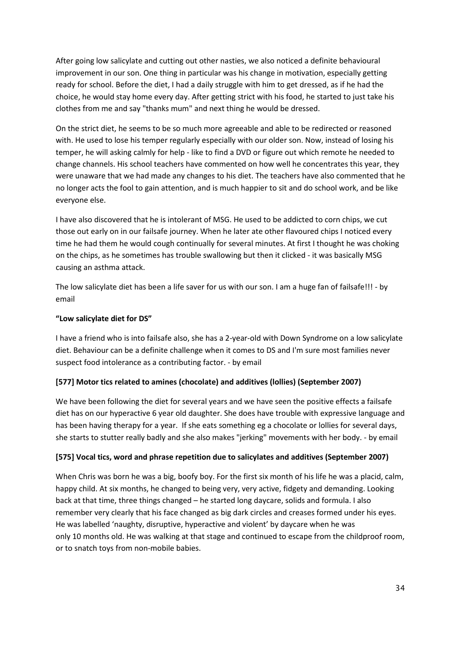After going low salicylate and cutting out other nasties, we also noticed a definite behavioural improvement in our son. One thing in particular was his change in motivation, especially getting ready for school. Before the diet, I had a daily struggle with him to get dressed, as if he had the choice, he would stay home every day. After getting strict with his food, he started to just take his clothes from me and say "thanks mum" and next thing he would be dressed.

On the strict diet, he seems to be so much more agreeable and able to be redirected or reasoned with. He used to lose his temper regularly especially with our older son. Now, instead of losing his temper, he will asking calmly for help - like to find a DVD or figure out which remote he needed to change channels. His school teachers have commented on how well he concentrates this year, they were unaware that we had made any changes to his diet. The teachers have also commented that he no longer acts the fool to gain attention, and is much happier to sit and do school work, and be like everyone else.

I have also discovered that he is intolerant of MSG. He used to be addicted to corn chips, we cut those out early on in our failsafe journey. When he later ate other flavoured chips I noticed every time he had them he would cough continually for several minutes. At first I thought he was choking on the chips, as he sometimes has trouble swallowing but then it clicked - it was basically MSG causing an asthma attack.

The low salicylate diet has been a life saver for us with our son. I am a huge fan of failsafe!!! - by email

#### **"Low salicylate diet for DS"**

I have a friend who is into failsafe also, she has a 2-year-old with Down Syndrome on a low salicylate diet. Behaviour can be a definite challenge when it comes to DS and I'm sure most families never suspect food intolerance as a contributing factor. - by email

#### **[577] Motor tics related to amines (chocolate) and additives (lollies) (September 2007)**

We have been following the diet for several years and we have seen the positive effects a failsafe diet has on our hyperactive 6 year old daughter. She does have trouble with expressive language and has been having therapy for a year. If she eats something eg a chocolate or lollies for several days, she starts to stutter really badly and she also makes "jerking" movements with her body. - by email

## **[575] Vocal tics, word and phrase repetition due to salicylates and additives (September 2007)**

When Chris was born he was a big, boofy boy. For the first six month of his life he was a placid, calm, happy child. At six months, he changed to being very, very active, fidgety and demanding. Looking back at that time, three things changed – he started long daycare, solids and formula. I also remember very clearly that his face changed as big dark circles and creases formed under his eyes. He was labelled 'naughty, disruptive, hyperactive and violent' by daycare when he was only 10 months old. He was walking at that stage and continued to escape from the childproof room, or to snatch toys from non-mobile babies.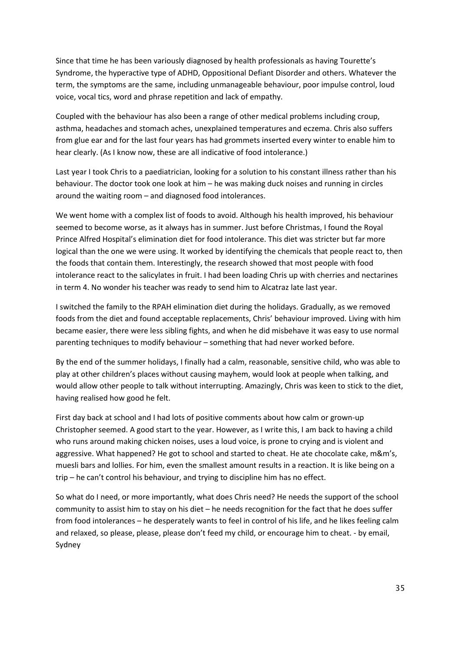Since that time he has been variously diagnosed by health professionals as having Tourette's Syndrome, the hyperactive type of ADHD, Oppositional Defiant Disorder and others. Whatever the term, the symptoms are the same, including unmanageable behaviour, poor impulse control, loud voice, vocal tics, word and phrase repetition and lack of empathy.

Coupled with the behaviour has also been a range of other medical problems including croup, asthma, headaches and stomach aches, unexplained temperatures and eczema. Chris also suffers from glue ear and for the last four years has had grommets inserted every winter to enable him to hear clearly. (As I know now, these are all indicative of food intolerance.)

Last year I took Chris to a paediatrician, looking for a solution to his constant illness rather than his behaviour. The doctor took one look at him – he was making duck noises and running in circles around the waiting room – and diagnosed food intolerances.

We went home with a complex list of foods to avoid. Although his health improved, his behaviour seemed to become worse, as it always has in summer. Just before Christmas, I found the Royal Prince Alfred Hospital's elimination diet for food intolerance. This diet was stricter but far more logical than the one we were using. It worked by identifying the chemicals that people react to, then the foods that contain them. Interestingly, the research showed that most people with food intolerance react to the salicylates in fruit. I had been loading Chris up with cherries and nectarines in term 4. No wonder his teacher was ready to send him to Alcatraz late last year.

I switched the family to the RPAH elimination diet during the holidays. Gradually, as we removed foods from the diet and found acceptable replacements, Chris' behaviour improved. Living with him became easier, there were less sibling fights, and when he did misbehave it was easy to use normal parenting techniques to modify behaviour – something that had never worked before.

By the end of the summer holidays, I finally had a calm, reasonable, sensitive child, who was able to play at other children's places without causing mayhem, would look at people when talking, and would allow other people to talk without interrupting. Amazingly, Chris was keen to stick to the diet, having realised how good he felt.

First day back at school and I had lots of positive comments about how calm or grown-up Christopher seemed. A good start to the year. However, as I write this, I am back to having a child who runs around making chicken noises, uses a loud voice, is prone to crying and is violent and aggressive. What happened? He got to school and started to cheat. He ate chocolate cake, m&m's, muesli bars and lollies. For him, even the smallest amount results in a reaction. It is like being on a trip – he can't control his behaviour, and trying to discipline him has no effect.

So what do I need, or more importantly, what does Chris need? He needs the support of the school community to assist him to stay on his diet – he needs recognition for the fact that he does suffer from food intolerances – he desperately wants to feel in control of his life, and he likes feeling calm and relaxed, so please, please, please don't feed my child, or encourage him to cheat. - by email, Sydney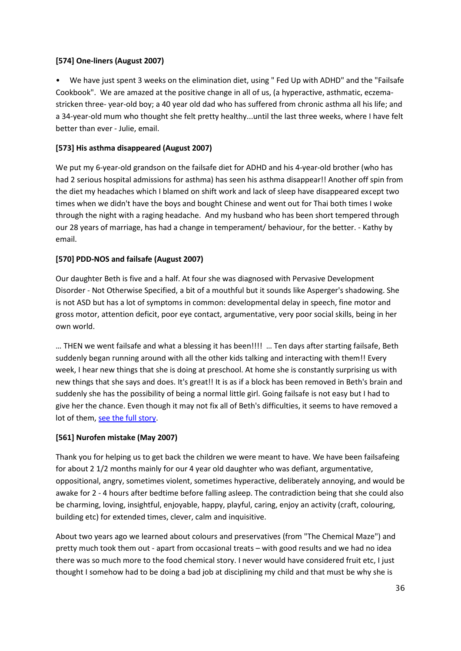#### **[574] One-liners (August 2007)**

• We have just spent 3 weeks on the elimination diet, using " Fed Up with ADHD" and the "Failsafe Cookbook". We are amazed at the positive change in all of us, (a hyperactive, asthmatic, eczemastricken three- year-old boy; a 40 year old dad who has suffered from chronic asthma all his life; and a 34-year-old mum who thought she felt pretty healthy...until the last three weeks, where I have felt better than ever - Julie, email.

## **[573] His asthma disappeared (August 2007)**

We put my 6-year-old grandson on the failsafe diet for ADHD and his 4-year-old brother (who has had 2 serious hospital admissions for asthma) has seen his asthma disappear!! Another off spin from the diet my headaches which I blamed on shift work and lack of sleep have disappeared except two times when we didn't have the boys and bought Chinese and went out for Thai both times I woke through the night with a raging headache. And my husband who has been short tempered through our 28 years of marriage, has had a change in temperament/ behaviour, for the better. - Kathy by email.

#### **[570] PDD-NOS and failsafe (August 2007)**

Our daughter Beth is five and a half. At four she was diagnosed with Pervasive Development Disorder - Not Otherwise Specified, a bit of a mouthful but it sounds like Asperger's shadowing. She is not ASD but has a lot of symptoms in common: developmental delay in speech, fine motor and gross motor, attention deficit, poor eye contact, argumentative, very poor social skills, being in her own world.

… THEN we went failsafe and what a blessing it has been!!!! … Ten days after starting failsafe, Beth suddenly began running around with all the other kids talking and interacting with them!! Every week, I hear new things that she is doing at preschool. At home she is constantly surprising us with new things that she says and does. It's great!! It is as if a block has been removed in Beth's brain and suddenly she has the possibility of being a normal little girl. Going failsafe is not easy but I had to give her the chance. Even though it may not fix all of Beth's difficulties, it seems to have removed a lot of them, [see the full story.](http://fedup.com.au/factsheets/symptom-factsheets/pervasive-development-disorder-pdd-nos-symptom-discussion)

#### **[561] Nurofen mistake (May 2007)**

Thank you for helping us to get back the children we were meant to have. We have been failsafeing for about 2 1/2 months mainly for our 4 year old daughter who was defiant, argumentative, oppositional, angry, sometimes violent, sometimes hyperactive, deliberately annoying, and would be awake for 2 - 4 hours after bedtime before falling asleep. The contradiction being that she could also be charming, loving, insightful, enjoyable, happy, playful, caring, enjoy an activity (craft, colouring, building etc) for extended times, clever, calm and inquisitive.

About two years ago we learned about colours and preservatives (from "The Chemical Maze") and pretty much took them out - apart from occasional treats – with good results and we had no idea there was so much more to the food chemical story. I never would have considered fruit etc, I just thought I somehow had to be doing a bad job at disciplining my child and that must be why she is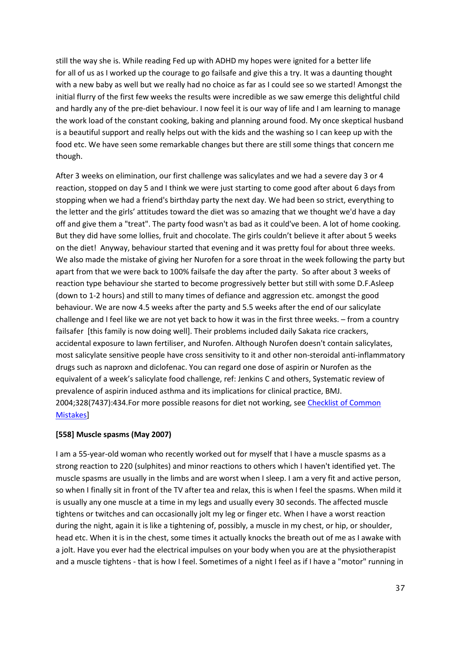still the way she is. While reading Fed up with ADHD my hopes were ignited for a better life for all of us as I worked up the courage to go failsafe and give this a try. It was a daunting thought with a new baby as well but we really had no choice as far as I could see so we started! Amongst the initial flurry of the first few weeks the results were incredible as we saw emerge this delightful child and hardly any of the pre-diet behaviour. I now feel it is our way of life and I am learning to manage the work load of the constant cooking, baking and planning around food. My once skeptical husband is a beautiful support and really helps out with the kids and the washing so I can keep up with the food etc. We have seen some remarkable changes but there are still some things that concern me though.

After 3 weeks on elimination, our first challenge was salicylates and we had a severe day 3 or 4 reaction, stopped on day 5 and I think we were just starting to come good after about 6 days from stopping when we had a friend's birthday party the next day. We had been so strict, everything to the letter and the girls' attitudes toward the diet was so amazing that we thought we'd have a day off and give them a "treat". The party food wasn't as bad as it could've been. A lot of home cooking. But they did have some lollies, fruit and chocolate. The girls couldn't believe it after about 5 weeks on the diet! Anyway, behaviour started that evening and it was pretty foul for about three weeks. We also made the mistake of giving her Nurofen for a sore throat in the week following the party but apart from that we were back to 100% failsafe the day after the party. So after about 3 weeks of reaction type behaviour she started to become progressively better but still with some D.F.Asleep (down to 1-2 hours) and still to many times of defiance and aggression etc. amongst the good behaviour. We are now 4.5 weeks after the party and 5.5 weeks after the end of our salicylate challenge and I feel like we are not yet back to how it was in the first three weeks. – from a country failsafer [this family is now doing well]. Their problems included daily Sakata rice crackers, accidental exposure to lawn fertiliser, and Nurofen. Although Nurofen doesn't contain salicylates, most salicylate sensitive people have cross sensitivity to it and other non-steroidal anti-inflammatory drugs such as naproxn and diclofenac. You can regard one dose of aspirin or Nurofen as the equivalent of a week's salicylate food challenge, ref: Jenkins C and others, Systematic review of prevalence of aspirin induced asthma and its implications for clinical practice, BMJ. 2004;328(7437):434.For more possible reasons for diet not working, see [Checklist of Common](http://fedup.com.au/information/support/checklist-of-common-mistakes)  [Mistakes\]](http://fedup.com.au/information/support/checklist-of-common-mistakes)

### **[558] Muscle spasms (May 2007)**

I am a 55-year-old woman who recently worked out for myself that I have a muscle spasms as a strong reaction to 220 (sulphites) and minor reactions to others which I haven't identified yet. The muscle spasms are usually in the limbs and are worst when I sleep. I am a very fit and active person, so when I finally sit in front of the TV after tea and relax, this is when I feel the spasms. When mild it is usually any one muscle at a time in my legs and usually every 30 seconds. The affected muscle tightens or twitches and can occasionally jolt my leg or finger etc. When I have a worst reaction during the night, again it is like a tightening of, possibly, a muscle in my chest, or hip, or shoulder, head etc. When it is in the chest, some times it actually knocks the breath out of me as I awake with a jolt. Have you ever had the electrical impulses on your body when you are at the physiotherapist and a muscle tightens - that is how I feel. Sometimes of a night I feel as if I have a "motor" running in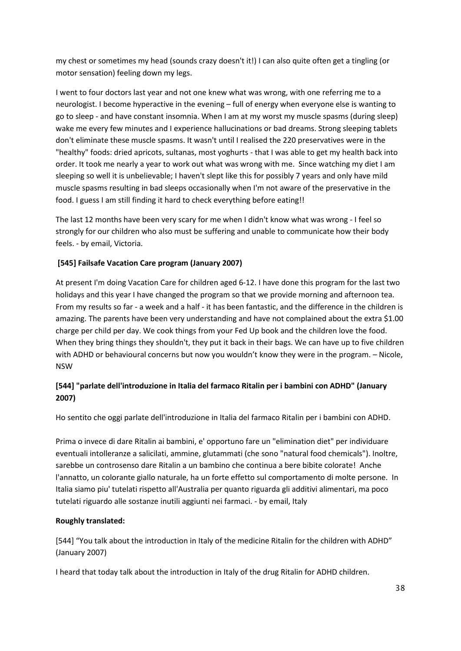my chest or sometimes my head (sounds crazy doesn't it!) I can also quite often get a tingling (or motor sensation) feeling down my legs.

I went to four doctors last year and not one knew what was wrong, with one referring me to a neurologist. I become hyperactive in the evening – full of energy when everyone else is wanting to go to sleep - and have constant insomnia. When I am at my worst my muscle spasms (during sleep) wake me every few minutes and I experience hallucinations or bad dreams. Strong sleeping tablets don't eliminate these muscle spasms. It wasn't until I realised the 220 preservatives were in the "healthy" foods: dried apricots, sultanas, most yoghurts - that I was able to get my health back into order. It took me nearly a year to work out what was wrong with me. Since watching my diet I am sleeping so well it is unbelievable; I haven't slept like this for possibly 7 years and only have mild muscle spasms resulting in bad sleeps occasionally when I'm not aware of the preservative in the food. I guess I am still finding it hard to check everything before eating!!

The last 12 months have been very scary for me when I didn't know what was wrong - I feel so strongly for our children who also must be suffering and unable to communicate how their body feels. - by email, Victoria.

### **[545] Failsafe Vacation Care program (January 2007)**

At present I'm doing Vacation Care for children aged 6-12. I have done this program for the last two holidays and this year I have changed the program so that we provide morning and afternoon tea. From my results so far - a week and a half - it has been fantastic, and the difference in the children is amazing. The parents have been very understanding and have not complained about the extra \$1.00 charge per child per day. We cook things from your Fed Up book and the children love the food. When they bring things they shouldn't, they put it back in their bags. We can have up to five children with ADHD or behavioural concerns but now you wouldn't know they were in the program. - Nicole, NSW

# **[544] "parlate dell'introduzione in Italia del farmaco Ritalin per i bambini con ADHD" (January 2007)**

Ho sentito che oggi parlate dell'introduzione in Italia del farmaco Ritalin per i bambini con ADHD.

Prima o invece di dare Ritalin ai bambini, e' opportuno fare un "elimination diet" per individuare eventuali intolleranze a salicilati, ammine, glutammati (che sono "natural food chemicals"). Inoltre, sarebbe un controsenso dare Ritalin a un bambino che continua a bere bibite colorate! Anche l'annatto, un colorante giallo naturale, ha un forte effetto sul comportamento di molte persone. In Italia siamo piu' tutelati rispetto all'Australia per quanto riguarda gli additivi alimentari, ma poco tutelati riguardo alle sostanze inutili aggiunti nei farmaci. - by email, Italy

### **Roughly translated:**

[544] "You talk about the introduction in Italy of the medicine Ritalin for the children with ADHD" (January 2007)

I heard that today talk about the introduction in Italy of the drug Ritalin for ADHD children.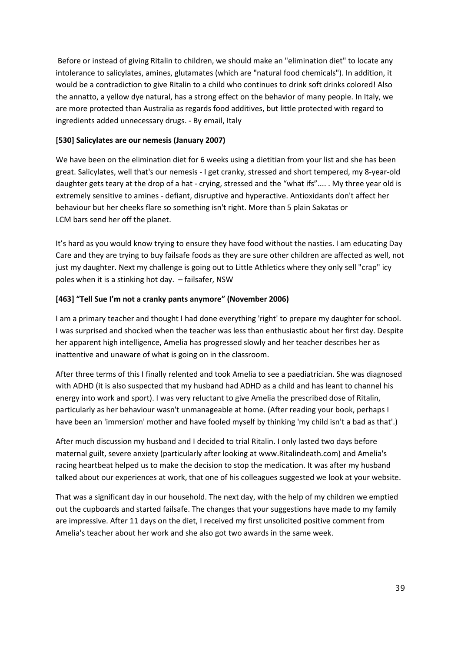Before or instead of giving Ritalin to children, we should make an "elimination diet" to locate any intolerance to salicylates, amines, glutamates (which are "natural food chemicals"). In addition, it would be a contradiction to give Ritalin to a child who continues to drink soft drinks colored! Also the annatto, a yellow dye natural, has a strong effect on the behavior of many people. In Italy, we are more protected than Australia as regards food additives, but little protected with regard to ingredients added unnecessary drugs. - By email, Italy

#### **[530] Salicylates are our nemesis (January 2007)**

We have been on the elimination diet for 6 weeks using a dietitian from your list and she has been great. Salicylates, well that's our nemesis - I get cranky, stressed and short tempered, my 8-year-old daughter gets teary at the drop of a hat - crying, stressed and the "what ifs".... . My three year old is extremely sensitive to amines - defiant, disruptive and hyperactive. Antioxidants don't affect her behaviour but her cheeks flare so something isn't right. More than 5 plain Sakatas or LCM bars send her off the planet.

It's hard as you would know trying to ensure they have food without the nasties. I am educating Day Care and they are trying to buy failsafe foods as they are sure other children are affected as well, not just my daughter. Next my challenge is going out to Little Athletics where they only sell "crap" icy poles when it is a stinking hot day. – failsafer, NSW

#### **[463] "Tell Sue I'm not a cranky pants anymore" (November 2006)**

I am a primary teacher and thought I had done everything 'right' to prepare my daughter for school. I was surprised and shocked when the teacher was less than enthusiastic about her first day. Despite her apparent high intelligence, Amelia has progressed slowly and her teacher describes her as inattentive and unaware of what is going on in the classroom.

After three terms of this I finally relented and took Amelia to see a paediatrician. She was diagnosed with ADHD (it is also suspected that my husband had ADHD as a child and has leant to channel his energy into work and sport). I was very reluctant to give Amelia the prescribed dose of Ritalin, particularly as her behaviour wasn't unmanageable at home. (After reading your book, perhaps I have been an 'immersion' mother and have fooled myself by thinking 'my child isn't a bad as that'.)

After much discussion my husband and I decided to trial Ritalin. I only lasted two days before maternal guilt, severe anxiety (particularly after looking at www.Ritalindeath.com) and Amelia's racing heartbeat helped us to make the decision to stop the medication. It was after my husband talked about our experiences at work, that one of his colleagues suggested we look at your website.

That was a significant day in our household. The next day, with the help of my children we emptied out the cupboards and started failsafe. The changes that your suggestions have made to my family are impressive. After 11 days on the diet, I received my first unsolicited positive comment from Amelia's teacher about her work and she also got two awards in the same week.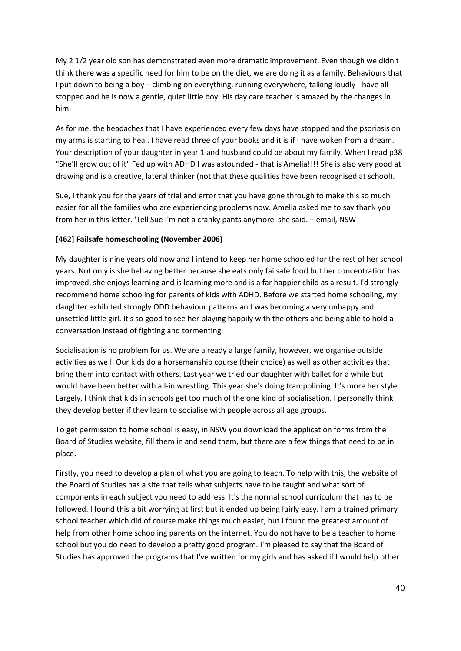My 2 1/2 year old son has demonstrated even more dramatic improvement. Even though we didn't think there was a specific need for him to be on the diet, we are doing it as a family. Behaviours that I put down to being a boy – climbing on everything, running everywhere, talking loudly - have all stopped and he is now a gentle, quiet little boy. His day care teacher is amazed by the changes in him.

As for me, the headaches that I have experienced every few days have stopped and the psoriasis on my arms is starting to heal. I have read three of your books and it is if I have woken from a dream. Your description of your daughter in year 1 and husband could be about my family. When I read p38 "She'll grow out of it" Fed up with ADHD I was astounded - that is Amelia!!!! She is also very good at drawing and is a creative, lateral thinker (not that these qualities have been recognised at school).

Sue, I thank you for the years of trial and error that you have gone through to make this so much easier for all the families who are experiencing problems now. Amelia asked me to say thank you from her in this letter. 'Tell Sue I'm not a cranky pants anymore' she said. – email, NSW

## **[462] Failsafe homeschooling (November 2006)**

My daughter is nine years old now and I intend to keep her home schooled for the rest of her school years. Not only is she behaving better because she eats only failsafe food but her concentration has improved, she enjoys learning and is learning more and is a far happier child as a result. I'd strongly recommend home schooling for parents of kids with ADHD. Before we started home schooling, my daughter exhibited strongly ODD behaviour patterns and was becoming a very unhappy and unsettled little girl. It's so good to see her playing happily with the others and being able to hold a conversation instead of fighting and tormenting.

Socialisation is no problem for us. We are already a large family, however, we organise outside activities as well. Our kids do a horsemanship course (their choice) as well as other activities that bring them into contact with others. Last year we tried our daughter with ballet for a while but would have been better with all-in wrestling. This year she's doing trampolining. It's more her style. Largely, I think that kids in schools get too much of the one kind of socialisation. I personally think they develop better if they learn to socialise with people across all age groups.

To get permission to home school is easy, in NSW you download the application forms from the Board of Studies website, fill them in and send them, but there are a few things that need to be in place.

Firstly, you need to develop a plan of what you are going to teach. To help with this, the website of the Board of Studies has a site that tells what subjects have to be taught and what sort of components in each subject you need to address. It's the normal school curriculum that has to be followed. I found this a bit worrying at first but it ended up being fairly easy. I am a trained primary school teacher which did of course make things much easier, but I found the greatest amount of help from other home schooling parents on the internet. You do not have to be a teacher to home school but you do need to develop a pretty good program. I'm pleased to say that the Board of Studies has approved the programs that I've written for my girls and has asked if I would help other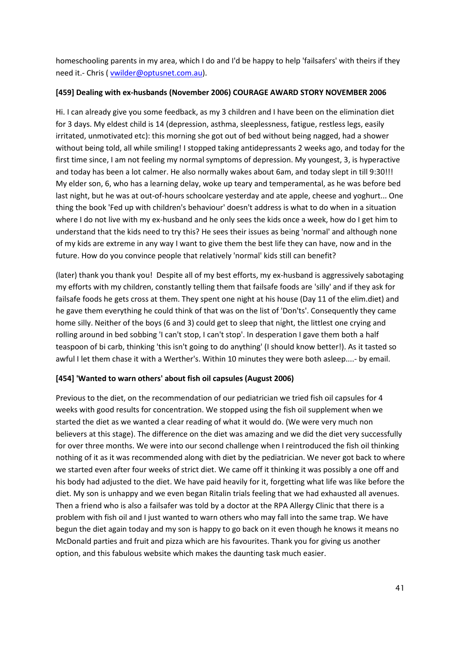homeschooling parents in my area, which I do and I'd be happy to help 'failsafers' with theirs if they need it.- Chris [\( vwilder@optusnet.com.au\)](mailto:vwilder@optusnet.com.au).

#### **[459] Dealing with ex-husbands (November 2006) COURAGE AWARD STORY NOVEMBER 2006**

Hi. I can already give you some feedback, as my 3 children and I have been on the elimination diet for 3 days. My eldest child is 14 (depression, asthma, sleeplessness, fatigue, restless legs, easily irritated, unmotivated etc): this morning she got out of bed without being nagged, had a shower without being told, all while smiling! I stopped taking antidepressants 2 weeks ago, and today for the first time since, I am not feeling my normal symptoms of depression. My youngest, 3, is hyperactive and today has been a lot calmer. He also normally wakes about 6am, and today slept in till 9:30!!! My elder son, 6, who has a learning delay, woke up teary and temperamental, as he was before bed last night, but he was at out-of-hours schoolcare yesterday and ate apple, cheese and yoghurt... One thing the book 'Fed up with children's behaviour' doesn't address is what to do when in a situation where I do not live with my ex-husband and he only sees the kids once a week, how do I get him to understand that the kids need to try this? He sees their issues as being 'normal' and although none of my kids are extreme in any way I want to give them the best life they can have, now and in the future. How do you convince people that relatively 'normal' kids still can benefit?

(later) thank you thank you! Despite all of my best efforts, my ex-husband is aggressively sabotaging my efforts with my children, constantly telling them that failsafe foods are 'silly' and if they ask for failsafe foods he gets cross at them. They spent one night at his house (Day 11 of the elim.diet) and he gave them everything he could think of that was on the list of 'Don'ts'. Consequently they came home silly. Neither of the boys (6 and 3) could get to sleep that night, the littlest one crying and rolling around in bed sobbing 'I can't stop, I can't stop'. In desperation I gave them both a half teaspoon of bi carb, thinking 'this isn't going to do anything' (I should know better!). As it tasted so awful I let them chase it with a Werther's. Within 10 minutes they were both asleep....- by email.

### **[454] 'Wanted to warn others' about fish oil capsules (August 2006)**

Previous to the diet, on the recommendation of our pediatrician we tried fish oil capsules for 4 weeks with good results for concentration. We stopped using the fish oil supplement when we started the diet as we wanted a clear reading of what it would do. (We were very much non believers at this stage). The difference on the diet was amazing and we did the diet very successfully for over three months. We were into our second challenge when I reintroduced the fish oil thinking nothing of it as it was recommended along with diet by the pediatrician. We never got back to where we started even after four weeks of strict diet. We came off it thinking it was possibly a one off and his body had adjusted to the diet. We have paid heavily for it, forgetting what life was like before the diet. My son is unhappy and we even began Ritalin trials feeling that we had exhausted all avenues. Then a friend who is also a failsafer was told by a doctor at the RPA Allergy Clinic that there is a problem with fish oil and I just wanted to warn others who may fall into the same trap. We have begun the diet again today and my son is happy to go back on it even though he knows it means no McDonald parties and fruit and pizza which are his favourites. Thank you for giving us another option, and this fabulous website which makes the daunting task much easier.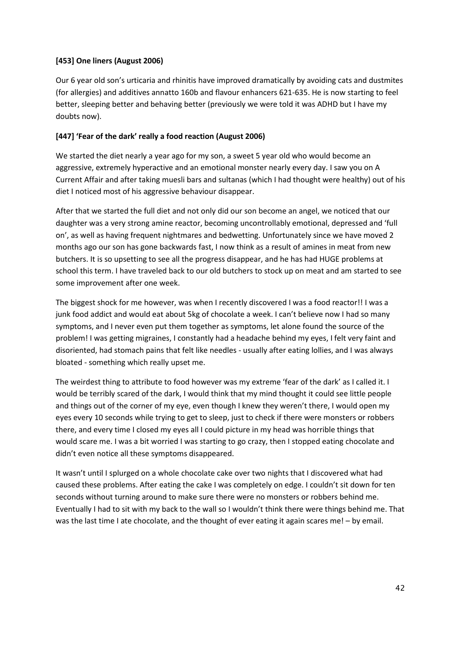### **[453] One liners (August 2006)**

Our 6 year old son's urticaria and rhinitis have improved dramatically by avoiding cats and dustmites (for allergies) and additives annatto 160b and flavour enhancers 621-635. He is now starting to feel better, sleeping better and behaving better (previously we were told it was ADHD but I have my doubts now).

## **[447] 'Fear of the dark' really a food reaction (August 2006)**

We started the diet nearly a year ago for my son, a sweet 5 year old who would become an aggressive, extremely hyperactive and an emotional monster nearly every day. I saw you on A Current Affair and after taking muesli bars and sultanas (which I had thought were healthy) out of his diet I noticed most of his aggressive behaviour disappear.

After that we started the full diet and not only did our son become an angel, we noticed that our daughter was a very strong amine reactor, becoming uncontrollably emotional, depressed and 'full on', as well as having frequent nightmares and bedwetting. Unfortunately since we have moved 2 months ago our son has gone backwards fast, I now think as a result of amines in meat from new butchers. It is so upsetting to see all the progress disappear, and he has had HUGE problems at school this term. I have traveled back to our old butchers to stock up on meat and am started to see some improvement after one week.

The biggest shock for me however, was when I recently discovered I was a food reactor!! I was a junk food addict and would eat about 5kg of chocolate a week. I can't believe now I had so many symptoms, and I never even put them together as symptoms, let alone found the source of the problem! I was getting migraines, I constantly had a headache behind my eyes, I felt very faint and disoriented, had stomach pains that felt like needles - usually after eating lollies, and I was always bloated - something which really upset me.

The weirdest thing to attribute to food however was my extreme 'fear of the dark' as I called it. I would be terribly scared of the dark, I would think that my mind thought it could see little people and things out of the corner of my eye, even though I knew they weren't there, I would open my eyes every 10 seconds while trying to get to sleep, just to check if there were monsters or robbers there, and every time I closed my eyes all I could picture in my head was horrible things that would scare me. I was a bit worried I was starting to go crazy, then I stopped eating chocolate and didn't even notice all these symptoms disappeared.

It wasn't until I splurged on a whole chocolate cake over two nights that I discovered what had caused these problems. After eating the cake I was completely on edge. I couldn't sit down for ten seconds without turning around to make sure there were no monsters or robbers behind me. Eventually I had to sit with my back to the wall so I wouldn't think there were things behind me. That was the last time I ate chocolate, and the thought of ever eating it again scares me! – by email.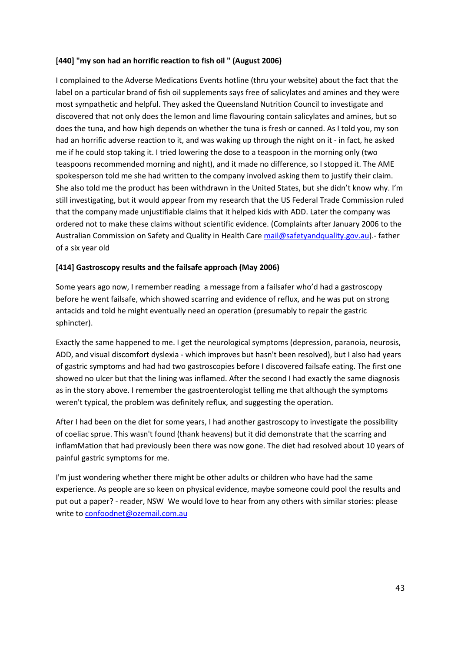### **[440] "my son had an horrific reaction to fish oil " (August 2006)**

I complained to the Adverse Medications Events hotline (thru your website) about the fact that the label on a particular brand of fish oil supplements says free of salicylates and amines and they were most sympathetic and helpful. They asked the Queensland Nutrition Council to investigate and discovered that not only does the lemon and lime flavouring contain salicylates and amines, but so does the tuna, and how high depends on whether the tuna is fresh or canned. As I told you, my son had an horrific adverse reaction to it, and was waking up through the night on it - in fact, he asked me if he could stop taking it. I tried lowering the dose to a teaspoon in the morning only (two teaspoons recommended morning and night), and it made no difference, so I stopped it. The AME spokesperson told me she had written to the company involved asking them to justify their claim. She also told me the product has been withdrawn in the United States, but she didn't know why. I'm still investigating, but it would appear from my research that the US Federal Trade Commission ruled that the company made unjustifiable claims that it helped kids with ADD. Later the company was ordered not to make these claims without scientific evidence. (Complaints after January 2006 to the Australian Commission on Safety and Quality in Health Care [mail@safetyandquality.gov.au\)](mailto:mail@safetyandquality.gov.au) - father of a six year old

## **[414] Gastroscopy results and the failsafe approach (May 2006)**

Some years ago now, I remember reading a message from a failsafer who'd had a gastroscopy before he went failsafe, which showed scarring and evidence of reflux, and he was put on strong antacids and told he might eventually need an operation (presumably to repair the gastric sphincter).

Exactly the same happened to me. I get the neurological symptoms (depression, paranoia, neurosis, ADD, and visual discomfort dyslexia - which improves but hasn't been resolved), but I also had years of gastric symptoms and had had two gastroscopies before I discovered failsafe eating. The first one showed no ulcer but that the lining was inflamed. After the second I had exactly the same diagnosis as in the story above. I remember the gastroenterologist telling me that although the symptoms weren't typical, the problem was definitely reflux, and suggesting the operation.

After I had been on the diet for some years, I had another gastroscopy to investigate the possibility of coeliac sprue. This wasn't found (thank heavens) but it did demonstrate that the scarring and inflamMation that had previously been there was now gone. The diet had resolved about 10 years of painful gastric symptoms for me.

I'm just wondering whether there might be other adults or children who have had the same experience. As people are so keen on physical evidence, maybe someone could pool the results and put out a paper? - reader, NSW We would love to hear from any others with similar stories: please write to [confoodnet@ozemail.com.au](mailto:confoodnet@ozemail.com.au)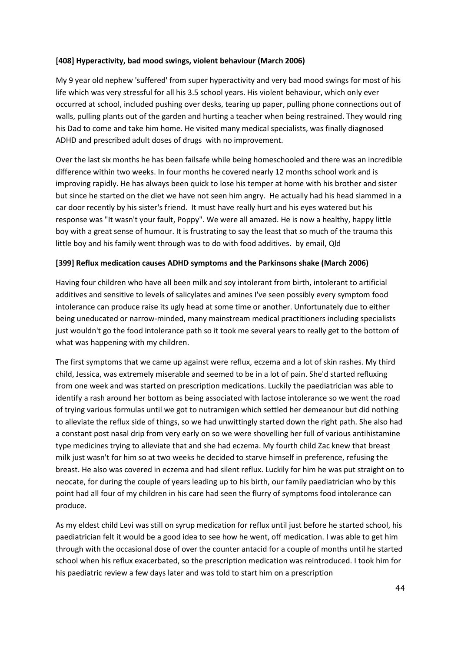#### **[408] Hyperactivity, bad mood swings, violent behaviour (March 2006)**

My 9 year old nephew 'suffered' from super hyperactivity and very bad mood swings for most of his life which was very stressful for all his 3.5 school years. His violent behaviour, which only ever occurred at school, included pushing over desks, tearing up paper, pulling phone connections out of walls, pulling plants out of the garden and hurting a teacher when being restrained. They would ring his Dad to come and take him home. He visited many medical specialists, was finally diagnosed ADHD and prescribed adult doses of drugs with no improvement.

Over the last six months he has been failsafe while being homeschooled and there was an incredible difference within two weeks. In four months he covered nearly 12 months school work and is improving rapidly. He has always been quick to lose his temper at home with his brother and sister but since he started on the diet we have not seen him angry. He actually had his head slammed in a car door recently by his sister's friend. It must have really hurt and his eyes watered but his response was "It wasn't your fault, Poppy". We were all amazed. He is now a healthy, happy little boy with a great sense of humour. It is frustrating to say the least that so much of the trauma this little boy and his family went through was to do with food additives. by email, Qld

#### **[399] Reflux medication causes ADHD symptoms and the Parkinsons shake (March 2006)**

Having four children who have all been milk and soy intolerant from birth, intolerant to artificial additives and sensitive to levels of salicylates and amines I've seen possibly every symptom food intolerance can produce raise its ugly head at some time or another. Unfortunately due to either being uneducated or narrow-minded, many mainstream medical practitioners including specialists just wouldn't go the food intolerance path so it took me several years to really get to the bottom of what was happening with my children.

The first symptoms that we came up against were reflux, eczema and a lot of skin rashes. My third child, Jessica, was extremely miserable and seemed to be in a lot of pain. She'd started refluxing from one week and was started on prescription medications. Luckily the paediatrician was able to identify a rash around her bottom as being associated with lactose intolerance so we went the road of trying various formulas until we got to nutramigen which settled her demeanour but did nothing to alleviate the reflux side of things, so we had unwittingly started down the right path. She also had a constant post nasal drip from very early on so we were shovelling her full of various antihistamine type medicines trying to alleviate that and she had eczema. My fourth child Zac knew that breast milk just wasn't for him so at two weeks he decided to starve himself in preference, refusing the breast. He also was covered in eczema and had silent reflux. Luckily for him he was put straight on to neocate, for during the couple of years leading up to his birth, our family paediatrician who by this point had all four of my children in his care had seen the flurry of symptoms food intolerance can produce.

As my eldest child Levi was still on syrup medication for reflux until just before he started school, his paediatrician felt it would be a good idea to see how he went, off medication. I was able to get him through with the occasional dose of over the counter antacid for a couple of months until he started school when his reflux exacerbated, so the prescription medication was reintroduced. I took him for his paediatric review a few days later and was told to start him on a prescription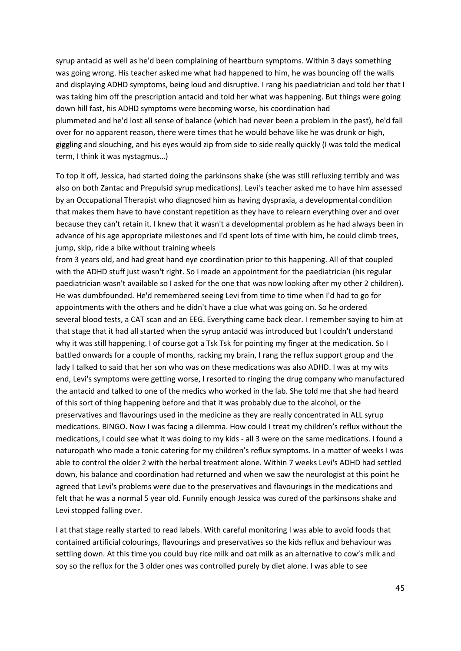syrup antacid as well as he'd been complaining of heartburn symptoms. Within 3 days something was going wrong. His teacher asked me what had happened to him, he was bouncing off the walls and displaying ADHD symptoms, being loud and disruptive. I rang his paediatrician and told her that I was taking him off the prescription antacid and told her what was happening. But things were going down hill fast, his ADHD symptoms were becoming worse, his coordination had plummeted and he'd lost all sense of balance (which had never been a problem in the past), he'd fall over for no apparent reason, there were times that he would behave like he was drunk or high, giggling and slouching, and his eyes would zip from side to side really quickly (I was told the medical term, I think it was nystagmus…)

To top it off, Jessica, had started doing the parkinsons shake (she was still refluxing terribly and was also on both Zantac and Prepulsid syrup medications). Levi's teacher asked me to have him assessed by an Occupational Therapist who diagnosed him as having dyspraxia, a developmental condition that makes them have to have constant repetition as they have to relearn everything over and over because they can't retain it. I knew that it wasn't a developmental problem as he had always been in advance of his age appropriate milestones and I'd spent lots of time with him, he could climb trees, jump, skip, ride a bike without training wheels

from 3 years old, and had great hand eye coordination prior to this happening. All of that coupled with the ADHD stuff just wasn't right. So I made an appointment for the paediatrician (his regular paediatrician wasn't available so I asked for the one that was now looking after my other 2 children). He was dumbfounded. He'd remembered seeing Levi from time to time when I'd had to go for appointments with the others and he didn't have a clue what was going on. So he ordered several blood tests, a CAT scan and an EEG. Everything came back clear. I remember saying to him at that stage that it had all started when the syrup antacid was introduced but I couldn't understand why it was still happening. I of course got a Tsk Tsk for pointing my finger at the medication. So I battled onwards for a couple of months, racking my brain, I rang the reflux support group and the lady I talked to said that her son who was on these medications was also ADHD. I was at my wits end, Levi's symptoms were getting worse, I resorted to ringing the drug company who manufactured the antacid and talked to one of the medics who worked in the lab. She told me that she had heard of this sort of thing happening before and that it was probably due to the alcohol, or the preservatives and flavourings used in the medicine as they are really concentrated in ALL syrup medications. BINGO. Now I was facing a dilemma. How could I treat my children's reflux without the medications, I could see what it was doing to my kids - all 3 were on the same medications. I found a naturopath who made a tonic catering for my children's reflux symptoms. In a matter of weeks I was able to control the older 2 with the herbal treatment alone. Within 7 weeks Levi's ADHD had settled down, his balance and coordination had returned and when we saw the neurologist at this point he agreed that Levi's problems were due to the preservatives and flavourings in the medications and felt that he was a normal 5 year old. Funnily enough Jessica was cured of the parkinsons shake and Levi stopped falling over.

I at that stage really started to read labels. With careful monitoring I was able to avoid foods that contained artificial colourings, flavourings and preservatives so the kids reflux and behaviour was settling down. At this time you could buy rice milk and oat milk as an alternative to cow's milk and soy so the reflux for the 3 older ones was controlled purely by diet alone. I was able to see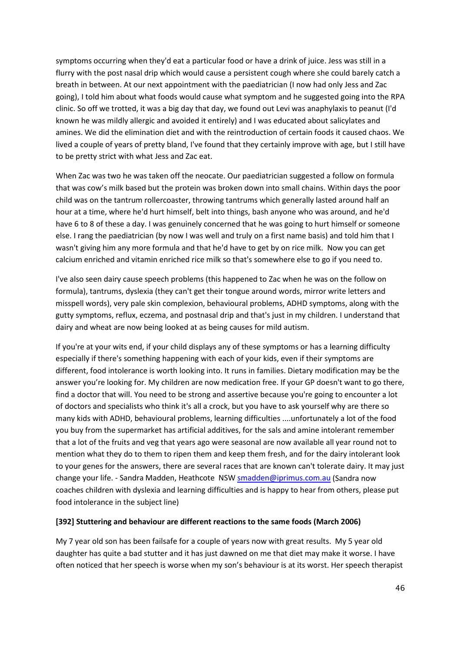symptoms occurring when they'd eat a particular food or have a drink of juice. Jess was still in a flurry with the post nasal drip which would cause a persistent cough where she could barely catch a breath in between. At our next appointment with the paediatrician (I now had only Jess and Zac going), I told him about what foods would cause what symptom and he suggested going into the RPA clinic. So off we trotted, it was a big day that day, we found out Levi was anaphylaxis to peanut (I'd known he was mildly allergic and avoided it entirely) and I was educated about salicylates and amines. We did the elimination diet and with the reintroduction of certain foods it caused chaos. We lived a couple of years of pretty bland, I've found that they certainly improve with age, but I still have to be pretty strict with what Jess and Zac eat.

When Zac was two he was taken off the neocate. Our paediatrician suggested a follow on formula that was cow's milk based but the protein was broken down into small chains. Within days the poor child was on the tantrum rollercoaster, throwing tantrums which generally lasted around half an hour at a time, where he'd hurt himself, belt into things, bash anyone who was around, and he'd have 6 to 8 of these a day. I was genuinely concerned that he was going to hurt himself or someone else. I rang the paediatrician (by now I was well and truly on a first name basis) and told him that I wasn't giving him any more formula and that he'd have to get by on rice milk. Now you can get calcium enriched and vitamin enriched rice milk so that's somewhere else to go if you need to.

I've also seen dairy cause speech problems (this happened to Zac when he was on the follow on formula), tantrums, dyslexia (they can't get their tongue around words, mirror write letters and misspell words), very pale skin complexion, behavioural problems, ADHD symptoms, along with the gutty symptoms, reflux, eczema, and postnasal drip and that's just in my children. I understand that dairy and wheat are now being looked at as being causes for mild autism.

If you're at your wits end, if your child displays any of these symptoms or has a learning difficulty especially if there's something happening with each of your kids, even if their symptoms are different, food intolerance is worth looking into. It runs in families. Dietary modification may be the answer you're looking for. My children are now medication free. If your GP doesn't want to go there, find a doctor that will. You need to be strong and assertive because you're going to encounter a lot of doctors and specialists who think it's all a crock, but you have to ask yourself why are there so many kids with ADHD, behavioural problems, learning difficulties ....unfortunately a lot of the food you buy from the supermarket has artificial additives, for the sals and amine intolerant remember that a lot of the fruits and veg that years ago were seasonal are now available all year round not to mention what they do to them to ripen them and keep them fresh, and for the dairy intolerant look to your genes for the answers, there are several races that are known can't tolerate dairy. It may just change your life. - Sandra Madden, Heathcote NSW [smadden@iprimus.com.au](mailto:smadden@iprimus.com.au) (Sandra now coaches children with dyslexia and learning difficulties and is happy to hear from others, please put food intolerance in the subject line)

#### **[392] Stuttering and behaviour are different reactions to the same foods (March 2006)**

My 7 year old son has been failsafe for a couple of years now with great results. My 5 year old daughter has quite a bad stutter and it has just dawned on me that diet may make it worse. I have often noticed that her speech is worse when my son's behaviour is at its worst. Her speech therapist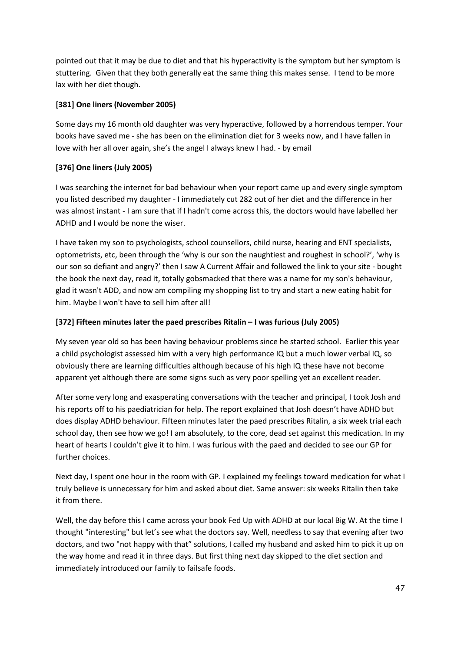pointed out that it may be due to diet and that his hyperactivity is the symptom but her symptom is stuttering. Given that they both generally eat the same thing this makes sense. I tend to be more lax with her diet though.

## **[381] One liners (November 2005)**

Some days my 16 month old daughter was very hyperactive, followed by a horrendous temper. Your books have saved me - she has been on the elimination diet for 3 weeks now, and I have fallen in love with her all over again, she's the angel I always knew I had. - by email

# **[376] One liners (July 2005)**

I was searching the internet for bad behaviour when your report came up and every single symptom you listed described my daughter - I immediately cut 282 out of her diet and the difference in her was almost instant - I am sure that if I hadn't come across this, the doctors would have labelled her ADHD and I would be none the wiser.

I have taken my son to psychologists, school counsellors, child nurse, hearing and ENT specialists, optometrists, etc, been through the 'why is our son the naughtiest and roughest in school?', 'why is our son so defiant and angry?' then I saw A Current Affair and followed the link to your site - bought the book the next day, read it, totally gobsmacked that there was a name for my son's behaviour, glad it wasn't ADD, and now am compiling my shopping list to try and start a new eating habit for him. Maybe I won't have to sell him after all!

## **[372] Fifteen minutes later the paed prescribes Ritalin – I was furious (July 2005)**

My seven year old so has been having behaviour problems since he started school. Earlier this year a child psychologist assessed him with a very high performance IQ but a much lower verbal IQ, so obviously there are learning difficulties although because of his high IQ these have not become apparent yet although there are some signs such as very poor spelling yet an excellent reader.

After some very long and exasperating conversations with the teacher and principal, I took Josh and his reports off to his paediatrician for help. The report explained that Josh doesn't have ADHD but does display ADHD behaviour. Fifteen minutes later the paed prescribes Ritalin, a six week trial each school day, then see how we go! I am absolutely, to the core, dead set against this medication. In my heart of hearts I couldn't give it to him. I was furious with the paed and decided to see our GP for further choices.

Next day, I spent one hour in the room with GP. I explained my feelings toward medication for what I truly believe is unnecessary for him and asked about diet. Same answer: six weeks Ritalin then take it from there.

Well, the day before this I came across your book Fed Up with ADHD at our local Big W. At the time I thought "interesting" but let's see what the doctors say. Well, needless to say that evening after two doctors, and two "not happy with that" solutions, I called my husband and asked him to pick it up on the way home and read it in three days. But first thing next day skipped to the diet section and immediately introduced our family to failsafe foods.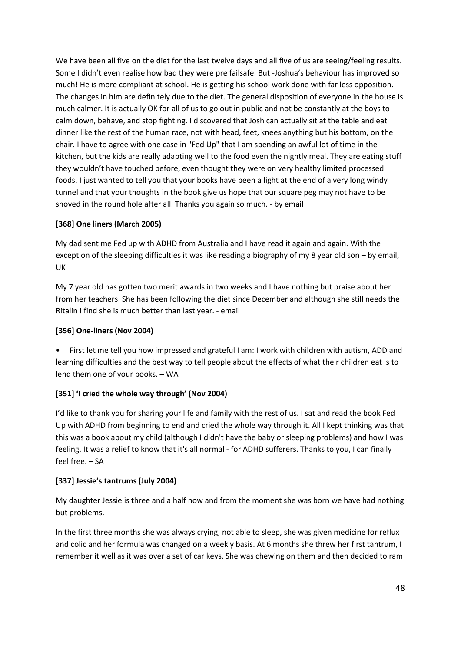We have been all five on the diet for the last twelve days and all five of us are seeing/feeling results. Some I didn't even realise how bad they were pre failsafe. But -Joshua's behaviour has improved so much! He is more compliant at school. He is getting his school work done with far less opposition. The changes in him are definitely due to the diet. The general disposition of everyone in the house is much calmer. It is actually OK for all of us to go out in public and not be constantly at the boys to calm down, behave, and stop fighting. I discovered that Josh can actually sit at the table and eat dinner like the rest of the human race, not with head, feet, knees anything but his bottom, on the chair. I have to agree with one case in "Fed Up" that I am spending an awful lot of time in the kitchen, but the kids are really adapting well to the food even the nightly meal. They are eating stuff they wouldn't have touched before, even thought they were on very healthy limited processed foods. I just wanted to tell you that your books have been a light at the end of a very long windy tunnel and that your thoughts in the book give us hope that our square peg may not have to be shoved in the round hole after all. Thanks you again so much. - by email

## **[368] One liners (March 2005)**

My dad sent me Fed up with ADHD from Australia and I have read it again and again. With the exception of the sleeping difficulties it was like reading a biography of my 8 year old son – by email, UK

My 7 year old has gotten two merit awards in two weeks and I have nothing but praise about her from her teachers. She has been following the diet since December and although she still needs the Ritalin I find she is much better than last year. - email

### **[356] One-liners (Nov 2004)**

• First let me tell you how impressed and grateful I am: I work with children with autism, ADD and learning difficulties and the best way to tell people about the effects of what their children eat is to lend them one of your books. – WA

# **[351] 'I cried the whole way through' (Nov 2004)**

I'd like to thank you for sharing your life and family with the rest of us. I sat and read the book Fed Up with ADHD from beginning to end and cried the whole way through it. All I kept thinking was that this was a book about my child (although I didn't have the baby or sleeping problems) and how I was feeling. It was a relief to know that it's all normal - for ADHD sufferers. Thanks to you, I can finally feel free. – SA

### **[337] Jessie's tantrums (July 2004)**

My daughter Jessie is three and a half now and from the moment she was born we have had nothing but problems.

In the first three months she was always crying, not able to sleep, she was given medicine for reflux and colic and her formula was changed on a weekly basis. At 6 months she threw her first tantrum, I remember it well as it was over a set of car keys. She was chewing on them and then decided to ram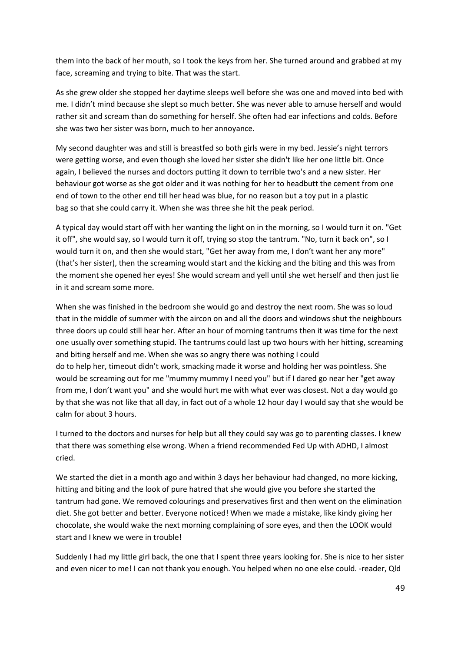them into the back of her mouth, so I took the keys from her. She turned around and grabbed at my face, screaming and trying to bite. That was the start.

As she grew older she stopped her daytime sleeps well before she was one and moved into bed with me. I didn't mind because she slept so much better. She was never able to amuse herself and would rather sit and scream than do something for herself. She often had ear infections and colds. Before she was two her sister was born, much to her annoyance.

My second daughter was and still is breastfed so both girls were in my bed. Jessie's night terrors were getting worse, and even though she loved her sister she didn't like her one little bit. Once again, I believed the nurses and doctors putting it down to terrible two's and a new sister. Her behaviour got worse as she got older and it was nothing for her to headbutt the cement from one end of town to the other end till her head was blue, for no reason but a toy put in a plastic bag so that she could carry it. When she was three she hit the peak period.

A typical day would start off with her wanting the light on in the morning, so I would turn it on. "Get it off", she would say, so I would turn it off, trying so stop the tantrum. "No, turn it back on", so I would turn it on, and then she would start, "Get her away from me, I don't want her any more" (that's her sister), then the screaming would start and the kicking and the biting and this was from the moment she opened her eyes! She would scream and yell until she wet herself and then just lie in it and scream some more.

When she was finished in the bedroom she would go and destroy the next room. She was so loud that in the middle of summer with the aircon on and all the doors and windows shut the neighbours three doors up could still hear her. After an hour of morning tantrums then it was time for the next one usually over something stupid. The tantrums could last up two hours with her hitting, screaming and biting herself and me. When she was so angry there was nothing I could do to help her, timeout didn't work, smacking made it worse and holding her was pointless. She would be screaming out for me "mummy mummy I need you" but if I dared go near her "get away from me, I don't want you" and she would hurt me with what ever was closest. Not a day would go by that she was not like that all day, in fact out of a whole 12 hour day I would say that she would be calm for about 3 hours.

I turned to the doctors and nurses for help but all they could say was go to parenting classes. I knew that there was something else wrong. When a friend recommended Fed Up with ADHD, I almost cried.

We started the diet in a month ago and within 3 days her behaviour had changed, no more kicking, hitting and biting and the look of pure hatred that she would give you before she started the tantrum had gone. We removed colourings and preservatives first and then went on the elimination diet. She got better and better. Everyone noticed! When we made a mistake, like kindy giving her chocolate, she would wake the next morning complaining of sore eyes, and then the LOOK would start and I knew we were in trouble!

Suddenly I had my little girl back, the one that I spent three years looking for. She is nice to her sister and even nicer to me! I can not thank you enough. You helped when no one else could. -reader, Qld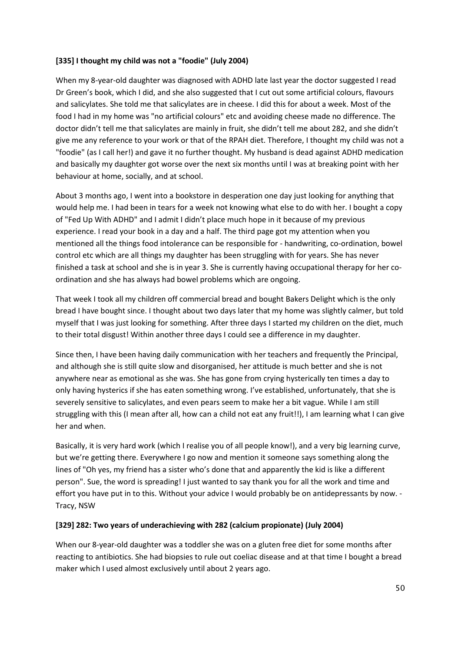### **[335] I thought my child was not a "foodie" (July 2004)**

When my 8-year-old daughter was diagnosed with ADHD late last year the doctor suggested I read Dr Green's book, which I did, and she also suggested that I cut out some artificial colours, flavours and salicylates. She told me that salicylates are in cheese. I did this for about a week. Most of the food I had in my home was "no artificial colours" etc and avoiding cheese made no difference. The doctor didn't tell me that salicylates are mainly in fruit, she didn't tell me about 282, and she didn't give me any reference to your work or that of the RPAH diet. Therefore, I thought my child was not a "foodie" (as I call her!) and gave it no further thought. My husband is dead against ADHD medication and basically my daughter got worse over the next six months until I was at breaking point with her behaviour at home, socially, and at school.

About 3 months ago, I went into a bookstore in desperation one day just looking for anything that would help me. I had been in tears for a week not knowing what else to do with her. I bought a copy of "Fed Up With ADHD" and I admit I didn't place much hope in it because of my previous experience. I read your book in a day and a half. The third page got my attention when you mentioned all the things food intolerance can be responsible for - handwriting, co-ordination, bowel control etc which are all things my daughter has been struggling with for years. She has never finished a task at school and she is in year 3. She is currently having occupational therapy for her coordination and she has always had bowel problems which are ongoing.

That week I took all my children off commercial bread and bought Bakers Delight which is the only bread I have bought since. I thought about two days later that my home was slightly calmer, but told myself that I was just looking for something. After three days I started my children on the diet, much to their total disgust! Within another three days I could see a difference in my daughter.

Since then, I have been having daily communication with her teachers and frequently the Principal, and although she is still quite slow and disorganised, her attitude is much better and she is not anywhere near as emotional as she was. She has gone from crying hysterically ten times a day to only having hysterics if she has eaten something wrong. I've established, unfortunately, that she is severely sensitive to salicylates, and even pears seem to make her a bit vague. While I am still struggling with this (I mean after all, how can a child not eat any fruit!!), I am learning what I can give her and when.

Basically, it is very hard work (which I realise you of all people know!), and a very big learning curve, but we're getting there. Everywhere I go now and mention it someone says something along the lines of "Oh yes, my friend has a sister who's done that and apparently the kid is like a different person". Sue, the word is spreading! I just wanted to say thank you for all the work and time and effort you have put in to this. Without your advice I would probably be on antidepressants by now. - Tracy, NSW

### **[329] 282: Two years of underachieving with 282 (calcium propionate) (July 2004)**

When our 8-year-old daughter was a toddler she was on a gluten free diet for some months after reacting to antibiotics. She had biopsies to rule out coeliac disease and at that time I bought a bread maker which I used almost exclusively until about 2 years ago.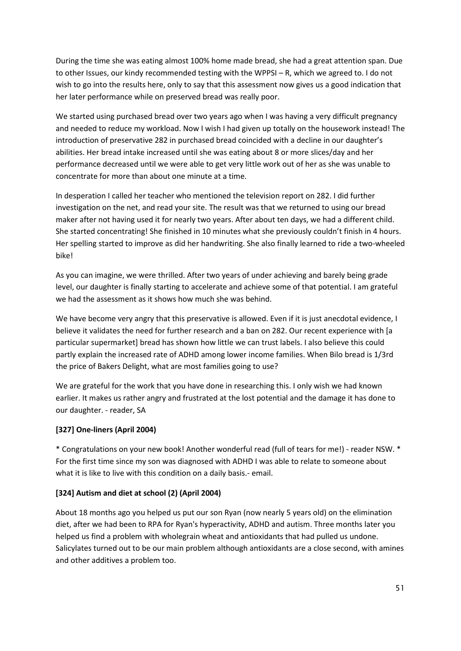During the time she was eating almost 100% home made bread, she had a great attention span. Due to other Issues, our kindy recommended testing with the WPPSI – R, which we agreed to. I do not wish to go into the results here, only to say that this assessment now gives us a good indication that her later performance while on preserved bread was really poor.

We started using purchased bread over two years ago when I was having a very difficult pregnancy and needed to reduce my workload. Now I wish I had given up totally on the housework instead! The introduction of preservative 282 in purchased bread coincided with a decline in our daughter's abilities. Her bread intake increased until she was eating about 8 or more slices/day and her performance decreased until we were able to get very little work out of her as she was unable to concentrate for more than about one minute at a time.

In desperation I called her teacher who mentioned the television report on 282. I did further investigation on the net, and read your site. The result was that we returned to using our bread maker after not having used it for nearly two years. After about ten days, we had a different child. She started concentrating! She finished in 10 minutes what she previously couldn't finish in 4 hours. Her spelling started to improve as did her handwriting. She also finally learned to ride a two-wheeled bike!

As you can imagine, we were thrilled. After two years of under achieving and barely being grade level, our daughter is finally starting to accelerate and achieve some of that potential. I am grateful we had the assessment as it shows how much she was behind.

We have become very angry that this preservative is allowed. Even if it is just anecdotal evidence, I believe it validates the need for further research and a ban on 282. Our recent experience with [a particular supermarket] bread has shown how little we can trust labels. I also believe this could partly explain the increased rate of ADHD among lower income families. When Bilo bread is 1/3rd the price of Bakers Delight, what are most families going to use?

We are grateful for the work that you have done in researching this. I only wish we had known earlier. It makes us rather angry and frustrated at the lost potential and the damage it has done to our daughter. - reader, SA

### **[327] One-liners (April 2004)**

\* Congratulations on your new book! Another wonderful read (full of tears for me!) - reader NSW. \* For the first time since my son was diagnosed with ADHD I was able to relate to someone about what it is like to live with this condition on a daily basis.- email.

### **[324] Autism and diet at school (2) (April 2004)**

About 18 months ago you helped us put our son Ryan (now nearly 5 years old) on the elimination diet, after we had been to RPA for Ryan's hyperactivity, ADHD and autism. Three months later you helped us find a problem with wholegrain wheat and antioxidants that had pulled us undone. Salicylates turned out to be our main problem although antioxidants are a close second, with amines and other additives a problem too.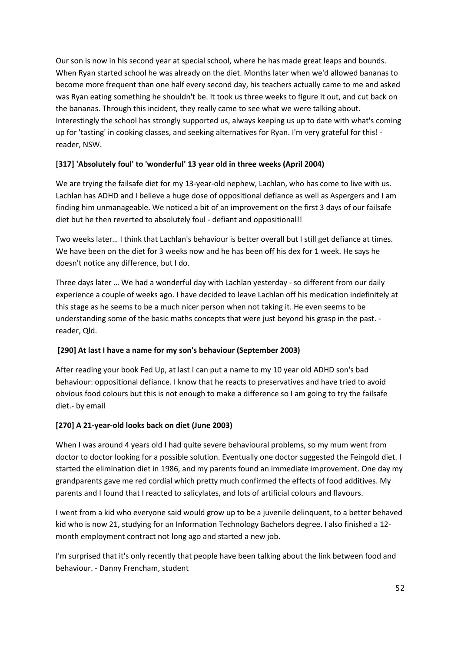Our son is now in his second year at special school, where he has made great leaps and bounds. When Ryan started school he was already on the diet. Months later when we'd allowed bananas to become more frequent than one half every second day, his teachers actually came to me and asked was Ryan eating something he shouldn't be. It took us three weeks to figure it out, and cut back on the bananas. Through this incident, they really came to see what we were talking about. Interestingly the school has strongly supported us, always keeping us up to date with what's coming up for 'tasting' in cooking classes, and seeking alternatives for Ryan. I'm very grateful for this! reader, NSW.

## **[317] 'Absolutely foul' to 'wonderful' 13 year old in three weeks (April 2004)**

We are trying the failsafe diet for my 13-year-old nephew, Lachlan, who has come to live with us. Lachlan has ADHD and I believe a huge dose of oppositional defiance as well as Aspergers and I am finding him unmanageable. We noticed a bit of an improvement on the first 3 days of our failsafe diet but he then reverted to absolutely foul - defiant and oppositional!!

Two weeks later… I think that Lachlan's behaviour is better overall but I still get defiance at times. We have been on the diet for 3 weeks now and he has been off his dex for 1 week. He says he doesn't notice any difference, but I do.

Three days later … We had a wonderful day with Lachlan yesterday - so different from our daily experience a couple of weeks ago. I have decided to leave Lachlan off his medication indefinitely at this stage as he seems to be a much nicer person when not taking it. He even seems to be understanding some of the basic maths concepts that were just beyond his grasp in the past. reader, Qld.

### **[290] At last I have a name for my son's behaviour (September 2003)**

After reading your book Fed Up, at last I can put a name to my 10 year old ADHD son's bad behaviour: oppositional defiance. I know that he reacts to preservatives and have tried to avoid obvious food colours but this is not enough to make a difference so I am going to try the failsafe diet.- by email

### **[270] A 21-year-old looks back on diet (June 2003)**

When I was around 4 years old I had quite severe behavioural problems, so my mum went from doctor to doctor looking for a possible solution. Eventually one doctor suggested the Feingold diet. I started the elimination diet in 1986, and my parents found an immediate improvement. One day my grandparents gave me red cordial which pretty much confirmed the effects of food additives. My parents and I found that I reacted to salicylates, and lots of artificial colours and flavours.

I went from a kid who everyone said would grow up to be a juvenile delinquent, to a better behaved kid who is now 21, studying for an Information Technology Bachelors degree. I also finished a 12 month employment contract not long ago and started a new job.

I'm surprised that it's only recently that people have been talking about the link between food and behaviour. - Danny Frencham, student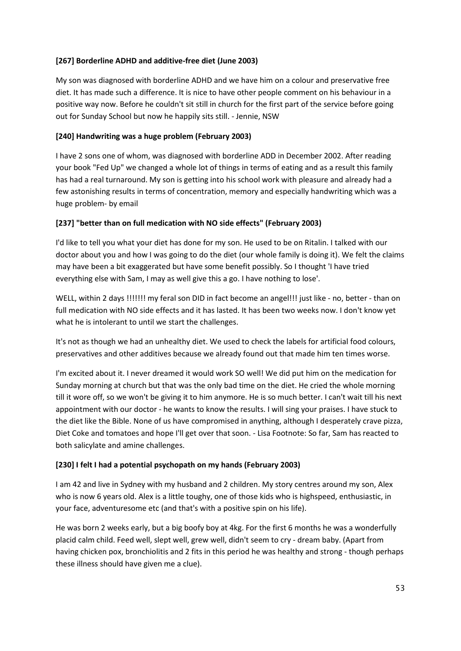### **[267] Borderline ADHD and additive-free diet (June 2003)**

My son was diagnosed with borderline ADHD and we have him on a colour and preservative free diet. It has made such a difference. It is nice to have other people comment on his behaviour in a positive way now. Before he couldn't sit still in church for the first part of the service before going out for Sunday School but now he happily sits still. - Jennie, NSW

## **[240] Handwriting was a huge problem (February 2003)**

I have 2 sons one of whom, was diagnosed with borderline ADD in December 2002. After reading your book "Fed Up" we changed a whole lot of things in terms of eating and as a result this family has had a real turnaround. My son is getting into his school work with pleasure and already had a few astonishing results in terms of concentration, memory and especially handwriting which was a huge problem- by email

## **[237] "better than on full medication with NO side effects" (February 2003)**

I'd like to tell you what your diet has done for my son. He used to be on Ritalin. I talked with our doctor about you and how I was going to do the diet (our whole family is doing it). We felt the claims may have been a bit exaggerated but have some benefit possibly. So I thought 'I have tried everything else with Sam, I may as well give this a go. I have nothing to lose'.

WELL, within 2 days !!!!!!! my feral son DID in fact become an angel!!! just like - no, better - than on full medication with NO side effects and it has lasted. It has been two weeks now. I don't know yet what he is intolerant to until we start the challenges.

It's not as though we had an unhealthy diet. We used to check the labels for artificial food colours, preservatives and other additives because we already found out that made him ten times worse.

I'm excited about it. I never dreamed it would work SO well! We did put him on the medication for Sunday morning at church but that was the only bad time on the diet. He cried the whole morning till it wore off, so we won't be giving it to him anymore. He is so much better. I can't wait till his next appointment with our doctor - he wants to know the results. I will sing your praises. I have stuck to the diet like the Bible. None of us have compromised in anything, although I desperately crave pizza, Diet Coke and tomatoes and hope I'll get over that soon. - Lisa Footnote: So far, Sam has reacted to both salicylate and amine challenges.

# **[230] I felt I had a potential psychopath on my hands (February 2003)**

I am 42 and live in Sydney with my husband and 2 children. My story centres around my son, Alex who is now 6 years old. Alex is a little toughy, one of those kids who is highspeed, enthusiastic, in your face, adventuresome etc (and that's with a positive spin on his life).

He was born 2 weeks early, but a big boofy boy at 4kg. For the first 6 months he was a wonderfully placid calm child. Feed well, slept well, grew well, didn't seem to cry - dream baby. (Apart from having chicken pox, bronchiolitis and 2 fits in this period he was healthy and strong - though perhaps these illness should have given me a clue).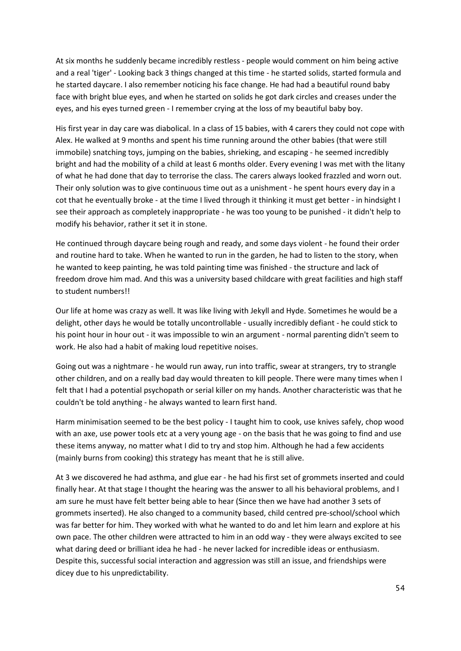At six months he suddenly became incredibly restless - people would comment on him being active and a real 'tiger' - Looking back 3 things changed at this time - he started solids, started formula and he started daycare. I also remember noticing his face change. He had had a beautiful round baby face with bright blue eyes, and when he started on solids he got dark circles and creases under the eyes, and his eyes turned green - I remember crying at the loss of my beautiful baby boy.

His first year in day care was diabolical. In a class of 15 babies, with 4 carers they could not cope with Alex. He walked at 9 months and spent his time running around the other babies (that were still immobile) snatching toys, jumping on the babies, shrieking, and escaping - he seemed incredibly bright and had the mobility of a child at least 6 months older. Every evening I was met with the litany of what he had done that day to terrorise the class. The carers always looked frazzled and worn out. Their only solution was to give continuous time out as a unishment - he spent hours every day in a cot that he eventually broke - at the time I lived through it thinking it must get better - in hindsight I see their approach as completely inappropriate - he was too young to be punished - it didn't help to modify his behavior, rather it set it in stone.

He continued through daycare being rough and ready, and some days violent - he found their order and routine hard to take. When he wanted to run in the garden, he had to listen to the story, when he wanted to keep painting, he was told painting time was finished - the structure and lack of freedom drove him mad. And this was a university based childcare with great facilities and high staff to student numbers!!

Our life at home was crazy as well. It was like living with Jekyll and Hyde. Sometimes he would be a delight, other days he would be totally uncontrollable - usually incredibly defiant - he could stick to his point hour in hour out - it was impossible to win an argument - normal parenting didn't seem to work. He also had a habit of making loud repetitive noises.

Going out was a nightmare - he would run away, run into traffic, swear at strangers, try to strangle other children, and on a really bad day would threaten to kill people. There were many times when I felt that I had a potential psychopath or serial killer on my hands. Another characteristic was that he couldn't be told anything - he always wanted to learn first hand.

Harm minimisation seemed to be the best policy - I taught him to cook, use knives safely, chop wood with an axe, use power tools etc at a very young age - on the basis that he was going to find and use these items anyway, no matter what I did to try and stop him. Although he had a few accidents (mainly burns from cooking) this strategy has meant that he is still alive.

At 3 we discovered he had asthma, and glue ear - he had his first set of grommets inserted and could finally hear. At that stage I thought the hearing was the answer to all his behavioral problems, and I am sure he must have felt better being able to hear (Since then we have had another 3 sets of grommets inserted). He also changed to a community based, child centred pre-school/school which was far better for him. They worked with what he wanted to do and let him learn and explore at his own pace. The other children were attracted to him in an odd way - they were always excited to see what daring deed or brilliant idea he had - he never lacked for incredible ideas or enthusiasm. Despite this, successful social interaction and aggression was still an issue, and friendships were dicey due to his unpredictability.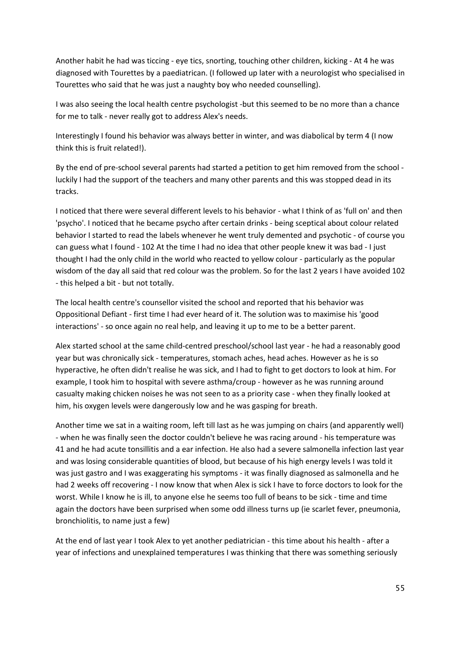Another habit he had was ticcing - eye tics, snorting, touching other children, kicking - At 4 he was diagnosed with Tourettes by a paediatrican. (I followed up later with a neurologist who specialised in Tourettes who said that he was just a naughty boy who needed counselling).

I was also seeing the local health centre psychologist -but this seemed to be no more than a chance for me to talk - never really got to address Alex's needs.

Interestingly I found his behavior was always better in winter, and was diabolical by term 4 (I now think this is fruit related!).

By the end of pre-school several parents had started a petition to get him removed from the school luckily I had the support of the teachers and many other parents and this was stopped dead in its tracks.

I noticed that there were several different levels to his behavior - what I think of as 'full on' and then 'psycho'. I noticed that he became psycho after certain drinks - being sceptical about colour related behavior I started to read the labels whenever he went truly demented and psychotic - of course you can guess what I found - 102 At the time I had no idea that other people knew it was bad - I just thought I had the only child in the world who reacted to yellow colour - particularly as the popular wisdom of the day all said that red colour was the problem. So for the last 2 years I have avoided 102 - this helped a bit - but not totally.

The local health centre's counsellor visited the school and reported that his behavior was Oppositional Defiant - first time I had ever heard of it. The solution was to maximise his 'good interactions' - so once again no real help, and leaving it up to me to be a better parent.

Alex started school at the same child-centred preschool/school last year - he had a reasonably good year but was chronically sick - temperatures, stomach aches, head aches. However as he is so hyperactive, he often didn't realise he was sick, and I had to fight to get doctors to look at him. For example, I took him to hospital with severe asthma/croup - however as he was running around casualty making chicken noises he was not seen to as a priority case - when they finally looked at him, his oxygen levels were dangerously low and he was gasping for breath.

Another time we sat in a waiting room, left till last as he was jumping on chairs (and apparently well) - when he was finally seen the doctor couldn't believe he was racing around - his temperature was 41 and he had acute tonsillitis and a ear infection. He also had a severe salmonella infection last year and was losing considerable quantities of blood, but because of his high energy levels I was told it was just gastro and I was exaggerating his symptoms - it was finally diagnosed as salmonella and he had 2 weeks off recovering - I now know that when Alex is sick I have to force doctors to look for the worst. While I know he is ill, to anyone else he seems too full of beans to be sick - time and time again the doctors have been surprised when some odd illness turns up (ie scarlet fever, pneumonia, bronchiolitis, to name just a few)

At the end of last year I took Alex to yet another pediatrician - this time about his health - after a year of infections and unexplained temperatures I was thinking that there was something seriously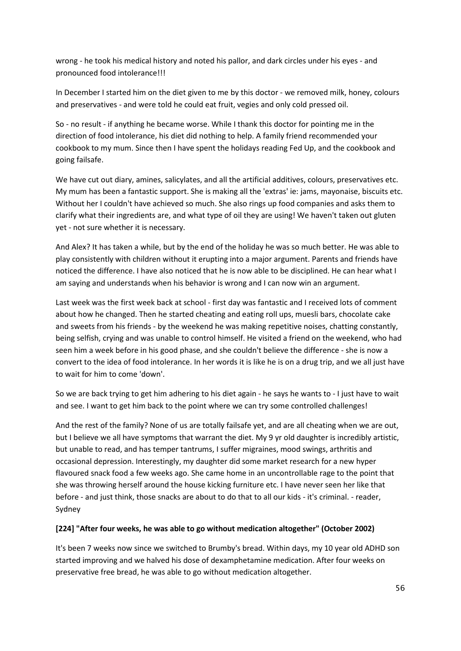wrong - he took his medical history and noted his pallor, and dark circles under his eyes - and pronounced food intolerance!!!

In December I started him on the diet given to me by this doctor - we removed milk, honey, colours and preservatives - and were told he could eat fruit, vegies and only cold pressed oil.

So - no result - if anything he became worse. While I thank this doctor for pointing me in the direction of food intolerance, his diet did nothing to help. A family friend recommended your cookbook to my mum. Since then I have spent the holidays reading Fed Up, and the cookbook and going failsafe.

We have cut out diary, amines, salicylates, and all the artificial additives, colours, preservatives etc. My mum has been a fantastic support. She is making all the 'extras' ie: jams, mayonaise, biscuits etc. Without her I couldn't have achieved so much. She also rings up food companies and asks them to clarify what their ingredients are, and what type of oil they are using! We haven't taken out gluten yet - not sure whether it is necessary.

And Alex? It has taken a while, but by the end of the holiday he was so much better. He was able to play consistently with children without it erupting into a major argument. Parents and friends have noticed the difference. I have also noticed that he is now able to be disciplined. He can hear what I am saying and understands when his behavior is wrong and I can now win an argument.

Last week was the first week back at school - first day was fantastic and I received lots of comment about how he changed. Then he started cheating and eating roll ups, muesli bars, chocolate cake and sweets from his friends - by the weekend he was making repetitive noises, chatting constantly, being selfish, crying and was unable to control himself. He visited a friend on the weekend, who had seen him a week before in his good phase, and she couldn't believe the difference - she is now a convert to the idea of food intolerance. In her words it is like he is on a drug trip, and we all just have to wait for him to come 'down'.

So we are back trying to get him adhering to his diet again - he says he wants to - I just have to wait and see. I want to get him back to the point where we can try some controlled challenges!

And the rest of the family? None of us are totally failsafe yet, and are all cheating when we are out, but I believe we all have symptoms that warrant the diet. My 9 yr old daughter is incredibly artistic, but unable to read, and has temper tantrums, I suffer migraines, mood swings, arthritis and occasional depression. Interestingly, my daughter did some market research for a new hyper flavoured snack food a few weeks ago. She came home in an uncontrollable rage to the point that she was throwing herself around the house kicking furniture etc. I have never seen her like that before - and just think, those snacks are about to do that to all our kids - it's criminal. - reader, Sydney

### **[224] "After four weeks, he was able to go without medication altogether" (October 2002)**

It's been 7 weeks now since we switched to Brumby's bread. Within days, my 10 year old ADHD son started improving and we halved his dose of dexamphetamine medication. After four weeks on preservative free bread, he was able to go without medication altogether.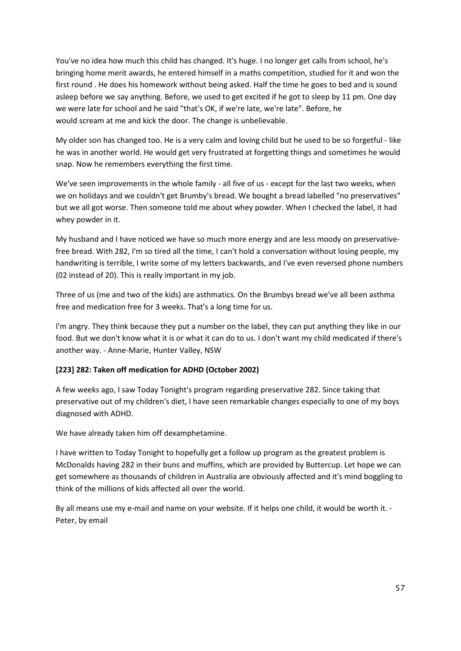You've no idea how much this child has changed. It's huge. I no longer get calls from school, he's bringing home merit awards, he entered himself in a maths competition, studied for it and won the first round . He does his homework without being asked. Half the time he goes to bed and is sound asleep before we say anything. Before, we used to get excited if he got to sleep by 11 pm. One day we were late for school and he said "that's OK, if we're late, we're late". Before, he would scream at me and kick the door. The change is unbelievable.

My older son has changed too. He is a very calm and loving child but he used to be so forgetful - like he was in another world. He would get very frustrated at forgetting things and sometimes he would snap. Now he remembers everything the first time.

We've seen improvements in the whole family - all five of us - except for the last two weeks, when we on holidays and we couldn't get Brumby's bread. We bought a bread labelled "no preservatives" but we all got worse. Then someone told me about whey powder. When I checked the label, it had whey powder in it.

My husband and I have noticed we have so much more energy and are less moody on preservativefree bread. With 282, I'm so tired all the time, I can't hold a conversation without losing people, my handwriting is terrible, I write some of my letters backwards, and I've even reversed phone numbers (02 instead of 20). This is really important in my job.

Three of us (me and two of the kids) are asthmatics. On the Brumbys bread we've all been asthma free and medication free for 3 weeks. That's a long time for us.

I'm angry. They think because they put a number on the label, they can put anything they like in our food. But we don't know what it is or what it can do to us. I don't want my child medicated if there's another way. - Anne-Marie, Hunter Valley, NSW

### **[223] 282: Taken off medication for ADHD (October 2002)**

A few weeks ago, I saw Today Tonight's program regarding preservative 282. Since taking that preservative out of my children's diet, I have seen remarkable changes especially to one of my boys diagnosed with ADHD.

We have already taken him off dexamphetamine.

I have written to Today Tonight to hopefully get a follow up program as the greatest problem is McDonalds having 282 in their buns and muffins, which are provided by Buttercup. Let hope we can get somewhere as thousands of children in Australia are obviously affected and it's mind boggling to think of the millions of kids affected all over the world.

By all means use my e-mail and name on your website. If it helps one child, it would be worth it. - Peter, by email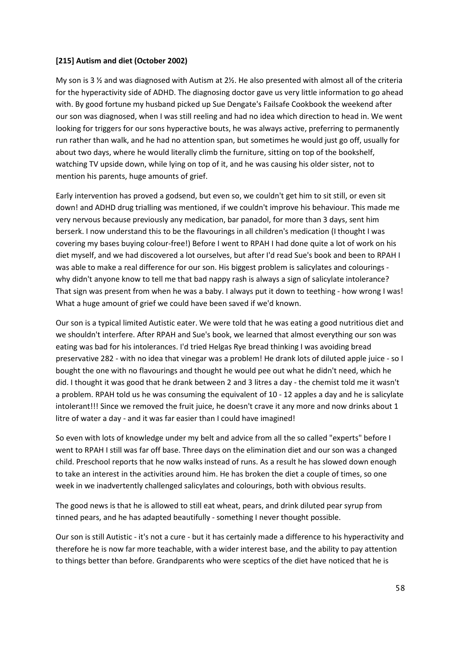### **[215] Autism and diet (October 2002)**

My son is 3  $\frac{1}{2}$  and was diagnosed with Autism at 2 $\frac{1}{2}$ . He also presented with almost all of the criteria for the hyperactivity side of ADHD. The diagnosing doctor gave us very little information to go ahead with. By good fortune my husband picked up Sue Dengate's Failsafe Cookbook the weekend after our son was diagnosed, when I was still reeling and had no idea which direction to head in. We went looking for triggers for our sons hyperactive bouts, he was always active, preferring to permanently run rather than walk, and he had no attention span, but sometimes he would just go off, usually for about two days, where he would literally climb the furniture, sitting on top of the bookshelf, watching TV upside down, while lying on top of it, and he was causing his older sister, not to mention his parents, huge amounts of grief.

Early intervention has proved a godsend, but even so, we couldn't get him to sit still, or even sit down! and ADHD drug trialling was mentioned, if we couldn't improve his behaviour. This made me very nervous because previously any medication, bar panadol, for more than 3 days, sent him berserk. I now understand this to be the flavourings in all children's medication (I thought I was covering my bases buying colour-free!) Before I went to RPAH I had done quite a lot of work on his diet myself, and we had discovered a lot ourselves, but after I'd read Sue's book and been to RPAH I was able to make a real difference for our son. His biggest problem is salicylates and colourings why didn't anyone know to tell me that bad nappy rash is always a sign of salicylate intolerance? That sign was present from when he was a baby. I always put it down to teething - how wrong I was! What a huge amount of grief we could have been saved if we'd known.

Our son is a typical limited Autistic eater. We were told that he was eating a good nutritious diet and we shouldn't interfere. After RPAH and Sue's book, we learned that almost everything our son was eating was bad for his intolerances. I'd tried Helgas Rye bread thinking I was avoiding bread preservative 282 - with no idea that vinegar was a problem! He drank lots of diluted apple juice - so I bought the one with no flavourings and thought he would pee out what he didn't need, which he did. I thought it was good that he drank between 2 and 3 litres a day - the chemist told me it wasn't a problem. RPAH told us he was consuming the equivalent of 10 - 12 apples a day and he is salicylate intolerant!!! Since we removed the fruit juice, he doesn't crave it any more and now drinks about 1 litre of water a day - and it was far easier than I could have imagined!

So even with lots of knowledge under my belt and advice from all the so called "experts" before I went to RPAH I still was far off base. Three days on the elimination diet and our son was a changed child. Preschool reports that he now walks instead of runs. As a result he has slowed down enough to take an interest in the activities around him. He has broken the diet a couple of times, so one week in we inadvertently challenged salicylates and colourings, both with obvious results.

The good news is that he is allowed to still eat wheat, pears, and drink diluted pear syrup from tinned pears, and he has adapted beautifully - something I never thought possible.

Our son is still Autistic - it's not a cure - but it has certainly made a difference to his hyperactivity and therefore he is now far more teachable, with a wider interest base, and the ability to pay attention to things better than before. Grandparents who were sceptics of the diet have noticed that he is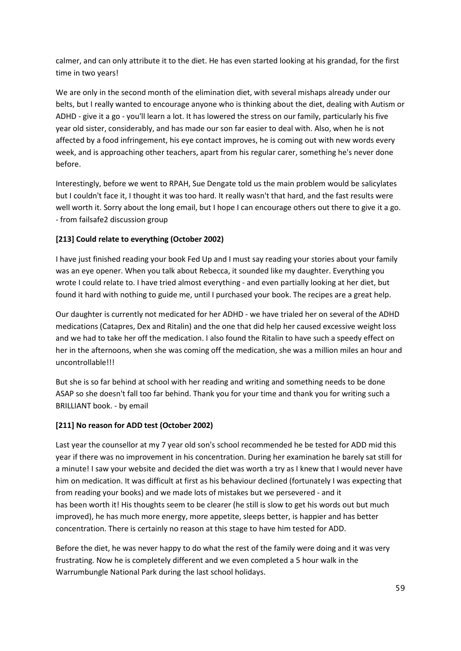calmer, and can only attribute it to the diet. He has even started looking at his grandad, for the first time in two years!

We are only in the second month of the elimination diet, with several mishaps already under our belts, but I really wanted to encourage anyone who is thinking about the diet, dealing with Autism or ADHD - give it a go - you'll learn a lot. It has lowered the stress on our family, particularly his five year old sister, considerably, and has made our son far easier to deal with. Also, when he is not affected by a food infringement, his eye contact improves, he is coming out with new words every week, and is approaching other teachers, apart from his regular carer, something he's never done before.

Interestingly, before we went to RPAH, Sue Dengate told us the main problem would be salicylates but I couldn't face it, I thought it was too hard. It really wasn't that hard, and the fast results were well worth it. Sorry about the long email, but I hope I can encourage others out there to give it a go. - from failsafe2 discussion group

# **[213] Could relate to everything (October 2002)**

I have just finished reading your book Fed Up and I must say reading your stories about your family was an eye opener. When you talk about Rebecca, it sounded like my daughter. Everything you wrote I could relate to. I have tried almost everything - and even partially looking at her diet, but found it hard with nothing to guide me, until I purchased your book. The recipes are a great help.

Our daughter is currently not medicated for her ADHD - we have trialed her on several of the ADHD medications (Catapres, Dex and Ritalin) and the one that did help her caused excessive weight loss and we had to take her off the medication. I also found the Ritalin to have such a speedy effect on her in the afternoons, when she was coming off the medication, she was a million miles an hour and uncontrollable!!!

But she is so far behind at school with her reading and writing and something needs to be done ASAP so she doesn't fall too far behind. Thank you for your time and thank you for writing such a BRILLIANT book. - by email

# **[211] No reason for ADD test (October 2002)**

Last year the counsellor at my 7 year old son's school recommended he be tested for ADD mid this year if there was no improvement in his concentration. During her examination he barely sat still for a minute! I saw your website and decided the diet was worth a try as I knew that I would never have him on medication. It was difficult at first as his behaviour declined (fortunately I was expecting that from reading your books) and we made lots of mistakes but we persevered - and it has been worth it! His thoughts seem to be clearer (he still is slow to get his words out but much improved), he has much more energy, more appetite, sleeps better, is happier and has better concentration. There is certainly no reason at this stage to have him tested for ADD.

Before the diet, he was never happy to do what the rest of the family were doing and it was very frustrating. Now he is completely different and we even completed a 5 hour walk in the Warrumbungle National Park during the last school holidays.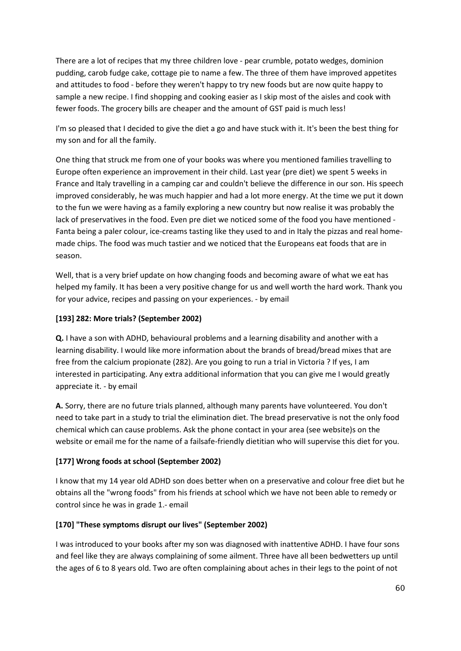There are a lot of recipes that my three children love - pear crumble, potato wedges, dominion pudding, carob fudge cake, cottage pie to name a few. The three of them have improved appetites and attitudes to food - before they weren't happy to try new foods but are now quite happy to sample a new recipe. I find shopping and cooking easier as I skip most of the aisles and cook with fewer foods. The grocery bills are cheaper and the amount of GST paid is much less!

I'm so pleased that I decided to give the diet a go and have stuck with it. It's been the best thing for my son and for all the family.

One thing that struck me from one of your books was where you mentioned families travelling to Europe often experience an improvement in their child. Last year (pre diet) we spent 5 weeks in France and Italy travelling in a camping car and couldn't believe the difference in our son. His speech improved considerably, he was much happier and had a lot more energy. At the time we put it down to the fun we were having as a family exploring a new country but now realise it was probably the lack of preservatives in the food. Even pre diet we noticed some of the food you have mentioned - Fanta being a paler colour, ice-creams tasting like they used to and in Italy the pizzas and real homemade chips. The food was much tastier and we noticed that the Europeans eat foods that are in season.

Well, that is a very brief update on how changing foods and becoming aware of what we eat has helped my family. It has been a very positive change for us and well worth the hard work. Thank you for your advice, recipes and passing on your experiences. - by email

## **[193] 282: More trials? (September 2002)**

**Q.** I have a son with ADHD, behavioural problems and a learning disability and another with a learning disability. I would like more information about the brands of bread/bread mixes that are free from the calcium propionate (282). Are you going to run a trial in Victoria ? If yes, I am interested in participating. Any extra additional information that you can give me I would greatly appreciate it. - by email

**A.** Sorry, there are no future trials planned, although many parents have volunteered. You don't need to take part in a study to trial the elimination diet. The bread preservative is not the only food chemical which can cause problems. Ask the phone contact in your area (see website)s on the website or email me for the name of a failsafe-friendly dietitian who will supervise this diet for you.

# **[177] Wrong foods at school (September 2002)**

I know that my 14 year old ADHD son does better when on a preservative and colour free diet but he obtains all the "wrong foods" from his friends at school which we have not been able to remedy or control since he was in grade 1.- email

# **[170] "These symptoms disrupt our lives" (September 2002)**

I was introduced to your books after my son was diagnosed with inattentive ADHD. I have four sons and feel like they are always complaining of some ailment. Three have all been bedwetters up until the ages of 6 to 8 years old. Two are often complaining about aches in their legs to the point of not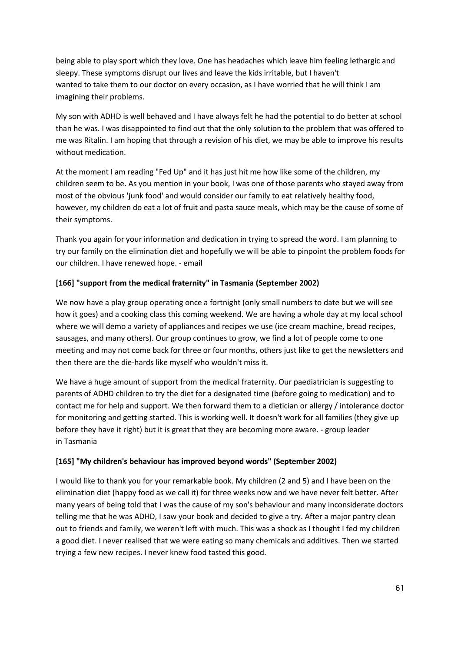being able to play sport which they love. One has headaches which leave him feeling lethargic and sleepy. These symptoms disrupt our lives and leave the kids irritable, but I haven't wanted to take them to our doctor on every occasion, as I have worried that he will think I am imagining their problems.

My son with ADHD is well behaved and I have always felt he had the potential to do better at school than he was. I was disappointed to find out that the only solution to the problem that was offered to me was Ritalin. I am hoping that through a revision of his diet, we may be able to improve his results without medication.

At the moment I am reading "Fed Up" and it has just hit me how like some of the children, my children seem to be. As you mention in your book, I was one of those parents who stayed away from most of the obvious 'junk food' and would consider our family to eat relatively healthy food, however, my children do eat a lot of fruit and pasta sauce meals, which may be the cause of some of their symptoms.

Thank you again for your information and dedication in trying to spread the word. I am planning to try our family on the elimination diet and hopefully we will be able to pinpoint the problem foods for our children. I have renewed hope. - email

## **[166] "support from the medical fraternity" in Tasmania (September 2002)**

We now have a play group operating once a fortnight (only small numbers to date but we will see how it goes) and a cooking class this coming weekend. We are having a whole day at my local school where we will demo a variety of appliances and recipes we use (ice cream machine, bread recipes, sausages, and many others). Our group continues to grow, we find a lot of people come to one meeting and may not come back for three or four months, others just like to get the newsletters and then there are the die-hards like myself who wouldn't miss it.

We have a huge amount of support from the medical fraternity. Our paediatrician is suggesting to parents of ADHD children to try the diet for a designated time (before going to medication) and to contact me for help and support. We then forward them to a dietician or allergy / intolerance doctor for monitoring and getting started. This is working well. It doesn't work for all families (they give up before they have it right) but it is great that they are becoming more aware. - group leader in Tasmania

### **[165] "My children's behaviour has improved beyond words" (September 2002)**

I would like to thank you for your remarkable book. My children (2 and 5) and I have been on the elimination diet (happy food as we call it) for three weeks now and we have never felt better. After many years of being told that I was the cause of my son's behaviour and many inconsiderate doctors telling me that he was ADHD, I saw your book and decided to give a try. After a major pantry clean out to friends and family, we weren't left with much. This was a shock as I thought I fed my children a good diet. I never realised that we were eating so many chemicals and additives. Then we started trying a few new recipes. I never knew food tasted this good.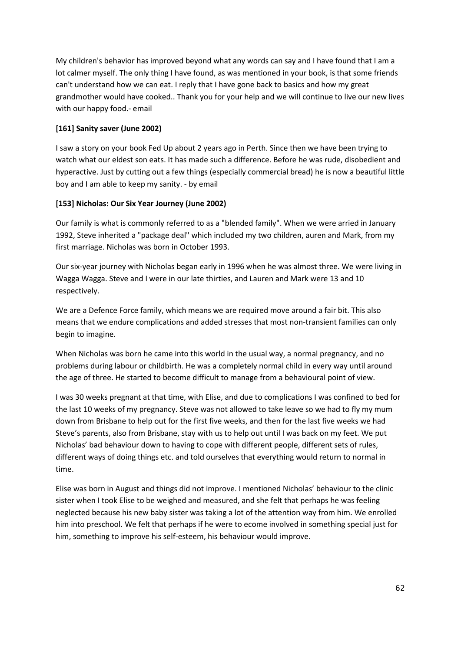My children's behavior has improved beyond what any words can say and I have found that I am a lot calmer myself. The only thing I have found, as was mentioned in your book, is that some friends can't understand how we can eat. I reply that I have gone back to basics and how my great grandmother would have cooked.. Thank you for your help and we will continue to live our new lives with our happy food.- email

## **[161] Sanity saver (June 2002)**

I saw a story on your book Fed Up about 2 years ago in Perth. Since then we have been trying to watch what our eldest son eats. It has made such a difference. Before he was rude, disobedient and hyperactive. Just by cutting out a few things (especially commercial bread) he is now a beautiful little boy and I am able to keep my sanity. - by email

## **[153] Nicholas: Our Six Year Journey (June 2002)**

Our family is what is commonly referred to as a "blended family". When we were arried in January 1992, Steve inherited a "package deal" which included my two children, auren and Mark, from my first marriage. Nicholas was born in October 1993.

Our six-year journey with Nicholas began early in 1996 when he was almost three. We were living in Wagga Wagga. Steve and I were in our late thirties, and Lauren and Mark were 13 and 10 respectively.

We are a Defence Force family, which means we are required move around a fair bit. This also means that we endure complications and added stresses that most non-transient families can only begin to imagine.

When Nicholas was born he came into this world in the usual way, a normal pregnancy, and no problems during labour or childbirth. He was a completely normal child in every way until around the age of three. He started to become difficult to manage from a behavioural point of view.

I was 30 weeks pregnant at that time, with Elise, and due to complications I was confined to bed for the last 10 weeks of my pregnancy. Steve was not allowed to take leave so we had to fly my mum down from Brisbane to help out for the first five weeks, and then for the last five weeks we had Steve's parents, also from Brisbane, stay with us to help out until I was back on my feet. We put Nicholas' bad behaviour down to having to cope with different people, different sets of rules, different ways of doing things etc. and told ourselves that everything would return to normal in time.

Elise was born in August and things did not improve. I mentioned Nicholas' behaviour to the clinic sister when I took Elise to be weighed and measured, and she felt that perhaps he was feeling neglected because his new baby sister was taking a lot of the attention way from him. We enrolled him into preschool. We felt that perhaps if he were to ecome involved in something special just for him, something to improve his self-esteem, his behaviour would improve.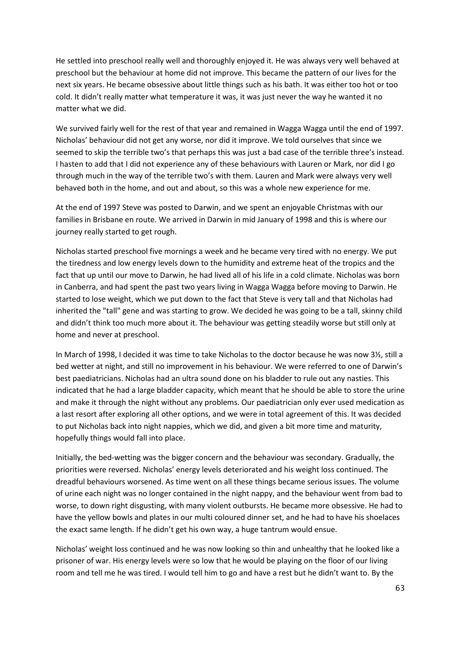He settled into preschool really well and thoroughly enjoyed it. He was always very well behaved at preschool but the behaviour at home did not improve. This became the pattern of our lives for the next six years. He became obsessive about little things such as his bath. It was either too hot or too cold. It didn't really matter what temperature it was, it was just never the way he wanted it no matter what we did.

We survived fairly well for the rest of that year and remained in Wagga Wagga until the end of 1997. Nicholas' behaviour did not get any worse, nor did it improve. We told ourselves that since we seemed to skip the terrible two's that perhaps this was just a bad case of the terrible three's instead. I hasten to add that I did not experience any of these behaviours with Lauren or Mark, nor did I go through much in the way of the terrible two's with them. Lauren and Mark were always very well behaved both in the home, and out and about, so this was a whole new experience for me.

At the end of 1997 Steve was posted to Darwin, and we spent an enjoyable Christmas with our families in Brisbane en route. We arrived in Darwin in mid January of 1998 and this is where our journey really started to get rough.

Nicholas started preschool five mornings a week and he became very tired with no energy. We put the tiredness and low energy levels down to the humidity and extreme heat of the tropics and the fact that up until our move to Darwin, he had lived all of his life in a cold climate. Nicholas was born in Canberra, and had spent the past two years living in Wagga Wagga before moving to Darwin. He started to lose weight, which we put down to the fact that Steve is very tall and that Nicholas had inherited the "tall" gene and was starting to grow. We decided he was going to be a tall, skinny child and didn't think too much more about it. The behaviour was getting steadily worse but still only at home and never at preschool.

In March of 1998, I decided it was time to take Nicholas to the doctor because he was now 3½, still a bed wetter at night, and still no improvement in his behaviour. We were referred to one of Darwin's best paediatricians. Nicholas had an ultra sound done on his bladder to rule out any nasties. This indicated that he had a large bladder capacity, which meant that he should be able to store the urine and make it through the night without any problems. Our paediatrician only ever used medication as a last resort after exploring all other options, and we were in total agreement of this. It was decided to put Nicholas back into night nappies, which we did, and given a bit more time and maturity, hopefully things would fall into place.

Initially, the bed-wetting was the bigger concern and the behaviour was secondary. Gradually, the priorities were reversed. Nicholas' energy levels deteriorated and his weight loss continued. The dreadful behaviours worsened. As time went on all these things became serious issues. The volume of urine each night was no longer contained in the night nappy, and the behaviour went from bad to worse, to down right disgusting, with many violent outbursts. He became more obsessive. He had to have the yellow bowls and plates in our multi coloured dinner set, and he had to have his shoelaces the exact same length. If he didn't get his own way, a huge tantrum would ensue.

Nicholas' weight loss continued and he was now looking so thin and unhealthy that he looked like a prisoner of war. His energy levels were so low that he would be playing on the floor of our living room and tell me he was tired. I would tell him to go and have a rest but he didn't want to. By the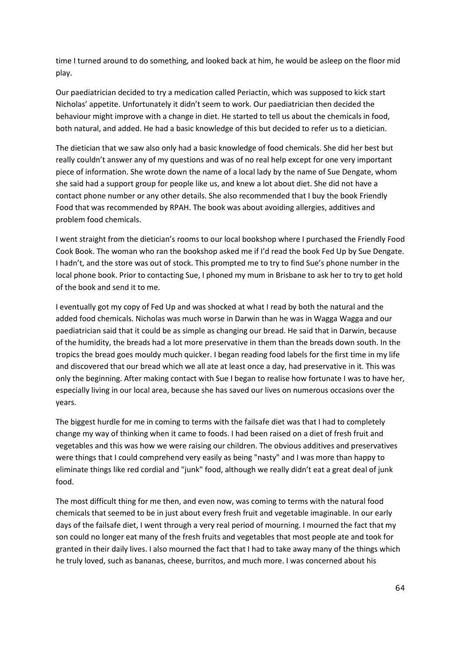time I turned around to do something, and looked back at him, he would be asleep on the floor mid play.

Our paediatrician decided to try a medication called Periactin, which was supposed to kick start Nicholas' appetite. Unfortunately it didn't seem to work. Our paediatrician then decided the behaviour might improve with a change in diet. He started to tell us about the chemicals in food, both natural, and added. He had a basic knowledge of this but decided to refer us to a dietician.

The dietician that we saw also only had a basic knowledge of food chemicals. She did her best but really couldn't answer any of my questions and was of no real help except for one very important piece of information. She wrote down the name of a local lady by the name of Sue Dengate, whom she said had a support group for people like us, and knew a lot about diet. She did not have a contact phone number or any other details. She also recommended that I buy the book Friendly Food that was recommended by RPAH. The book was about avoiding allergies, additives and problem food chemicals.

I went straight from the dietician's rooms to our local bookshop where I purchased the Friendly Food Cook Book. The woman who ran the bookshop asked me if I'd read the book Fed Up by Sue Dengate. I hadn't, and the store was out of stock. This prompted me to try to find Sue's phone number in the local phone book. Prior to contacting Sue, I phoned my mum in Brisbane to ask her to try to get hold of the book and send it to me.

I eventually got my copy of Fed Up and was shocked at what I read by both the natural and the added food chemicals. Nicholas was much worse in Darwin than he was in Wagga Wagga and our paediatrician said that it could be as simple as changing our bread. He said that in Darwin, because of the humidity, the breads had a lot more preservative in them than the breads down south. In the tropics the bread goes mouldy much quicker. I began reading food labels for the first time in my life and discovered that our bread which we all ate at least once a day, had preservative in it. This was only the beginning. After making contact with Sue I began to realise how fortunate I was to have her, especially living in our local area, because she has saved our lives on numerous occasions over the years.

The biggest hurdle for me in coming to terms with the failsafe diet was that I had to completely change my way of thinking when it came to foods. I had been raised on a diet of fresh fruit and vegetables and this was how we were raising our children. The obvious additives and preservatives were things that I could comprehend very easily as being "nasty" and I was more than happy to eliminate things like red cordial and "junk" food, although we really didn't eat a great deal of junk food.

The most difficult thing for me then, and even now, was coming to terms with the natural food chemicals that seemed to be in just about every fresh fruit and vegetable imaginable. In our early days of the failsafe diet, I went through a very real period of mourning. I mourned the fact that my son could no longer eat many of the fresh fruits and vegetables that most people ate and took for granted in their daily lives. I also mourned the fact that I had to take away many of the things which he truly loved, such as bananas, cheese, burritos, and much more. I was concerned about his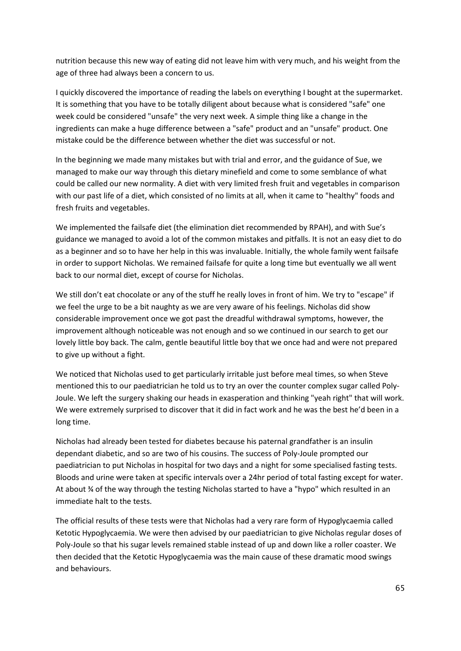nutrition because this new way of eating did not leave him with very much, and his weight from the age of three had always been a concern to us.

I quickly discovered the importance of reading the labels on everything I bought at the supermarket. It is something that you have to be totally diligent about because what is considered "safe" one week could be considered "unsafe" the very next week. A simple thing like a change in the ingredients can make a huge difference between a "safe" product and an "unsafe" product. One mistake could be the difference between whether the diet was successful or not.

In the beginning we made many mistakes but with trial and error, and the guidance of Sue, we managed to make our way through this dietary minefield and come to some semblance of what could be called our new normality. A diet with very limited fresh fruit and vegetables in comparison with our past life of a diet, which consisted of no limits at all, when it came to "healthy" foods and fresh fruits and vegetables.

We implemented the failsafe diet (the elimination diet recommended by RPAH), and with Sue's guidance we managed to avoid a lot of the common mistakes and pitfalls. It is not an easy diet to do as a beginner and so to have her help in this was invaluable. Initially, the whole family went failsafe in order to support Nicholas. We remained failsafe for quite a long time but eventually we all went back to our normal diet, except of course for Nicholas.

We still don't eat chocolate or any of the stuff he really loves in front of him. We try to "escape" if we feel the urge to be a bit naughty as we are very aware of his feelings. Nicholas did show considerable improvement once we got past the dreadful withdrawal symptoms, however, the improvement although noticeable was not enough and so we continued in our search to get our lovely little boy back. The calm, gentle beautiful little boy that we once had and were not prepared to give up without a fight.

We noticed that Nicholas used to get particularly irritable just before meal times, so when Steve mentioned this to our paediatrician he told us to try an over the counter complex sugar called Poly-Joule. We left the surgery shaking our heads in exasperation and thinking "yeah right" that will work. We were extremely surprised to discover that it did in fact work and he was the best he'd been in a long time.

Nicholas had already been tested for diabetes because his paternal grandfather is an insulin dependant diabetic, and so are two of his cousins. The success of Poly-Joule prompted our paediatrician to put Nicholas in hospital for two days and a night for some specialised fasting tests. Bloods and urine were taken at specific intervals over a 24hr period of total fasting except for water. At about ¾ of the way through the testing Nicholas started to have a "hypo" which resulted in an immediate halt to the tests.

The official results of these tests were that Nicholas had a very rare form of Hypoglycaemia called Ketotic Hypoglycaemia. We were then advised by our paediatrician to give Nicholas regular doses of Poly-Joule so that his sugar levels remained stable instead of up and down like a roller coaster. We then decided that the Ketotic Hypoglycaemia was the main cause of these dramatic mood swings and behaviours.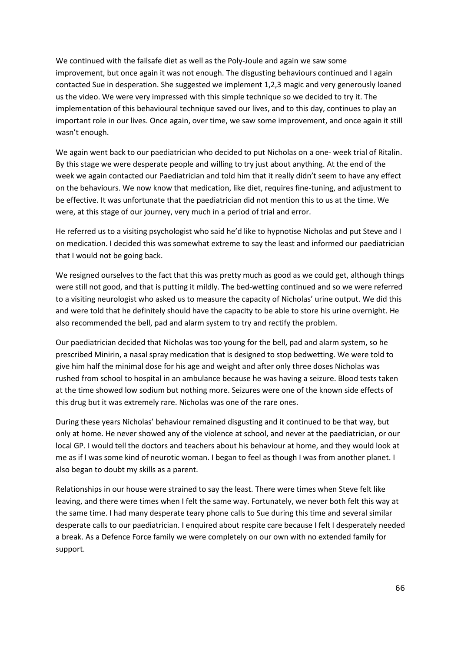We continued with the failsafe diet as well as the Poly-Joule and again we saw some improvement, but once again it was not enough. The disgusting behaviours continued and I again contacted Sue in desperation. She suggested we implement 1,2,3 magic and very generously loaned us the video. We were very impressed with this simple technique so we decided to try it. The implementation of this behavioural technique saved our lives, and to this day, continues to play an important role in our lives. Once again, over time, we saw some improvement, and once again it still wasn't enough.

We again went back to our paediatrician who decided to put Nicholas on a one- week trial of Ritalin. By this stage we were desperate people and willing to try just about anything. At the end of the week we again contacted our Paediatrician and told him that it really didn't seem to have any effect on the behaviours. We now know that medication, like diet, requires fine-tuning, and adjustment to be effective. It was unfortunate that the paediatrician did not mention this to us at the time. We were, at this stage of our journey, very much in a period of trial and error.

He referred us to a visiting psychologist who said he'd like to hypnotise Nicholas and put Steve and I on medication. I decided this was somewhat extreme to say the least and informed our paediatrician that I would not be going back.

We resigned ourselves to the fact that this was pretty much as good as we could get, although things were still not good, and that is putting it mildly. The bed-wetting continued and so we were referred to a visiting neurologist who asked us to measure the capacity of Nicholas' urine output. We did this and were told that he definitely should have the capacity to be able to store his urine overnight. He also recommended the bell, pad and alarm system to try and rectify the problem.

Our paediatrician decided that Nicholas was too young for the bell, pad and alarm system, so he prescribed Minirin, a nasal spray medication that is designed to stop bedwetting. We were told to give him half the minimal dose for his age and weight and after only three doses Nicholas was rushed from school to hospital in an ambulance because he was having a seizure. Blood tests taken at the time showed low sodium but nothing more. Seizures were one of the known side effects of this drug but it was extremely rare. Nicholas was one of the rare ones.

During these years Nicholas' behaviour remained disgusting and it continued to be that way, but only at home. He never showed any of the violence at school, and never at the paediatrician, or our local GP. I would tell the doctors and teachers about his behaviour at home, and they would look at me as if I was some kind of neurotic woman. I began to feel as though I was from another planet. I also began to doubt my skills as a parent.

Relationships in our house were strained to say the least. There were times when Steve felt like leaving, and there were times when I felt the same way. Fortunately, we never both felt this way at the same time. I had many desperate teary phone calls to Sue during this time and several similar desperate calls to our paediatrician. I enquired about respite care because I felt I desperately needed a break. As a Defence Force family we were completely on our own with no extended family for support.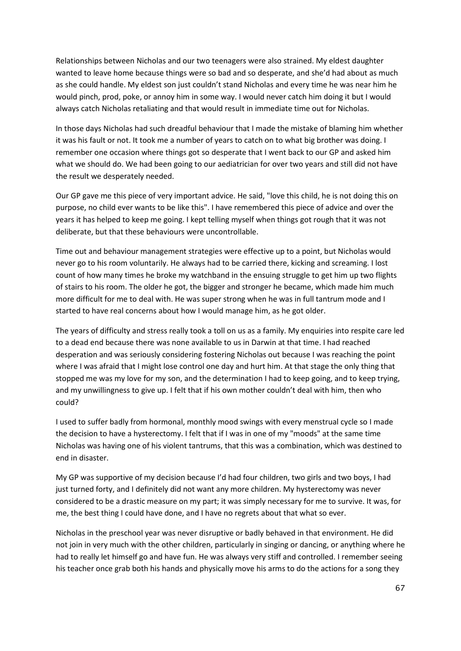Relationships between Nicholas and our two teenagers were also strained. My eldest daughter wanted to leave home because things were so bad and so desperate, and she'd had about as much as she could handle. My eldest son just couldn't stand Nicholas and every time he was near him he would pinch, prod, poke, or annoy him in some way. I would never catch him doing it but I would always catch Nicholas retaliating and that would result in immediate time out for Nicholas.

In those days Nicholas had such dreadful behaviour that I made the mistake of blaming him whether it was his fault or not. It took me a number of years to catch on to what big brother was doing. I remember one occasion where things got so desperate that I went back to our GP and asked him what we should do. We had been going to our aediatrician for over two years and still did not have the result we desperately needed.

Our GP gave me this piece of very important advice. He said, "love this child, he is not doing this on purpose, no child ever wants to be like this". I have remembered this piece of advice and over the years it has helped to keep me going. I kept telling myself when things got rough that it was not deliberate, but that these behaviours were uncontrollable.

Time out and behaviour management strategies were effective up to a point, but Nicholas would never go to his room voluntarily. He always had to be carried there, kicking and screaming. I lost count of how many times he broke my watchband in the ensuing struggle to get him up two flights of stairs to his room. The older he got, the bigger and stronger he became, which made him much more difficult for me to deal with. He was super strong when he was in full tantrum mode and I started to have real concerns about how I would manage him, as he got older.

The years of difficulty and stress really took a toll on us as a family. My enquiries into respite care led to a dead end because there was none available to us in Darwin at that time. I had reached desperation and was seriously considering fostering Nicholas out because I was reaching the point where I was afraid that I might lose control one day and hurt him. At that stage the only thing that stopped me was my love for my son, and the determination I had to keep going, and to keep trying, and my unwillingness to give up. I felt that if his own mother couldn't deal with him, then who could?

I used to suffer badly from hormonal, monthly mood swings with every menstrual cycle so I made the decision to have a hysterectomy. I felt that if I was in one of my "moods" at the same time Nicholas was having one of his violent tantrums, that this was a combination, which was destined to end in disaster.

My GP was supportive of my decision because I'd had four children, two girls and two boys, I had just turned forty, and I definitely did not want any more children. My hysterectomy was never considered to be a drastic measure on my part; it was simply necessary for me to survive. It was, for me, the best thing I could have done, and I have no regrets about that what so ever.

Nicholas in the preschool year was never disruptive or badly behaved in that environment. He did not join in very much with the other children, particularly in singing or dancing, or anything where he had to really let himself go and have fun. He was always very stiff and controlled. I remember seeing his teacher once grab both his hands and physically move his arms to do the actions for a song they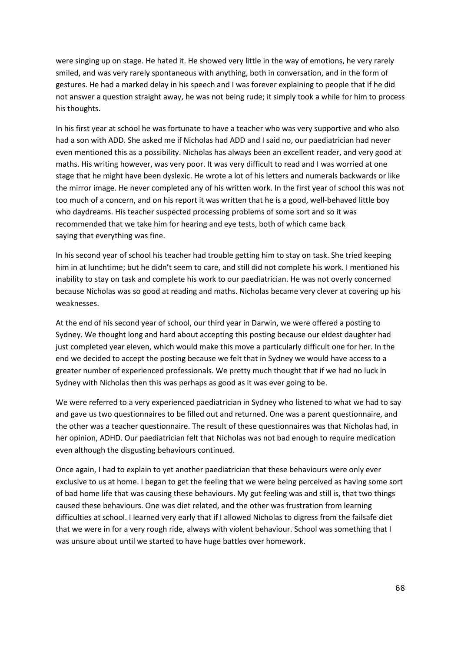were singing up on stage. He hated it. He showed very little in the way of emotions, he very rarely smiled, and was very rarely spontaneous with anything, both in conversation, and in the form of gestures. He had a marked delay in his speech and I was forever explaining to people that if he did not answer a question straight away, he was not being rude; it simply took a while for him to process his thoughts.

In his first year at school he was fortunate to have a teacher who was very supportive and who also had a son with ADD. She asked me if Nicholas had ADD and I said no, our paediatrician had never even mentioned this as a possibility. Nicholas has always been an excellent reader, and very good at maths. His writing however, was very poor. It was very difficult to read and I was worried at one stage that he might have been dyslexic. He wrote a lot of his letters and numerals backwards or like the mirror image. He never completed any of his written work. In the first year of school this was not too much of a concern, and on his report it was written that he is a good, well-behaved little boy who daydreams. His teacher suspected processing problems of some sort and so it was recommended that we take him for hearing and eye tests, both of which came back saying that everything was fine.

In his second year of school his teacher had trouble getting him to stay on task. She tried keeping him in at lunchtime; but he didn't seem to care, and still did not complete his work. I mentioned his inability to stay on task and complete his work to our paediatrician. He was not overly concerned because Nicholas was so good at reading and maths. Nicholas became very clever at covering up his weaknesses.

At the end of his second year of school, our third year in Darwin, we were offered a posting to Sydney. We thought long and hard about accepting this posting because our eldest daughter had just completed year eleven, which would make this move a particularly difficult one for her. In the end we decided to accept the posting because we felt that in Sydney we would have access to a greater number of experienced professionals. We pretty much thought that if we had no luck in Sydney with Nicholas then this was perhaps as good as it was ever going to be.

We were referred to a very experienced paediatrician in Sydney who listened to what we had to say and gave us two questionnaires to be filled out and returned. One was a parent questionnaire, and the other was a teacher questionnaire. The result of these questionnaires was that Nicholas had, in her opinion, ADHD. Our paediatrician felt that Nicholas was not bad enough to require medication even although the disgusting behaviours continued.

Once again, I had to explain to yet another paediatrician that these behaviours were only ever exclusive to us at home. I began to get the feeling that we were being perceived as having some sort of bad home life that was causing these behaviours. My gut feeling was and still is, that two things caused these behaviours. One was diet related, and the other was frustration from learning difficulties at school. I learned very early that if I allowed Nicholas to digress from the failsafe diet that we were in for a very rough ride, always with violent behaviour. School was something that I was unsure about until we started to have huge battles over homework.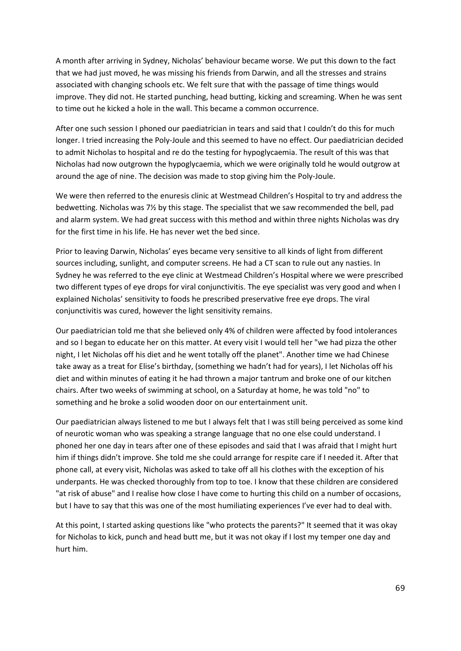A month after arriving in Sydney, Nicholas' behaviour became worse. We put this down to the fact that we had just moved, he was missing his friends from Darwin, and all the stresses and strains associated with changing schools etc. We felt sure that with the passage of time things would improve. They did not. He started punching, head butting, kicking and screaming. When he was sent to time out he kicked a hole in the wall. This became a common occurrence.

After one such session I phoned our paediatrician in tears and said that I couldn't do this for much longer. I tried increasing the Poly-Joule and this seemed to have no effect. Our paediatrician decided to admit Nicholas to hospital and re do the testing for hypoglycaemia. The result of this was that Nicholas had now outgrown the hypoglycaemia, which we were originally told he would outgrow at around the age of nine. The decision was made to stop giving him the Poly-Joule.

We were then referred to the enuresis clinic at Westmead Children's Hospital to try and address the bedwetting. Nicholas was 7½ by this stage. The specialist that we saw recommended the bell, pad and alarm system. We had great success with this method and within three nights Nicholas was dry for the first time in his life. He has never wet the bed since.

Prior to leaving Darwin, Nicholas' eyes became very sensitive to all kinds of light from different sources including, sunlight, and computer screens. He had a CT scan to rule out any nasties. In Sydney he was referred to the eye clinic at Westmead Children's Hospital where we were prescribed two different types of eye drops for viral conjunctivitis. The eye specialist was very good and when I explained Nicholas' sensitivity to foods he prescribed preservative free eye drops. The viral conjunctivitis was cured, however the light sensitivity remains.

Our paediatrician told me that she believed only 4% of children were affected by food intolerances and so I began to educate her on this matter. At every visit I would tell her "we had pizza the other night, I let Nicholas off his diet and he went totally off the planet". Another time we had Chinese take away as a treat for Elise's birthday, (something we hadn't had for years), I let Nicholas off his diet and within minutes of eating it he had thrown a major tantrum and broke one of our kitchen chairs. After two weeks of swimming at school, on a Saturday at home, he was told "no" to something and he broke a solid wooden door on our entertainment unit.

Our paediatrician always listened to me but I always felt that I was still being perceived as some kind of neurotic woman who was speaking a strange language that no one else could understand. I phoned her one day in tears after one of these episodes and said that I was afraid that I might hurt him if things didn't improve. She told me she could arrange for respite care if I needed it. After that phone call, at every visit, Nicholas was asked to take off all his clothes with the exception of his underpants. He was checked thoroughly from top to toe. I know that these children are considered "at risk of abuse" and I realise how close I have come to hurting this child on a number of occasions, but I have to say that this was one of the most humiliating experiences I've ever had to deal with.

At this point, I started asking questions like "who protects the parents?" It seemed that it was okay for Nicholas to kick, punch and head butt me, but it was not okay if I lost my temper one day and hurt him.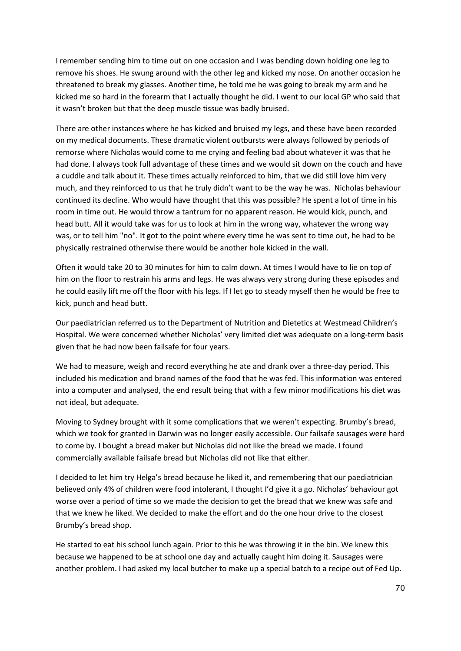I remember sending him to time out on one occasion and I was bending down holding one leg to remove his shoes. He swung around with the other leg and kicked my nose. On another occasion he threatened to break my glasses. Another time, he told me he was going to break my arm and he kicked me so hard in the forearm that I actually thought he did. I went to our local GP who said that it wasn't broken but that the deep muscle tissue was badly bruised.

There are other instances where he has kicked and bruised my legs, and these have been recorded on my medical documents. These dramatic violent outbursts were always followed by periods of remorse where Nicholas would come to me crying and feeling bad about whatever it was that he had done. I always took full advantage of these times and we would sit down on the couch and have a cuddle and talk about it. These times actually reinforced to him, that we did still love him very much, and they reinforced to us that he truly didn't want to be the way he was. Nicholas behaviour continued its decline. Who would have thought that this was possible? He spent a lot of time in his room in time out. He would throw a tantrum for no apparent reason. He would kick, punch, and head butt. All it would take was for us to look at him in the wrong way, whatever the wrong way was, or to tell him "no". It got to the point where every time he was sent to time out, he had to be physically restrained otherwise there would be another hole kicked in the wall.

Often it would take 20 to 30 minutes for him to calm down. At times I would have to lie on top of him on the floor to restrain his arms and legs. He was always very strong during these episodes and he could easily lift me off the floor with his legs. If I let go to steady myself then he would be free to kick, punch and head butt.

Our paediatrician referred us to the Department of Nutrition and Dietetics at Westmead Children's Hospital. We were concerned whether Nicholas' very limited diet was adequate on a long-term basis given that he had now been failsafe for four years.

We had to measure, weigh and record everything he ate and drank over a three-day period. This included his medication and brand names of the food that he was fed. This information was entered into a computer and analysed, the end result being that with a few minor modifications his diet was not ideal, but adequate.

Moving to Sydney brought with it some complications that we weren't expecting. Brumby's bread, which we took for granted in Darwin was no longer easily accessible. Our failsafe sausages were hard to come by. I bought a bread maker but Nicholas did not like the bread we made. I found commercially available failsafe bread but Nicholas did not like that either.

I decided to let him try Helga's bread because he liked it, and remembering that our paediatrician believed only 4% of children were food intolerant, I thought I'd give it a go. Nicholas' behaviour got worse over a period of time so we made the decision to get the bread that we knew was safe and that we knew he liked. We decided to make the effort and do the one hour drive to the closest Brumby's bread shop.

He started to eat his school lunch again. Prior to this he was throwing it in the bin. We knew this because we happened to be at school one day and actually caught him doing it. Sausages were another problem. I had asked my local butcher to make up a special batch to a recipe out of Fed Up.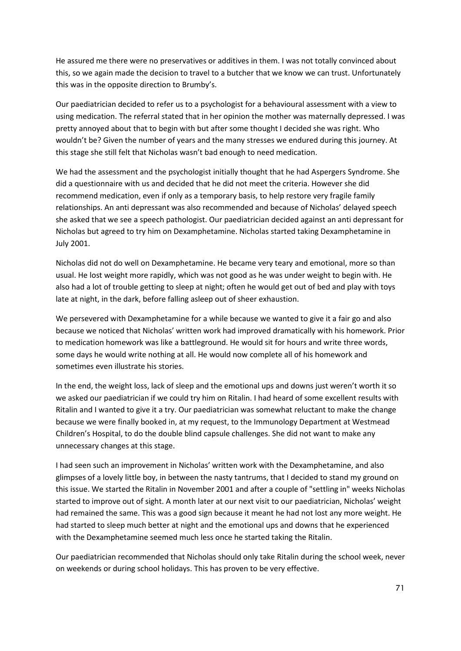He assured me there were no preservatives or additives in them. I was not totally convinced about this, so we again made the decision to travel to a butcher that we know we can trust. Unfortunately this was in the opposite direction to Brumby's.

Our paediatrician decided to refer us to a psychologist for a behavioural assessment with a view to using medication. The referral stated that in her opinion the mother was maternally depressed. I was pretty annoyed about that to begin with but after some thought I decided she was right. Who wouldn't be? Given the number of years and the many stresses we endured during this journey. At this stage she still felt that Nicholas wasn't bad enough to need medication.

We had the assessment and the psychologist initially thought that he had Aspergers Syndrome. She did a questionnaire with us and decided that he did not meet the criteria. However she did recommend medication, even if only as a temporary basis, to help restore very fragile family relationships. An anti depressant was also recommended and because of Nicholas' delayed speech she asked that we see a speech pathologist. Our paediatrician decided against an anti depressant for Nicholas but agreed to try him on Dexamphetamine. Nicholas started taking Dexamphetamine in July 2001.

Nicholas did not do well on Dexamphetamine. He became very teary and emotional, more so than usual. He lost weight more rapidly, which was not good as he was under weight to begin with. He also had a lot of trouble getting to sleep at night; often he would get out of bed and play with toys late at night, in the dark, before falling asleep out of sheer exhaustion.

We persevered with Dexamphetamine for a while because we wanted to give it a fair go and also because we noticed that Nicholas' written work had improved dramatically with his homework. Prior to medication homework was like a battleground. He would sit for hours and write three words, some days he would write nothing at all. He would now complete all of his homework and sometimes even illustrate his stories.

In the end, the weight loss, lack of sleep and the emotional ups and downs just weren't worth it so we asked our paediatrician if we could try him on Ritalin. I had heard of some excellent results with Ritalin and I wanted to give it a try. Our paediatrician was somewhat reluctant to make the change because we were finally booked in, at my request, to the Immunology Department at Westmead Children's Hospital, to do the double blind capsule challenges. She did not want to make any unnecessary changes at this stage.

I had seen such an improvement in Nicholas' written work with the Dexamphetamine, and also glimpses of a lovely little boy, in between the nasty tantrums, that I decided to stand my ground on this issue. We started the Ritalin in November 2001 and after a couple of "settling in" weeks Nicholas started to improve out of sight. A month later at our next visit to our paediatrician, Nicholas' weight had remained the same. This was a good sign because it meant he had not lost any more weight. He had started to sleep much better at night and the emotional ups and downs that he experienced with the Dexamphetamine seemed much less once he started taking the Ritalin.

Our paediatrician recommended that Nicholas should only take Ritalin during the school week, never on weekends or during school holidays. This has proven to be very effective.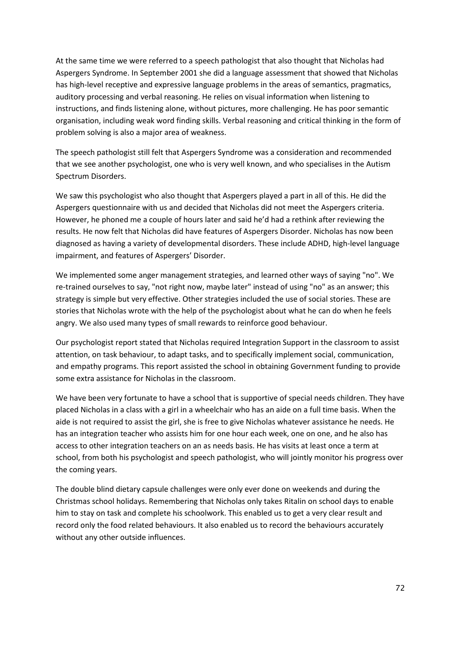At the same time we were referred to a speech pathologist that also thought that Nicholas had Aspergers Syndrome. In September 2001 she did a language assessment that showed that Nicholas has high-level receptive and expressive language problems in the areas of semantics, pragmatics, auditory processing and verbal reasoning. He relies on visual information when listening to instructions, and finds listening alone, without pictures, more challenging. He has poor semantic organisation, including weak word finding skills. Verbal reasoning and critical thinking in the form of problem solving is also a major area of weakness.

The speech pathologist still felt that Aspergers Syndrome was a consideration and recommended that we see another psychologist, one who is very well known, and who specialises in the Autism Spectrum Disorders.

We saw this psychologist who also thought that Aspergers played a part in all of this. He did the Aspergers questionnaire with us and decided that Nicholas did not meet the Aspergers criteria. However, he phoned me a couple of hours later and said he'd had a rethink after reviewing the results. He now felt that Nicholas did have features of Aspergers Disorder. Nicholas has now been diagnosed as having a variety of developmental disorders. These include ADHD, high-level language impairment, and features of Aspergers' Disorder.

We implemented some anger management strategies, and learned other ways of saying "no". We re-trained ourselves to say, "not right now, maybe later" instead of using "no" as an answer; this strategy is simple but very effective. Other strategies included the use of social stories. These are stories that Nicholas wrote with the help of the psychologist about what he can do when he feels angry. We also used many types of small rewards to reinforce good behaviour.

Our psychologist report stated that Nicholas required Integration Support in the classroom to assist attention, on task behaviour, to adapt tasks, and to specifically implement social, communication, and empathy programs. This report assisted the school in obtaining Government funding to provide some extra assistance for Nicholas in the classroom.

We have been very fortunate to have a school that is supportive of special needs children. They have placed Nicholas in a class with a girl in a wheelchair who has an aide on a full time basis. When the aide is not required to assist the girl, she is free to give Nicholas whatever assistance he needs. He has an integration teacher who assists him for one hour each week, one on one, and he also has access to other integration teachers on an as needs basis. He has visits at least once a term at school, from both his psychologist and speech pathologist, who will jointly monitor his progress over the coming years.

The double blind dietary capsule challenges were only ever done on weekends and during the Christmas school holidays. Remembering that Nicholas only takes Ritalin on school days to enable him to stay on task and complete his schoolwork. This enabled us to get a very clear result and record only the food related behaviours. It also enabled us to record the behaviours accurately without any other outside influences.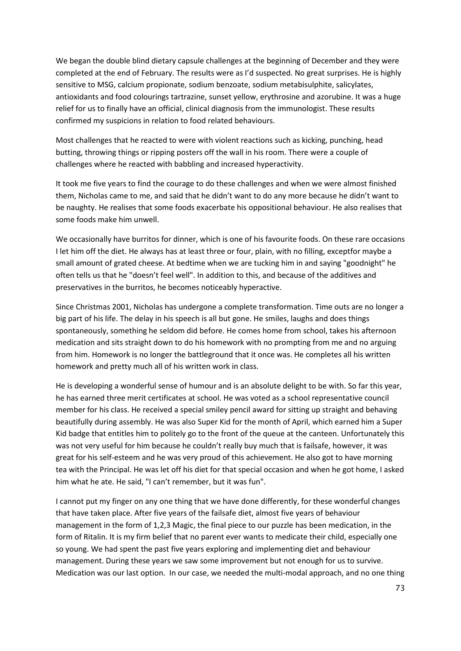We began the double blind dietary capsule challenges at the beginning of December and they were completed at the end of February. The results were as I'd suspected. No great surprises. He is highly sensitive to MSG, calcium propionate, sodium benzoate, sodium metabisulphite, salicylates, antioxidants and food colourings tartrazine, sunset yellow, erythrosine and azorubine. It was a huge relief for us to finally have an official, clinical diagnosis from the immunologist. These results confirmed my suspicions in relation to food related behaviours.

Most challenges that he reacted to were with violent reactions such as kicking, punching, head butting, throwing things or ripping posters off the wall in his room. There were a couple of challenges where he reacted with babbling and increased hyperactivity.

It took me five years to find the courage to do these challenges and when we were almost finished them, Nicholas came to me, and said that he didn't want to do any more because he didn't want to be naughty. He realises that some foods exacerbate his oppositional behaviour. He also realises that some foods make him unwell.

We occasionally have burritos for dinner, which is one of his favourite foods. On these rare occasions I let him off the diet. He always has at least three or four, plain, with no filling, exceptfor maybe a small amount of grated cheese. At bedtime when we are tucking him in and saying "goodnight" he often tells us that he "doesn't feel well". In addition to this, and because of the additives and preservatives in the burritos, he becomes noticeably hyperactive.

Since Christmas 2001, Nicholas has undergone a complete transformation. Time outs are no longer a big part of his life. The delay in his speech is all but gone. He smiles, laughs and does things spontaneously, something he seldom did before. He comes home from school, takes his afternoon medication and sits straight down to do his homework with no prompting from me and no arguing from him. Homework is no longer the battleground that it once was. He completes all his written homework and pretty much all of his written work in class.

He is developing a wonderful sense of humour and is an absolute delight to be with. So far this year, he has earned three merit certificates at school. He was voted as a school representative council member for his class. He received a special smiley pencil award for sitting up straight and behaving beautifully during assembly. He was also Super Kid for the month of April, which earned him a Super Kid badge that entitles him to politely go to the front of the queue at the canteen. Unfortunately this was not very useful for him because he couldn't really buy much that is failsafe, however, it was great for his self-esteem and he was very proud of this achievement. He also got to have morning tea with the Principal. He was let off his diet for that special occasion and when he got home, I asked him what he ate. He said, "I can't remember, but it was fun".

I cannot put my finger on any one thing that we have done differently, for these wonderful changes that have taken place. After five years of the failsafe diet, almost five years of behaviour management in the form of 1,2,3 Magic, the final piece to our puzzle has been medication, in the form of Ritalin. It is my firm belief that no parent ever wants to medicate their child, especially one so young. We had spent the past five years exploring and implementing diet and behaviour management. During these years we saw some improvement but not enough for us to survive. Medication was our last option. In our case, we needed the multi-modal approach, and no one thing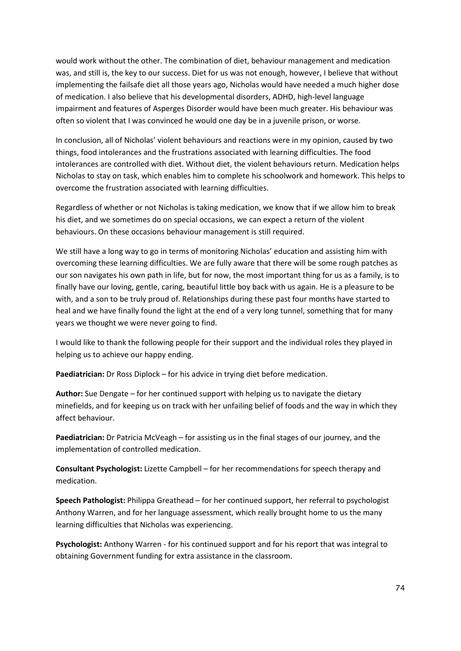would work without the other. The combination of diet, behaviour management and medication was, and still is, the key to our success. Diet for us was not enough, however, I believe that without implementing the failsafe diet all those years ago, Nicholas would have needed a much higher dose of medication. I also believe that his developmental disorders, ADHD, high-level language impairment and features of Asperges Disorder would have been much greater. His behaviour was often so violent that I was convinced he would one day be in a juvenile prison, or worse.

In conclusion, all of Nicholas' violent behaviours and reactions were in my opinion, caused by two things, food intolerances and the frustrations associated with learning difficulties. The food intolerances are controlled with diet. Without diet, the violent behaviours return. Medication helps Nicholas to stay on task, which enables him to complete his schoolwork and homework. This helps to overcome the frustration associated with learning difficulties.

Regardless of whether or not Nicholas is taking medication, we know that if we allow him to break his diet, and we sometimes do on special occasions, we can expect a return of the violent behaviours. On these occasions behaviour management is still required.

We still have a long way to go in terms of monitoring Nicholas' education and assisting him with overcoming these learning difficulties. We are fully aware that there will be some rough patches as our son navigates his own path in life, but for now, the most important thing for us as a family, is to finally have our loving, gentle, caring, beautiful little boy back with us again. He is a pleasure to be with, and a son to be truly proud of. Relationships during these past four months have started to heal and we have finally found the light at the end of a very long tunnel, something that for many years we thought we were never going to find.

I would like to thank the following people for their support and the individual roles they played in helping us to achieve our happy ending.

**Paediatrician:** Dr Ross Diplock – for his advice in trying diet before medication.

**Author:** Sue Dengate – for her continued support with helping us to navigate the dietary minefields, and for keeping us on track with her unfailing belief of foods and the way in which they affect behaviour.

**Paediatrician:** Dr Patricia McVeagh – for assisting us in the final stages of our journey, and the implementation of controlled medication.

**Consultant Psychologist:** Lizette Campbell – for her recommendations for speech therapy and medication.

**Speech Pathologist:** Philippa Greathead – for her continued support, her referral to psychologist Anthony Warren, and for her language assessment, which really brought home to us the many learning difficulties that Nicholas was experiencing.

**Psychologist:** Anthony Warren - for his continued support and for his report that was integral to obtaining Government funding for extra assistance in the classroom.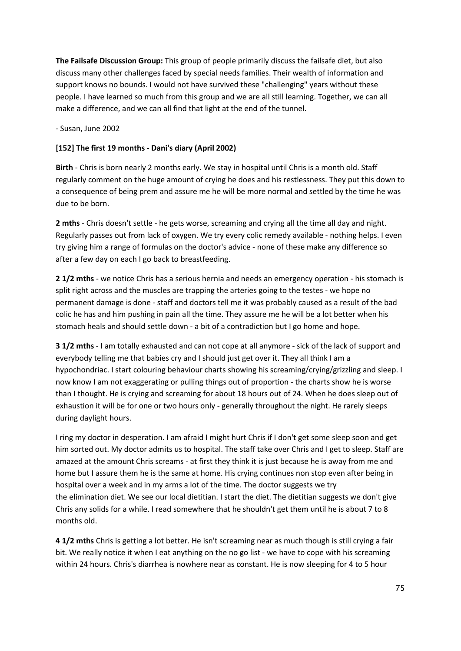**The Failsafe Discussion Group:** This group of people primarily discuss the failsafe diet, but also discuss many other challenges faced by special needs families. Their wealth of information and support knows no bounds. I would not have survived these "challenging" years without these people. I have learned so much from this group and we are all still learning. Together, we can all make a difference, and we can all find that light at the end of the tunnel.

- Susan, June 2002

# **[152] The first 19 months - Dani's diary (April 2002)**

**Birth** - Chris is born nearly 2 months early. We stay in hospital until Chris is a month old. Staff regularly comment on the huge amount of crying he does and his restlessness. They put this down to a consequence of being prem and assure me he will be more normal and settled by the time he was due to be born.

**2 mths** - Chris doesn't settle - he gets worse, screaming and crying all the time all day and night. Regularly passes out from lack of oxygen. We try every colic remedy available - nothing helps. I even try giving him a range of formulas on the doctor's advice - none of these make any difference so after a few day on each I go back to breastfeeding.

**2 1/2 mths** - we notice Chris has a serious hernia and needs an emergency operation - his stomach is split right across and the muscles are trapping the arteries going to the testes - we hope no permanent damage is done - staff and doctors tell me it was probably caused as a result of the bad colic he has and him pushing in pain all the time. They assure me he will be a lot better when his stomach heals and should settle down - a bit of a contradiction but I go home and hope.

**3 1/2 mths** - I am totally exhausted and can not cope at all anymore - sick of the lack of support and everybody telling me that babies cry and I should just get over it. They all think I am a hypochondriac. I start colouring behaviour charts showing his screaming/crying/grizzling and sleep. I now know I am not exaggerating or pulling things out of proportion - the charts show he is worse than I thought. He is crying and screaming for about 18 hours out of 24. When he does sleep out of exhaustion it will be for one or two hours only - generally throughout the night. He rarely sleeps during daylight hours.

I ring my doctor in desperation. I am afraid I might hurt Chris if I don't get some sleep soon and get him sorted out. My doctor admits us to hospital. The staff take over Chris and I get to sleep. Staff are amazed at the amount Chris screams - at first they think it is just because he is away from me and home but I assure them he is the same at home. His crying continues non stop even after being in hospital over a week and in my arms a lot of the time. The doctor suggests we try the elimination diet. We see our local dietitian. I start the diet. The dietitian suggests we don't give Chris any solids for a while. I read somewhere that he shouldn't get them until he is about 7 to 8 months old.

**4 1/2 mths** Chris is getting a lot better. He isn't screaming near as much though is still crying a fair bit. We really notice it when I eat anything on the no go list - we have to cope with his screaming within 24 hours. Chris's diarrhea is nowhere near as constant. He is now sleeping for 4 to 5 hour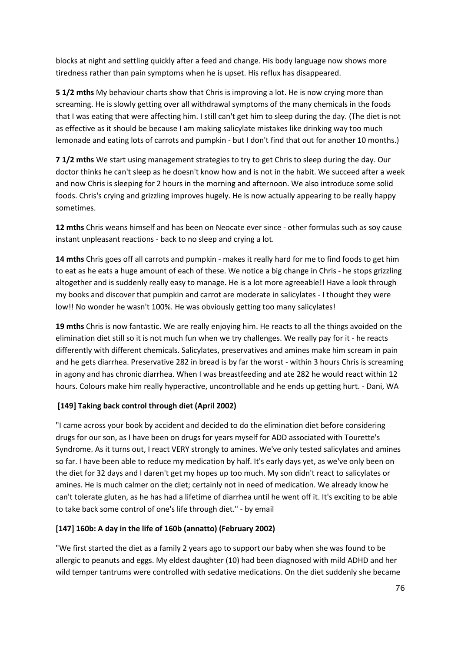blocks at night and settling quickly after a feed and change. His body language now shows more tiredness rather than pain symptoms when he is upset. His reflux has disappeared.

**5 1/2 mths** My behaviour charts show that Chris is improving a lot. He is now crying more than screaming. He is slowly getting over all withdrawal symptoms of the many chemicals in the foods that I was eating that were affecting him. I still can't get him to sleep during the day. (The diet is not as effective as it should be because I am making salicylate mistakes like drinking way too much lemonade and eating lots of carrots and pumpkin - but I don't find that out for another 10 months.)

**7 1/2 mths** We start using management strategies to try to get Chris to sleep during the day. Our doctor thinks he can't sleep as he doesn't know how and is not in the habit. We succeed after a week and now Chris is sleeping for 2 hours in the morning and afternoon. We also introduce some solid foods. Chris's crying and grizzling improves hugely. He is now actually appearing to be really happy sometimes.

**12 mths** Chris weans himself and has been on Neocate ever since - other formulas such as soy cause instant unpleasant reactions - back to no sleep and crying a lot.

**14 mths** Chris goes off all carrots and pumpkin - makes it really hard for me to find foods to get him to eat as he eats a huge amount of each of these. We notice a big change in Chris - he stops grizzling altogether and is suddenly really easy to manage. He is a lot more agreeable!! Have a look through my books and discover that pumpkin and carrot are moderate in salicylates - I thought they were low!! No wonder he wasn't 100%. He was obviously getting too many salicylates!

**19 mths** Chris is now fantastic. We are really enjoying him. He reacts to all the things avoided on the elimination diet still so it is not much fun when we try challenges. We really pay for it - he reacts differently with different chemicals. Salicylates, preservatives and amines make him scream in pain and he gets diarrhea. Preservative 282 in bread is by far the worst - within 3 hours Chris is screaming in agony and has chronic diarrhea. When I was breastfeeding and ate 282 he would react within 12 hours. Colours make him really hyperactive, uncontrollable and he ends up getting hurt. - Dani, WA

# **[149] Taking back control through diet (April 2002)**

"I came across your book by accident and decided to do the elimination diet before considering drugs for our son, as I have been on drugs for years myself for ADD associated with Tourette's Syndrome. As it turns out, I react VERY strongly to amines. We've only tested salicylates and amines so far. I have been able to reduce my medication by half. It's early days yet, as we've only been on the diet for 32 days and I daren't get my hopes up too much. My son didn't react to salicylates or amines. He is much calmer on the diet; certainly not in need of medication. We already know he can't tolerate gluten, as he has had a lifetime of diarrhea until he went off it. It's exciting to be able to take back some control of one's life through diet." - by email

## **[147] 160b: A day in the life of 160b (annatto) (February 2002)**

"We first started the diet as a family 2 years ago to support our baby when she was found to be allergic to peanuts and eggs. My eldest daughter (10) had been diagnosed with mild ADHD and her wild temper tantrums were controlled with sedative medications. On the diet suddenly she became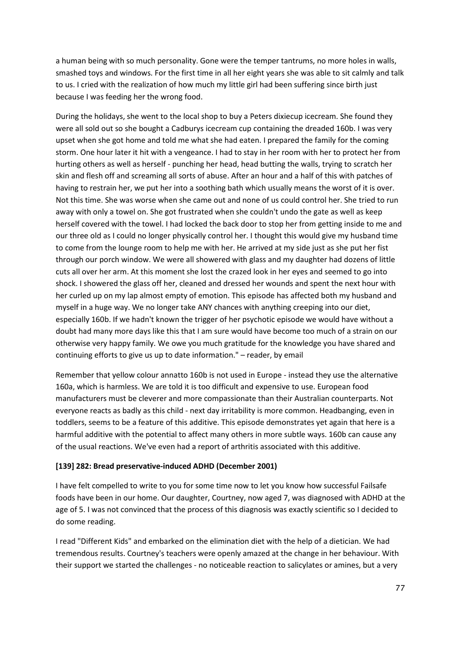a human being with so much personality. Gone were the temper tantrums, no more holes in walls, smashed toys and windows. For the first time in all her eight years she was able to sit calmly and talk to us. I cried with the realization of how much my little girl had been suffering since birth just because I was feeding her the wrong food.

During the holidays, she went to the local shop to buy a Peters dixiecup icecream. She found they were all sold out so she bought a Cadburys icecream cup containing the dreaded 160b. I was very upset when she got home and told me what she had eaten. I prepared the family for the coming storm. One hour later it hit with a vengeance. I had to stay in her room with her to protect her from hurting others as well as herself - punching her head, head butting the walls, trying to scratch her skin and flesh off and screaming all sorts of abuse. After an hour and a half of this with patches of having to restrain her, we put her into a soothing bath which usually means the worst of it is over. Not this time. She was worse when she came out and none of us could control her. She tried to run away with only a towel on. She got frustrated when she couldn't undo the gate as well as keep herself covered with the towel. I had locked the back door to stop her from getting inside to me and our three old as I could no longer physically control her. I thought this would give my husband time to come from the lounge room to help me with her. He arrived at my side just as she put her fist through our porch window. We were all showered with glass and my daughter had dozens of little cuts all over her arm. At this moment she lost the crazed look in her eyes and seemed to go into shock. I showered the glass off her, cleaned and dressed her wounds and spent the next hour with her curled up on my lap almost empty of emotion. This episode has affected both my husband and myself in a huge way. We no longer take ANY chances with anything creeping into our diet, especially 160b. If we hadn't known the trigger of her psychotic episode we would have without a doubt had many more days like this that I am sure would have become too much of a strain on our otherwise very happy family. We owe you much gratitude for the knowledge you have shared and continuing efforts to give us up to date information." – reader, by email

Remember that yellow colour annatto 160b is not used in Europe - instead they use the alternative 160a, which is harmless. We are told it is too difficult and expensive to use. European food manufacturers must be cleverer and more compassionate than their Australian counterparts. Not everyone reacts as badly as this child - next day irritability is more common. Headbanging, even in toddlers, seems to be a feature of this additive. This episode demonstrates yet again that here is a harmful additive with the potential to affect many others in more subtle ways. 160b can cause any of the usual reactions. We've even had a report of arthritis associated with this additive.

## **[139] 282: Bread preservative-induced ADHD (December 2001)**

I have felt compelled to write to you for some time now to let you know how successful Failsafe foods have been in our home. Our daughter, Courtney, now aged 7, was diagnosed with ADHD at the age of 5. I was not convinced that the process of this diagnosis was exactly scientific so I decided to do some reading.

I read "Different Kids" and embarked on the elimination diet with the help of a dietician. We had tremendous results. Courtney's teachers were openly amazed at the change in her behaviour. With their support we started the challenges - no noticeable reaction to salicylates or amines, but a very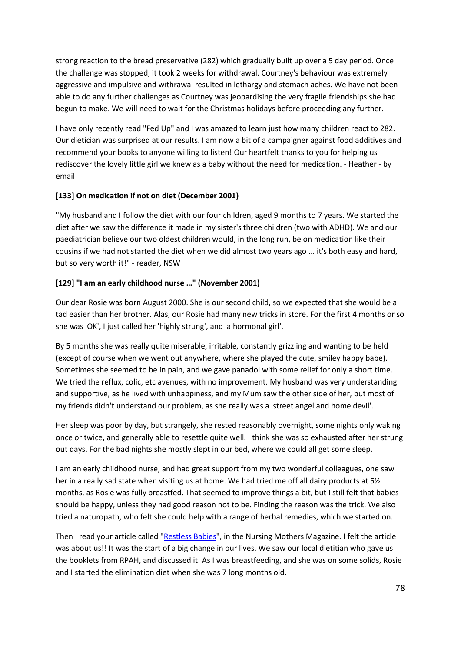strong reaction to the bread preservative (282) which gradually built up over a 5 day period. Once the challenge was stopped, it took 2 weeks for withdrawal. Courtney's behaviour was extremely aggressive and impulsive and withrawal resulted in lethargy and stomach aches. We have not been able to do any further challenges as Courtney was jeopardising the very fragile friendships she had begun to make. We will need to wait for the Christmas holidays before proceeding any further.

I have only recently read "Fed Up" and I was amazed to learn just how many children react to 282. Our dietician was surprised at our results. I am now a bit of a campaigner against food additives and recommend your books to anyone willing to listen! Our heartfelt thanks to you for helping us rediscover the lovely little girl we knew as a baby without the need for medication. - Heather - by email

## **[133] On medication if not on diet (December 2001)**

"My husband and I follow the diet with our four children, aged 9 months to 7 years. We started the diet after we saw the difference it made in my sister's three children (two with ADHD). We and our paediatrician believe our two oldest children would, in the long run, be on medication like their cousins if we had not started the diet when we did almost two years ago ... it's both easy and hard, but so very worth it!" - reader, NSW

## **[129] "I am an early childhood nurse …" (November 2001)**

Our dear Rosie was born August 2000. She is our second child, so we expected that she would be a tad easier than her brother. Alas, our Rosie had many new tricks in store. For the first 4 months or so she was 'OK', I just called her 'highly strung', and 'a hormonal girl'.

By 5 months she was really quite miserable, irritable, constantly grizzling and wanting to be held (except of course when we went out anywhere, where she played the cute, smiley happy babe). Sometimes she seemed to be in pain, and we gave panadol with some relief for only a short time. We tried the reflux, colic, etc avenues, with no improvement. My husband was very understanding and supportive, as he lived with unhappiness, and my Mum saw the other side of her, but most of my friends didn't understand our problem, as she really was a 'street angel and home devil'.

Her sleep was poor by day, but strangely, she rested reasonably overnight, some nights only waking once or twice, and generally able to resettle quite well. I think she was so exhausted after her strung out days. For the bad nights she mostly slept in our bed, where we could all get some sleep.

I am an early childhood nurse, and had great support from my two wonderful colleagues, one saw her in a really sad state when visiting us at home. We had tried me off all dairy products at 5½ months, as Rosie was fully breastfed. That seemed to improve things a bit, but I still felt that babies should be happy, unless they had good reason not to be. Finding the reason was the trick. We also tried a naturopath, who felt she could help with a range of herbal remedies, which we started on.

Then I read your article called ["Restless Babies"](http://fedup.com.au/factsheets/support-factsheets/breastfeeding-and-failsafe-2), in the Nursing Mothers Magazine. I felt the article was about us!! It was the start of a big change in our lives. We saw our local dietitian who gave us the booklets from RPAH, and discussed it. As I was breastfeeding, and she was on some solids, Rosie and I started the elimination diet when she was 7 long months old.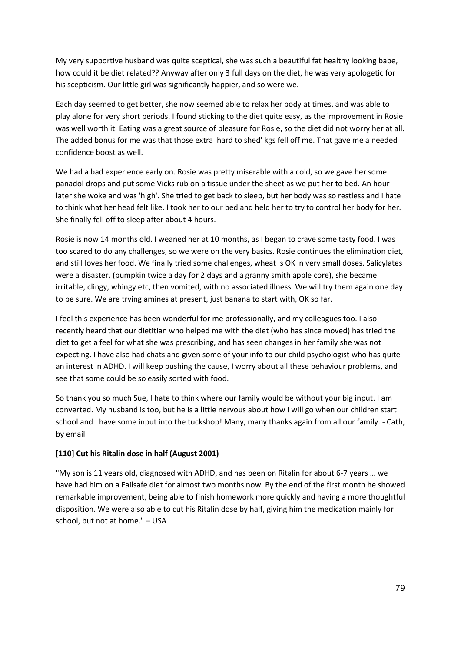My very supportive husband was quite sceptical, she was such a beautiful fat healthy looking babe, how could it be diet related?? Anyway after only 3 full days on the diet, he was very apologetic for his scepticism. Our little girl was significantly happier, and so were we.

Each day seemed to get better, she now seemed able to relax her body at times, and was able to play alone for very short periods. I found sticking to the diet quite easy, as the improvement in Rosie was well worth it. Eating was a great source of pleasure for Rosie, so the diet did not worry her at all. The added bonus for me was that those extra 'hard to shed' kgs fell off me. That gave me a needed confidence boost as well.

We had a bad experience early on. Rosie was pretty miserable with a cold, so we gave her some panadol drops and put some Vicks rub on a tissue under the sheet as we put her to bed. An hour later she woke and was 'high'. She tried to get back to sleep, but her body was so restless and I hate to think what her head felt like. I took her to our bed and held her to try to control her body for her. She finally fell off to sleep after about 4 hours.

Rosie is now 14 months old. I weaned her at 10 months, as I began to crave some tasty food. I was too scared to do any challenges, so we were on the very basics. Rosie continues the elimination diet, and still loves her food. We finally tried some challenges, wheat is OK in very small doses. Salicylates were a disaster, (pumpkin twice a day for 2 days and a granny smith apple core), she became irritable, clingy, whingy etc, then vomited, with no associated illness. We will try them again one day to be sure. We are trying amines at present, just banana to start with, OK so far.

I feel this experience has been wonderful for me professionally, and my colleagues too. I also recently heard that our dietitian who helped me with the diet (who has since moved) has tried the diet to get a feel for what she was prescribing, and has seen changes in her family she was not expecting. I have also had chats and given some of your info to our child psychologist who has quite an interest in ADHD. I will keep pushing the cause, I worry about all these behaviour problems, and see that some could be so easily sorted with food.

So thank you so much Sue, I hate to think where our family would be without your big input. I am converted. My husband is too, but he is a little nervous about how I will go when our children start school and I have some input into the tuckshop! Many, many thanks again from all our family. - Cath, by email

## **[110] Cut his Ritalin dose in half (August 2001)**

"My son is 11 years old, diagnosed with ADHD, and has been on Ritalin for about 6-7 years … we have had him on a Failsafe diet for almost two months now. By the end of the first month he showed remarkable improvement, being able to finish homework more quickly and having a more thoughtful disposition. We were also able to cut his Ritalin dose by half, giving him the medication mainly for school, but not at home." – USA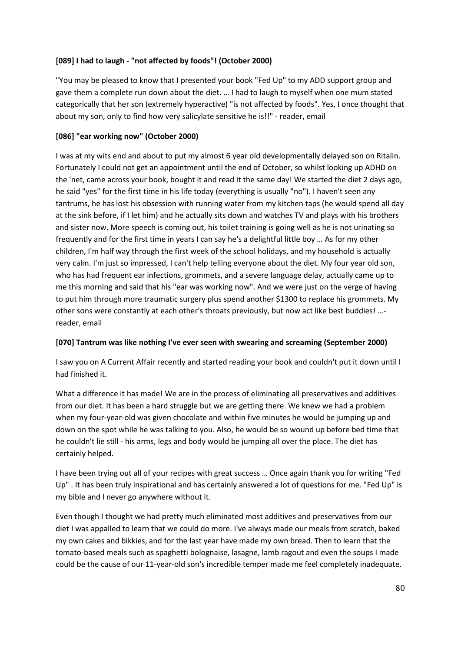## **[089] I had to laugh - "not affected by foods"! (October 2000)**

"You may be pleased to know that I presented your book "Fed Up" to my ADD support group and gave them a complete run down about the diet. … I had to laugh to myself when one mum stated categorically that her son (extremely hyperactive) "is not affected by foods". Yes, I once thought that about my son, only to find how very salicylate sensitive he is!!" - reader, email

## **[086] "ear working now" (October 2000)**

I was at my wits end and about to put my almost 6 year old developmentally delayed son on Ritalin. Fortunately I could not get an appointment until the end of October, so whilst looking up ADHD on the 'net, came across your book, bought it and read it the same day! We started the diet 2 days ago, he said "yes" for the first time in his life today (everything is usually "no"). I haven't seen any tantrums, he has lost his obsession with running water from my kitchen taps (he would spend all day at the sink before, if I let him) and he actually sits down and watches TV and plays with his brothers and sister now. More speech is coming out, his toilet training is going well as he is not urinating so frequently and for the first time in years I can say he's a delightful little boy … As for my other children, I'm half way through the first week of the school holidays, and my household is actually very calm. I'm just so impressed, I can't help telling everyone about the diet. My four year old son, who has had frequent ear infections, grommets, and a severe language delay, actually came up to me this morning and said that his "ear was working now". And we were just on the verge of having to put him through more traumatic surgery plus spend another \$1300 to replace his grommets. My other sons were constantly at each other's throats previously, but now act like best buddies! … reader, email

## **[070] Tantrum was like nothing I've ever seen with swearing and screaming (September 2000)**

I saw you on A Current Affair recently and started reading your book and couldn't put it down until I had finished it.

What a difference it has made! We are in the process of eliminating all preservatives and additives from our diet. It has been a hard struggle but we are getting there. We knew we had a problem when my four-year-old was given chocolate and within five minutes he would be jumping up and down on the spot while he was talking to you. Also, he would be so wound up before bed time that he couldn't lie still - his arms, legs and body would be jumping all over the place. The diet has certainly helped.

I have been trying out all of your recipes with great success … Once again thank you for writing "Fed Up" . It has been truly inspirational and has certainly answered a lot of questions for me. "Fed Up" is my bible and I never go anywhere without it.

Even though I thought we had pretty much eliminated most additives and preservatives from our diet I was appalled to learn that we could do more. I've always made our meals from scratch, baked my own cakes and bikkies, and for the last year have made my own bread. Then to learn that the tomato-based meals such as spaghetti bolognaise, lasagne, lamb ragout and even the soups I made could be the cause of our 11-year-old son's incredible temper made me feel completely inadequate.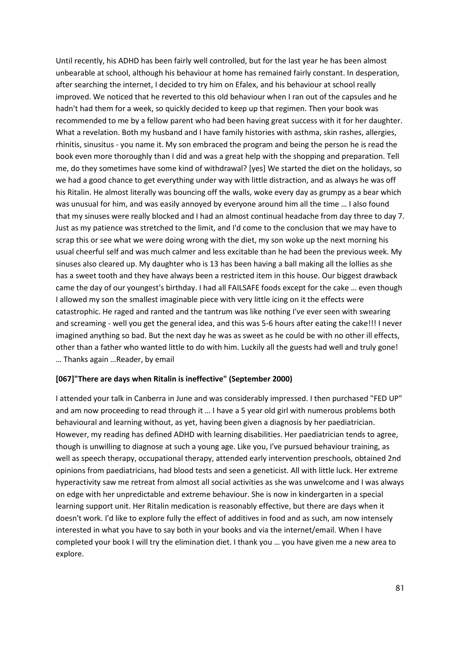Until recently, his ADHD has been fairly well controlled, but for the last year he has been almost unbearable at school, although his behaviour at home has remained fairly constant. In desperation, after searching the internet, I decided to try him on Efalex, and his behaviour at school really improved. We noticed that he reverted to this old behaviour when I ran out of the capsules and he hadn't had them for a week, so quickly decided to keep up that regimen. Then your book was recommended to me by a fellow parent who had been having great success with it for her daughter. What a revelation. Both my husband and I have family histories with asthma, skin rashes, allergies, rhinitis, sinusitus - you name it. My son embraced the program and being the person he is read the book even more thoroughly than I did and was a great help with the shopping and preparation. Tell me, do they sometimes have some kind of withdrawal? [yes] We started the diet on the holidays, so we had a good chance to get everything under way with little distraction, and as always he was off his Ritalin. He almost literally was bouncing off the walls, woke every day as grumpy as a bear which was unusual for him, and was easily annoyed by everyone around him all the time … I also found that my sinuses were really blocked and I had an almost continual headache from day three to day 7. Just as my patience was stretched to the limit, and I'd come to the conclusion that we may have to scrap this or see what we were doing wrong with the diet, my son woke up the next morning his usual cheerful self and was much calmer and less excitable than he had been the previous week. My sinuses also cleared up. My daughter who is 13 has been having a ball making all the lollies as she has a sweet tooth and they have always been a restricted item in this house. Our biggest drawback came the day of our youngest's birthday. I had all FAILSAFE foods except for the cake … even though I allowed my son the smallest imaginable piece with very little icing on it the effects were catastrophic. He raged and ranted and the tantrum was like nothing I've ever seen with swearing and screaming - well you get the general idea, and this was 5-6 hours after eating the cake!!! I never imagined anything so bad. But the next day he was as sweet as he could be with no other ill effects, other than a father who wanted little to do with him. Luckily all the guests had well and truly gone! … Thanks again …Reader, by email

#### **[067]"There are days when Ritalin is ineffective" (September 2000)**

I attended your talk in Canberra in June and was considerably impressed. I then purchased "FED UP" and am now proceeding to read through it … I have a 5 year old girl with numerous problems both behavioural and learning without, as yet, having been given a diagnosis by her paediatrician. However, my reading has defined ADHD with learning disabilities. Her paediatrician tends to agree, though is unwilling to diagnose at such a young age. Like you, I've pursued behaviour training, as well as speech therapy, occupational therapy, attended early intervention preschools, obtained 2nd opinions from paediatricians, had blood tests and seen a geneticist. All with little luck. Her extreme hyperactivity saw me retreat from almost all social activities as she was unwelcome and I was always on edge with her unpredictable and extreme behaviour. She is now in kindergarten in a special learning support unit. Her Ritalin medication is reasonably effective, but there are days when it doesn't work. I'd like to explore fully the effect of additives in food and as such, am now intensely interested in what you have to say both in your books and via the internet/email. When I have completed your book I will try the elimination diet. I thank you … you have given me a new area to explore.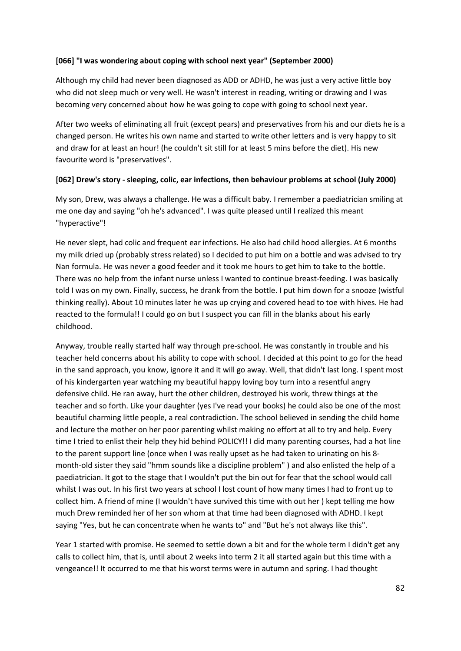## **[066] "I was wondering about coping with school next year" (September 2000)**

Although my child had never been diagnosed as ADD or ADHD, he was just a very active little boy who did not sleep much or very well. He wasn't interest in reading, writing or drawing and I was becoming very concerned about how he was going to cope with going to school next year.

After two weeks of eliminating all fruit (except pears) and preservatives from his and our diets he is a changed person. He writes his own name and started to write other letters and is very happy to sit and draw for at least an hour! (he couldn't sit still for at least 5 mins before the diet). His new favourite word is "preservatives".

#### **[062] Drew's story - sleeping, colic, ear infections, then behaviour problems at school (July 2000)**

My son, Drew, was always a challenge. He was a difficult baby. I remember a paediatrician smiling at me one day and saying "oh he's advanced". I was quite pleased until I realized this meant "hyperactive"!

He never slept, had colic and frequent ear infections. He also had child hood allergies. At 6 months my milk dried up (probably stress related) so I decided to put him on a bottle and was advised to try Nan formula. He was never a good feeder and it took me hours to get him to take to the bottle. There was no help from the infant nurse unless I wanted to continue breast-feeding. I was basically told I was on my own. Finally, success, he drank from the bottle. I put him down for a snooze (wistful thinking really). About 10 minutes later he was up crying and covered head to toe with hives. He had reacted to the formula!! I could go on but I suspect you can fill in the blanks about his early childhood.

Anyway, trouble really started half way through pre-school. He was constantly in trouble and his teacher held concerns about his ability to cope with school. I decided at this point to go for the head in the sand approach, you know, ignore it and it will go away. Well, that didn't last long. I spent most of his kindergarten year watching my beautiful happy loving boy turn into a resentful angry defensive child. He ran away, hurt the other children, destroyed his work, threw things at the teacher and so forth. Like your daughter (yes I've read your books) he could also be one of the most beautiful charming little people, a real contradiction. The school believed in sending the child home and lecture the mother on her poor parenting whilst making no effort at all to try and help. Every time I tried to enlist their help they hid behind POLICY!! I did many parenting courses, had a hot line to the parent support line (once when I was really upset as he had taken to urinating on his 8 month-old sister they said "hmm sounds like a discipline problem" ) and also enlisted the help of a paediatrician. It got to the stage that I wouldn't put the bin out for fear that the school would call whilst I was out. In his first two years at school I lost count of how many times I had to front up to collect him. A friend of mine (I wouldn't have survived this time with out her ) kept telling me how much Drew reminded her of her son whom at that time had been diagnosed with ADHD. I kept saying "Yes, but he can concentrate when he wants to" and "But he's not always like this".

Year 1 started with promise. He seemed to settle down a bit and for the whole term I didn't get any calls to collect him, that is, until about 2 weeks into term 2 it all started again but this time with a vengeance!! It occurred to me that his worst terms were in autumn and spring. I had thought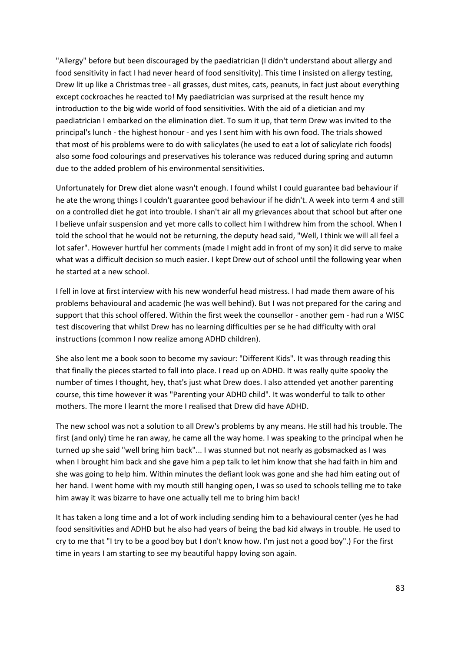"Allergy" before but been discouraged by the paediatrician (I didn't understand about allergy and food sensitivity in fact I had never heard of food sensitivity). This time I insisted on allergy testing, Drew lit up like a Christmas tree - all grasses, dust mites, cats, peanuts, in fact just about everything except cockroaches he reacted to! My paediatrician was surprised at the result hence my introduction to the big wide world of food sensitivities. With the aid of a dietician and my paediatrician I embarked on the elimination diet. To sum it up, that term Drew was invited to the principal's lunch - the highest honour - and yes I sent him with his own food. The trials showed that most of his problems were to do with salicylates (he used to eat a lot of salicylate rich foods) also some food colourings and preservatives his tolerance was reduced during spring and autumn due to the added problem of his environmental sensitivities.

Unfortunately for Drew diet alone wasn't enough. I found whilst I could guarantee bad behaviour if he ate the wrong things I couldn't guarantee good behaviour if he didn't. A week into term 4 and still on a controlled diet he got into trouble. I shan't air all my grievances about that school but after one I believe unfair suspension and yet more calls to collect him I withdrew him from the school. When I told the school that he would not be returning, the deputy head said, "Well, I think we will all feel a lot safer". However hurtful her comments (made I might add in front of my son) it did serve to make what was a difficult decision so much easier. I kept Drew out of school until the following year when he started at a new school.

I fell in love at first interview with his new wonderful head mistress. I had made them aware of his problems behavioural and academic (he was well behind). But I was not prepared for the caring and support that this school offered. Within the first week the counsellor - another gem - had run a WISC test discovering that whilst Drew has no learning difficulties per se he had difficulty with oral instructions (common I now realize among ADHD children).

She also lent me a book soon to become my saviour: "Different Kids". It was through reading this that finally the pieces started to fall into place. I read up on ADHD. It was really quite spooky the number of times I thought, hey, that's just what Drew does. I also attended yet another parenting course, this time however it was "Parenting your ADHD child". It was wonderful to talk to other mothers. The more I learnt the more I realised that Drew did have ADHD.

The new school was not a solution to all Drew's problems by any means. He still had his trouble. The first (and only) time he ran away, he came all the way home. I was speaking to the principal when he turned up she said "well bring him back"... I was stunned but not nearly as gobsmacked as I was when I brought him back and she gave him a pep talk to let him know that she had faith in him and she was going to help him. Within minutes the defiant look was gone and she had him eating out of her hand. I went home with my mouth still hanging open, I was so used to schools telling me to take him away it was bizarre to have one actually tell me to bring him back!

It has taken a long time and a lot of work including sending him to a behavioural center (yes he had food sensitivities and ADHD but he also had years of being the bad kid always in trouble. He used to cry to me that "I try to be a good boy but I don't know how. I'm just not a good boy".) For the first time in years I am starting to see my beautiful happy loving son again.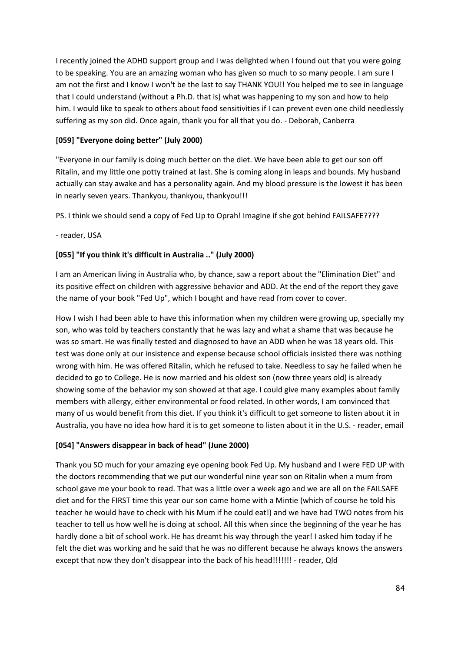I recently joined the ADHD support group and I was delighted when I found out that you were going to be speaking. You are an amazing woman who has given so much to so many people. I am sure I am not the first and I know I won't be the last to say THANK YOU!! You helped me to see in language that I could understand (without a Ph.D. that is) what was happening to my son and how to help him. I would like to speak to others about food sensitivities if I can prevent even one child needlessly suffering as my son did. Once again, thank you for all that you do. - Deborah, Canberra

## **[059] "Everyone doing better" (July 2000)**

"Everyone in our family is doing much better on the diet. We have been able to get our son off Ritalin, and my little one potty trained at last. She is coming along in leaps and bounds. My husband actually can stay awake and has a personality again. And my blood pressure is the lowest it has been in nearly seven years. Thankyou, thankyou, thankyou!!!

PS. I think we should send a copy of Fed Up to Oprah! Imagine if she got behind FAILSAFE????

- reader, USA

## **[055] "If you think it's difficult in Australia .." (July 2000)**

I am an American living in Australia who, by chance, saw a report about the "Elimination Diet" and its positive effect on children with aggressive behavior and ADD. At the end of the report they gave the name of your book "Fed Up", which I bought and have read from cover to cover.

How I wish I had been able to have this information when my children were growing up, specially my son, who was told by teachers constantly that he was lazy and what a shame that was because he was so smart. He was finally tested and diagnosed to have an ADD when he was 18 years old. This test was done only at our insistence and expense because school officials insisted there was nothing wrong with him. He was offered Ritalin, which he refused to take. Needless to say he failed when he decided to go to College. He is now married and his oldest son (now three years old) is already showing some of the behavior my son showed at that age. I could give many examples about family members with allergy, either environmental or food related. In other words, I am convinced that many of us would benefit from this diet. If you think it's difficult to get someone to listen about it in Australia, you have no idea how hard it is to get someone to listen about it in the U.S. - reader, email

## **[054] "Answers disappear in back of head" (June 2000)**

Thank you SO much for your amazing eye opening book Fed Up. My husband and I were FED UP with the doctors recommending that we put our wonderful nine year son on Ritalin when a mum from school gave me your book to read. That was a little over a week ago and we are all on the FAILSAFE diet and for the FIRST time this year our son came home with a Mintie (which of course he told his teacher he would have to check with his Mum if he could eat!) and we have had TWO notes from his teacher to tell us how well he is doing at school. All this when since the beginning of the year he has hardly done a bit of school work. He has dreamt his way through the year! I asked him today if he felt the diet was working and he said that he was no different because he always knows the answers except that now they don't disappear into the back of his head!!!!!!! - reader, Qld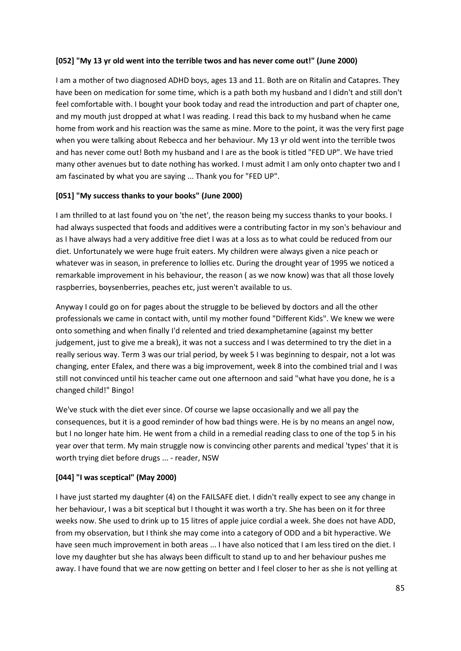#### **[052] "My 13 yr old went into the terrible twos and has never come out!" (June 2000)**

I am a mother of two diagnosed ADHD boys, ages 13 and 11. Both are on Ritalin and Catapres. They have been on medication for some time, which is a path both my husband and I didn't and still don't feel comfortable with. I bought your book today and read the introduction and part of chapter one, and my mouth just dropped at what I was reading. I read this back to my husband when he came home from work and his reaction was the same as mine. More to the point, it was the very first page when you were talking about Rebecca and her behaviour. My 13 yr old went into the terrible twos and has never come out! Both my husband and I are as the book is titled "FED UP". We have tried many other avenues but to date nothing has worked. I must admit I am only onto chapter two and I am fascinated by what you are saying ... Thank you for "FED UP".

## **[051] "My success thanks to your books" (June 2000)**

I am thrilled to at last found you on 'the net', the reason being my success thanks to your books. I had always suspected that foods and additives were a contributing factor in my son's behaviour and as I have always had a very additive free diet I was at a loss as to what could be reduced from our diet. Unfortunately we were huge fruit eaters. My children were always given a nice peach or whatever was in season, in preference to lollies etc. During the drought year of 1995 we noticed a remarkable improvement in his behaviour, the reason ( as we now know) was that all those lovely raspberries, boysenberries, peaches etc, just weren't available to us.

Anyway I could go on for pages about the struggle to be believed by doctors and all the other professionals we came in contact with, until my mother found "Different Kids". We knew we were onto something and when finally I'd relented and tried dexamphetamine (against my better judgement, just to give me a break), it was not a success and I was determined to try the diet in a really serious way. Term 3 was our trial period, by week 5 I was beginning to despair, not a lot was changing, enter Efalex, and there was a big improvement, week 8 into the combined trial and I was still not convinced until his teacher came out one afternoon and said "what have you done, he is a changed child!" Bingo!

We've stuck with the diet ever since. Of course we lapse occasionally and we all pay the consequences, but it is a good reminder of how bad things were. He is by no means an angel now, but I no longer hate him. He went from a child in a remedial reading class to one of the top 5 in his year over that term. My main struggle now is convincing other parents and medical 'types' that it is worth trying diet before drugs ... - reader, NSW

## **[044] "I was sceptical" (May 2000)**

I have just started my daughter (4) on the FAILSAFE diet. I didn't really expect to see any change in her behaviour, I was a bit sceptical but I thought it was worth a try. She has been on it for three weeks now. She used to drink up to 15 litres of apple juice cordial a week. She does not have ADD, from my observation, but I think she may come into a category of ODD and a bit hyperactive. We have seen much improvement in both areas ... I have also noticed that I am less tired on the diet. I love my daughter but she has always been difficult to stand up to and her behaviour pushes me away. I have found that we are now getting on better and I feel closer to her as she is not yelling at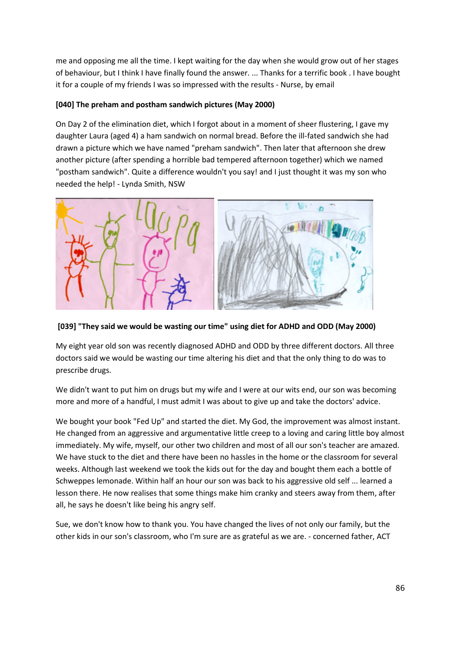me and opposing me all the time. I kept waiting for the day when she would grow out of her stages of behaviour, but I think I have finally found the answer. ... Thanks for a terrific book . I have bought it for a couple of my friends I was so impressed with the results - Nurse, by email

## **[040] The preham and postham sandwich pictures (May 2000)**

On Day 2 of the elimination diet, which I forgot about in a moment of sheer flustering, I gave my daughter Laura (aged 4) a ham sandwich on normal bread. Before the ill-fated sandwich she had drawn a picture which we have named "preham sandwich". Then later that afternoon she drew another picture (after spending a horrible bad tempered afternoon together) which we named "postham sandwich". Quite a difference wouldn't you say! and I just thought it was my son who needed the help! - Lynda Smith, NSW



**[039] "They said we would be wasting our time" using diet for ADHD and ODD (May 2000)**

My eight year old son was recently diagnosed ADHD and ODD by three different doctors. All three doctors said we would be wasting our time altering his diet and that the only thing to do was to prescribe drugs.

We didn't want to put him on drugs but my wife and I were at our wits end, our son was becoming more and more of a handful, I must admit I was about to give up and take the doctors' advice.

We bought your book "Fed Up" and started the diet. My God, the improvement was almost instant. He changed from an aggressive and argumentative little creep to a loving and caring little boy almost immediately. My wife, myself, our other two children and most of all our son's teacher are amazed. We have stuck to the diet and there have been no hassles in the home or the classroom for several weeks. Although last weekend we took the kids out for the day and bought them each a bottle of Schweppes lemonade. Within half an hour our son was back to his aggressive old self ... learned a lesson there. He now realises that some things make him cranky and steers away from them, after all, he says he doesn't like being his angry self.

Sue, we don't know how to thank you. You have changed the lives of not only our family, but the other kids in our son's classroom, who I'm sure are as grateful as we are. - concerned father, ACT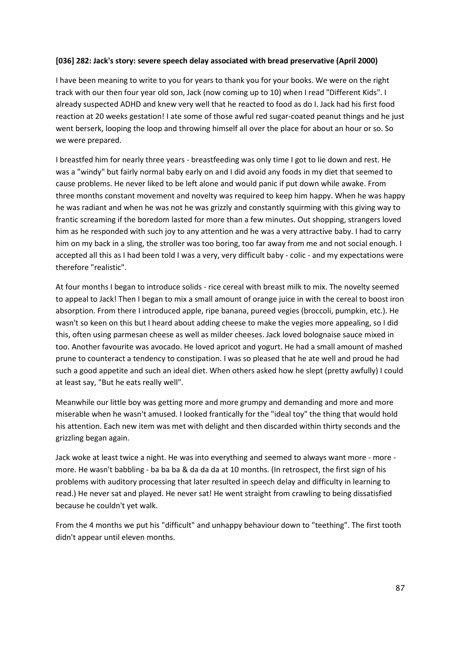#### **[036] 282: Jack's story: severe speech delay associated with bread preservative (April 2000)**

I have been meaning to write to you for years to thank you for your books. We were on the right track with our then four year old son, Jack (now coming up to 10) when I read "Different Kids". I already suspected ADHD and knew very well that he reacted to food as do I. Jack had his first food reaction at 20 weeks gestation! I ate some of those awful red sugar-coated peanut things and he just went berserk, looping the loop and throwing himself all over the place for about an hour or so. So we were prepared.

I breastfed him for nearly three years - breastfeeding was only time I got to lie down and rest. He was a "windy" but fairly normal baby early on and I did avoid any foods in my diet that seemed to cause problems. He never liked to be left alone and would panic if put down while awake. From three months constant movement and novelty was required to keep him happy. When he was happy he was radiant and when he was not he was grizzly and constantly squirming with this giving way to frantic screaming if the boredom lasted for more than a few minutes. Out shopping, strangers loved him as he responded with such joy to any attention and he was a very attractive baby. I had to carry him on my back in a sling, the stroller was too boring, too far away from me and not social enough. I accepted all this as I had been told I was a very, very difficult baby - colic - and my expectations were therefore "realistic".

At four months I began to introduce solids - rice cereal with breast milk to mix. The novelty seemed to appeal to Jack! Then I began to mix a small amount of orange juice in with the cereal to boost iron absorption. From there I introduced apple, ripe banana, pureed vegies (broccoli, pumpkin, etc.). He wasn't so keen on this but I heard about adding cheese to make the vegies more appealing, so I did this, often using parmesan cheese as well as milder cheeses. Jack loved bolognaise sauce mixed in too. Another favourite was avocado. He loved apricot and yogurt. He had a small amount of mashed prune to counteract a tendency to constipation. I was so pleased that he ate well and proud he had such a good appetite and such an ideal diet. When others asked how he slept (pretty awfully) I could at least say, "But he eats really well".

Meanwhile our little boy was getting more and more grumpy and demanding and more and more miserable when he wasn't amused. I looked frantically for the "ideal toy" the thing that would hold his attention. Each new item was met with delight and then discarded within thirty seconds and the grizzling began again.

Jack woke at least twice a night. He was into everything and seemed to always want more - more more. He wasn't babbling - ba ba ba & da da da at 10 months. (In retrospect, the first sign of his problems with auditory processing that later resulted in speech delay and difficulty in learning to read.) He never sat and played. He never sat! He went straight from crawling to being dissatisfied because he couldn't yet walk.

From the 4 months we put his "difficult" and unhappy behaviour down to "teething". The first tooth didn't appear until eleven months.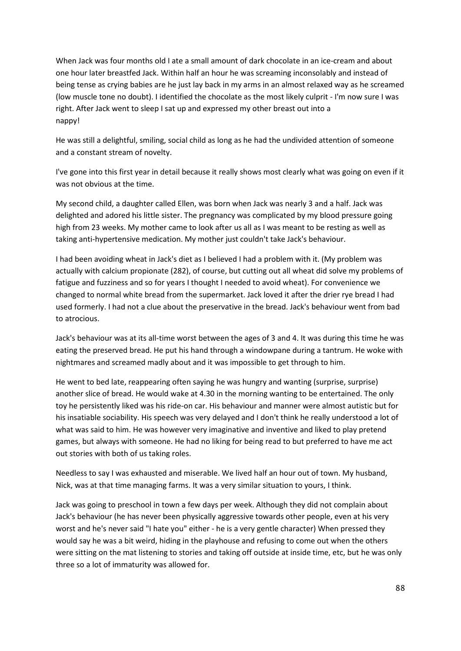When Jack was four months old I ate a small amount of dark chocolate in an ice-cream and about one hour later breastfed Jack. Within half an hour he was screaming inconsolably and instead of being tense as crying babies are he just lay back in my arms in an almost relaxed way as he screamed (low muscle tone no doubt). I identified the chocolate as the most likely culprit - I'm now sure I was right. After Jack went to sleep I sat up and expressed my other breast out into a nappy!

He was still a delightful, smiling, social child as long as he had the undivided attention of someone and a constant stream of novelty.

I've gone into this first year in detail because it really shows most clearly what was going on even if it was not obvious at the time.

My second child, a daughter called Ellen, was born when Jack was nearly 3 and a half. Jack was delighted and adored his little sister. The pregnancy was complicated by my blood pressure going high from 23 weeks. My mother came to look after us all as I was meant to be resting as well as taking anti-hypertensive medication. My mother just couldn't take Jack's behaviour.

I had been avoiding wheat in Jack's diet as I believed I had a problem with it. (My problem was actually with calcium propionate (282), of course, but cutting out all wheat did solve my problems of fatigue and fuzziness and so for years I thought I needed to avoid wheat). For convenience we changed to normal white bread from the supermarket. Jack loved it after the drier rye bread I had used formerly. I had not a clue about the preservative in the bread. Jack's behaviour went from bad to atrocious.

Jack's behaviour was at its all-time worst between the ages of 3 and 4. It was during this time he was eating the preserved bread. He put his hand through a windowpane during a tantrum. He woke with nightmares and screamed madly about and it was impossible to get through to him.

He went to bed late, reappearing often saying he was hungry and wanting (surprise, surprise) another slice of bread. He would wake at 4.30 in the morning wanting to be entertained. The only toy he persistently liked was his ride-on car. His behaviour and manner were almost autistic but for his insatiable sociability. His speech was very delayed and I don't think he really understood a lot of what was said to him. He was however very imaginative and inventive and liked to play pretend games, but always with someone. He had no liking for being read to but preferred to have me act out stories with both of us taking roles.

Needless to say I was exhausted and miserable. We lived half an hour out of town. My husband, Nick, was at that time managing farms. It was a very similar situation to yours, I think.

Jack was going to preschool in town a few days per week. Although they did not complain about Jack's behaviour (he has never been physically aggressive towards other people, even at his very worst and he's never said "I hate you" either - he is a very gentle character) When pressed they would say he was a bit weird, hiding in the playhouse and refusing to come out when the others were sitting on the mat listening to stories and taking off outside at inside time, etc, but he was only three so a lot of immaturity was allowed for.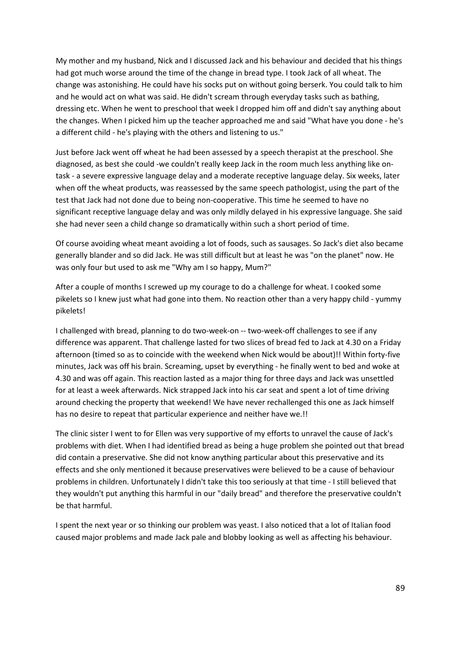My mother and my husband, Nick and I discussed Jack and his behaviour and decided that his things had got much worse around the time of the change in bread type. I took Jack of all wheat. The change was astonishing. He could have his socks put on without going berserk. You could talk to him and he would act on what was said. He didn't scream through everyday tasks such as bathing, dressing etc. When he went to preschool that week I dropped him off and didn't say anything about the changes. When I picked him up the teacher approached me and said "What have you done - he's a different child - he's playing with the others and listening to us."

Just before Jack went off wheat he had been assessed by a speech therapist at the preschool. She diagnosed, as best she could -we couldn't really keep Jack in the room much less anything like ontask - a severe expressive language delay and a moderate receptive language delay. Six weeks, later when off the wheat products, was reassessed by the same speech pathologist, using the part of the test that Jack had not done due to being non-cooperative. This time he seemed to have no significant receptive language delay and was only mildly delayed in his expressive language. She said she had never seen a child change so dramatically within such a short period of time.

Of course avoiding wheat meant avoiding a lot of foods, such as sausages. So Jack's diet also became generally blander and so did Jack. He was still difficult but at least he was "on the planet" now. He was only four but used to ask me "Why am I so happy, Mum?"

After a couple of months I screwed up my courage to do a challenge for wheat. I cooked some pikelets so I knew just what had gone into them. No reaction other than a very happy child - yummy pikelets!

I challenged with bread, planning to do two-week-on -- two-week-off challenges to see if any difference was apparent. That challenge lasted for two slices of bread fed to Jack at 4.30 on a Friday afternoon (timed so as to coincide with the weekend when Nick would be about)!! Within forty-five minutes, Jack was off his brain. Screaming, upset by everything - he finally went to bed and woke at 4.30 and was off again. This reaction lasted as a major thing for three days and Jack was unsettled for at least a week afterwards. Nick strapped Jack into his car seat and spent a lot of time driving around checking the property that weekend! We have never rechallenged this one as Jack himself has no desire to repeat that particular experience and neither have we.!!

The clinic sister I went to for Ellen was very supportive of my efforts to unravel the cause of Jack's problems with diet. When I had identified bread as being a huge problem she pointed out that bread did contain a preservative. She did not know anything particular about this preservative and its effects and she only mentioned it because preservatives were believed to be a cause of behaviour problems in children. Unfortunately I didn't take this too seriously at that time - I still believed that they wouldn't put anything this harmful in our "daily bread" and therefore the preservative couldn't be that harmful.

I spent the next year or so thinking our problem was yeast. I also noticed that a lot of Italian food caused major problems and made Jack pale and blobby looking as well as affecting his behaviour.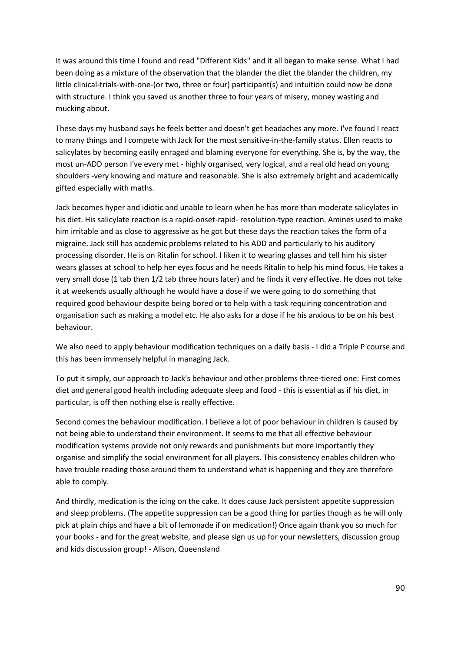It was around this time I found and read "Different Kids" and it all began to make sense. What I had been doing as a mixture of the observation that the blander the diet the blander the children, my little clinical-trials-with-one-(or two, three or four) participant(s) and intuition could now be done with structure. I think you saved us another three to four years of misery, money wasting and mucking about.

These days my husband says he feels better and doesn't get headaches any more. I've found I react to many things and I compete with Jack for the most sensitive-in-the-family status. Ellen reacts to salicylates by becoming easily enraged and blaming everyone for everything. She is, by the way, the most un-ADD person I've every met - highly organised, very logical, and a real old head on young shoulders -very knowing and mature and reasonable. She is also extremely bright and academically gifted especially with maths.

Jack becomes hyper and idiotic and unable to learn when he has more than moderate salicylates in his diet. His salicylate reaction is a rapid-onset-rapid- resolution-type reaction. Amines used to make him irritable and as close to aggressive as he got but these days the reaction takes the form of a migraine. Jack still has academic problems related to his ADD and particularly to his auditory processing disorder. He is on Ritalin for school. I liken it to wearing glasses and tell him his sister wears glasses at school to help her eyes focus and he needs Ritalin to help his mind focus. He takes a very small dose (1 tab then 1/2 tab three hours later) and he finds it very effective. He does not take it at weekends usually although he would have a dose if we were going to do something that required good behaviour despite being bored or to help with a task requiring concentration and organisation such as making a model etc. He also asks for a dose if he his anxious to be on his best behaviour.

We also need to apply behaviour modification techniques on a daily basis - I did a Triple P course and this has been immensely helpful in managing Jack.

To put it simply, our approach to Jack's behaviour and other problems three-tiered one: First comes diet and general good health including adequate sleep and food - this is essential as if his diet, in particular, is off then nothing else is really effective.

Second comes the behaviour modification. I believe a lot of poor behaviour in children is caused by not being able to understand their environment. It seems to me that all effective behaviour modification systems provide not only rewards and punishments but more importantly they organise and simplify the social environment for all players. This consistency enables children who have trouble reading those around them to understand what is happening and they are therefore able to comply.

And thirdly, medication is the icing on the cake. It does cause Jack persistent appetite suppression and sleep problems. (The appetite suppression can be a good thing for parties though as he will only pick at plain chips and have a bit of lemonade if on medication!) Once again thank you so much for your books - and for the great website, and please sign us up for your newsletters, discussion group and kids discussion group! - Alison, Queensland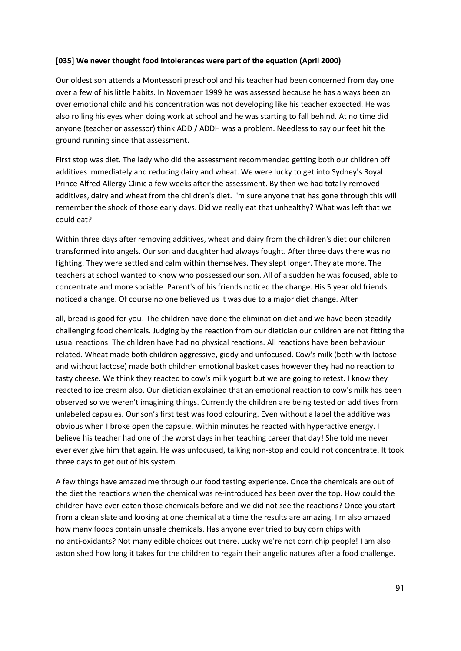#### **[035] We never thought food intolerances were part of the equation (April 2000)**

Our oldest son attends a Montessori preschool and his teacher had been concerned from day one over a few of his little habits. In November 1999 he was assessed because he has always been an over emotional child and his concentration was not developing like his teacher expected. He was also rolling his eyes when doing work at school and he was starting to fall behind. At no time did anyone (teacher or assessor) think ADD / ADDH was a problem. Needless to say our feet hit the ground running since that assessment.

First stop was diet. The lady who did the assessment recommended getting both our children off additives immediately and reducing dairy and wheat. We were lucky to get into Sydney's Royal Prince Alfred Allergy Clinic a few weeks after the assessment. By then we had totally removed additives, dairy and wheat from the children's diet. I'm sure anyone that has gone through this will remember the shock of those early days. Did we really eat that unhealthy? What was left that we could eat?

Within three days after removing additives, wheat and dairy from the children's diet our children transformed into angels. Our son and daughter had always fought. After three days there was no fighting. They were settled and calm within themselves. They slept longer. They ate more. The teachers at school wanted to know who possessed our son. All of a sudden he was focused, able to concentrate and more sociable. Parent's of his friends noticed the change. His 5 year old friends noticed a change. Of course no one believed us it was due to a major diet change. After

all, bread is good for you! The children have done the elimination diet and we have been steadily challenging food chemicals. Judging by the reaction from our dietician our children are not fitting the usual reactions. The children have had no physical reactions. All reactions have been behaviour related. Wheat made both children aggressive, giddy and unfocused. Cow's milk (both with lactose and without lactose) made both children emotional basket cases however they had no reaction to tasty cheese. We think they reacted to cow's milk yogurt but we are going to retest. I know they reacted to ice cream also. Our dietician explained that an emotional reaction to cow's milk has been observed so we weren't imagining things. Currently the children are being tested on additives from unlabeled capsules. Our son's first test was food colouring. Even without a label the additive was obvious when I broke open the capsule. Within minutes he reacted with hyperactive energy. I believe his teacher had one of the worst days in her teaching career that day! She told me never ever ever give him that again. He was unfocused, talking non-stop and could not concentrate. It took three days to get out of his system.

A few things have amazed me through our food testing experience. Once the chemicals are out of the diet the reactions when the chemical was re-introduced has been over the top. How could the children have ever eaten those chemicals before and we did not see the reactions? Once you start from a clean slate and looking at one chemical at a time the results are amazing. I'm also amazed how many foods contain unsafe chemicals. Has anyone ever tried to buy corn chips with no anti-oxidants? Not many edible choices out there. Lucky we're not corn chip people! I am also astonished how long it takes for the children to regain their angelic natures after a food challenge.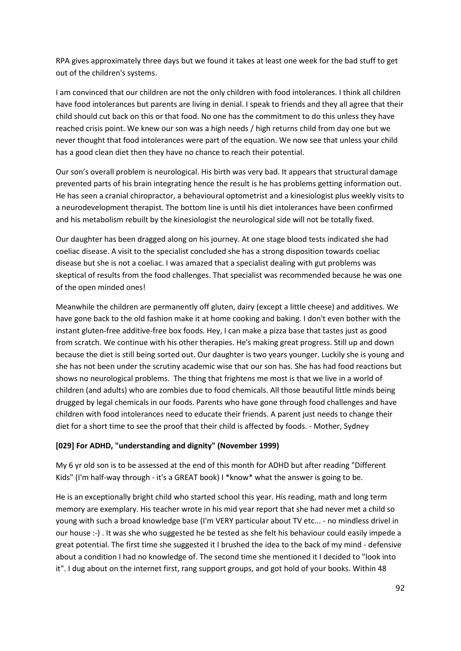RPA gives approximately three days but we found it takes at least one week for the bad stuff to get out of the children's systems.

I am convinced that our children are not the only children with food intolerances. I think all children have food intolerances but parents are living in denial. I speak to friends and they all agree that their child should cut back on this or that food. No one has the commitment to do this unless they have reached crisis point. We knew our son was a high needs / high returns child from day one but we never thought that food intolerances were part of the equation. We now see that unless your child has a good clean diet then they have no chance to reach their potential.

Our son's overall problem is neurological. His birth was very bad. It appears that structural damage prevented parts of his brain integrating hence the result is he has problems getting information out. He has seen a cranial chiropractor, a behavioural optometrist and a kinesiologist plus weekly visits to a neurodevelopment therapist. The bottom line is until his diet intolerances have been confirmed and his metabolism rebuilt by the kinesiologist the neurological side will not be totally fixed.

Our daughter has been dragged along on his journey. At one stage blood tests indicated she had coeliac disease. A visit to the specialist concluded she has a strong disposition towards coeliac disease but she is not a coeliac. I was amazed that a specialist dealing with gut problems was skeptical of results from the food challenges. That specialist was recommended because he was one of the open minded ones!

Meanwhile the children are permanently off gluten, dairy (except a little cheese) and additives. We have gone back to the old fashion make it at home cooking and baking. I don't even bother with the instant gluten-free additive-free box foods. Hey, I can make a pizza base that tastes just as good from scratch. We continue with his other therapies. He's making great progress. Still up and down because the diet is still being sorted out. Our daughter is two years younger. Luckily she is young and she has not been under the scrutiny academic wise that our son has. She has had food reactions but shows no neurological problems. The thing that frightens me most is that we live in a world of children (and adults) who are zombies due to food chemicals. All those beautiful little minds being drugged by legal chemicals in our foods. Parents who have gone through food challenges and have children with food intolerances need to educate their friends. A parent just needs to change their diet for a short time to see the proof that their child is affected by foods. - Mother, Sydney

## **[029] For ADHD, "understanding and dignity" (November 1999)**

My 6 yr old son is to be assessed at the end of this month for ADHD but after reading "Different Kids" (I'm half-way through - it's a GREAT book) I \*know\* what the answer is going to be.

He is an exceptionally bright child who started school this year. His reading, math and long term memory are exemplary. His teacher wrote in his mid year report that she had never met a child so young with such a broad knowledge base (I'm VERY particular about TV etc... - no mindless drivel in our house :-) . It was she who suggested he be tested as she felt his behaviour could easily impede a great potential. The first time she suggested it I brushed the idea to the back of my mind - defensive about a condition I had no knowledge of. The second time she mentioned it I decided to "look into it". I dug about on the internet first, rang support groups, and got hold of your books. Within 48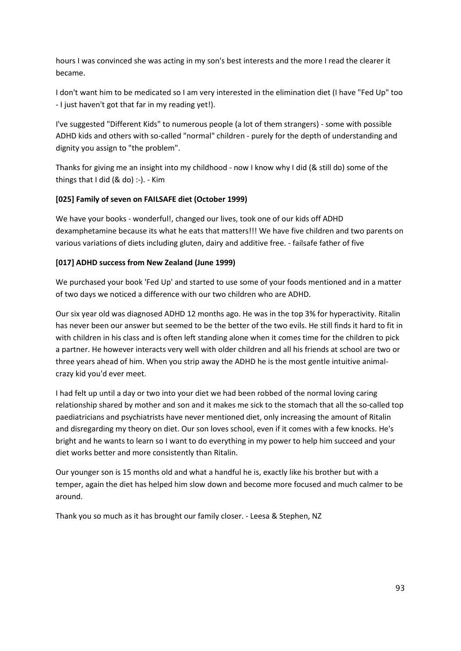hours I was convinced she was acting in my son's best interests and the more I read the clearer it became.

I don't want him to be medicated so I am very interested in the elimination diet (I have "Fed Up" too - I just haven't got that far in my reading yet!).

I've suggested "Different Kids" to numerous people (a lot of them strangers) - some with possible ADHD kids and others with so-called "normal" children - purely for the depth of understanding and dignity you assign to "the problem".

Thanks for giving me an insight into my childhood - now I know why I did (& still do) some of the things that I did  $(8$  do) :-). - Kim

## **[025] Family of seven on FAILSAFE diet (October 1999)**

We have your books - wonderful!, changed our lives, took one of our kids off ADHD dexamphetamine because its what he eats that matters!!! We have five children and two parents on various variations of diets including gluten, dairy and additive free. - failsafe father of five

## **[017] ADHD success from New Zealand (June 1999)**

We purchased your book 'Fed Up' and started to use some of your foods mentioned and in a matter of two days we noticed a difference with our two children who are ADHD.

Our six year old was diagnosed ADHD 12 months ago. He was in the top 3% for hyperactivity. Ritalin has never been our answer but seemed to be the better of the two evils. He still finds it hard to fit in with children in his class and is often left standing alone when it comes time for the children to pick a partner. He however interacts very well with older children and all his friends at school are two or three years ahead of him. When you strip away the ADHD he is the most gentle intuitive animalcrazy kid you'd ever meet.

I had felt up until a day or two into your diet we had been robbed of the normal loving caring relationship shared by mother and son and it makes me sick to the stomach that all the so-called top paediatricians and psychiatrists have never mentioned diet, only increasing the amount of Ritalin and disregarding my theory on diet. Our son loves school, even if it comes with a few knocks. He's bright and he wants to learn so I want to do everything in my power to help him succeed and your diet works better and more consistently than Ritalin.

Our younger son is 15 months old and what a handful he is, exactly like his brother but with a temper, again the diet has helped him slow down and become more focused and much calmer to be around.

Thank you so much as it has brought our family closer. - Leesa & Stephen, NZ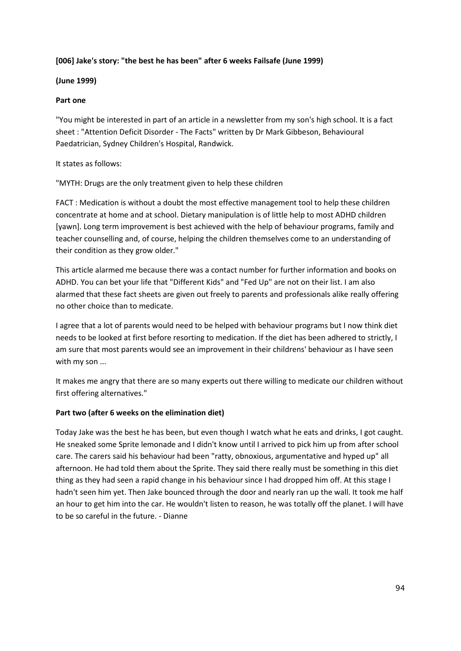#### **[006] Jake's story: "the best he has been" after 6 weeks Failsafe (June 1999)**

#### **(June 1999)**

#### **Part one**

"You might be interested in part of an article in a newsletter from my son's high school. It is a fact sheet : "Attention Deficit Disorder - The Facts" written by Dr Mark Gibbeson, Behavioural Paedatrician, Sydney Children's Hospital, Randwick.

#### It states as follows:

"MYTH: Drugs are the only treatment given to help these children

FACT : Medication is without a doubt the most effective management tool to help these children concentrate at home and at school. Dietary manipulation is of little help to most ADHD children [yawn]. Long term improvement is best achieved with the help of behaviour programs, family and teacher counselling and, of course, helping the children themselves come to an understanding of their condition as they grow older."

This article alarmed me because there was a contact number for further information and books on ADHD. You can bet your life that "Different Kids" and "Fed Up" are not on their list. I am also alarmed that these fact sheets are given out freely to parents and professionals alike really offering no other choice than to medicate.

I agree that a lot of parents would need to be helped with behaviour programs but I now think diet needs to be looked at first before resorting to medication. If the diet has been adhered to strictly, I am sure that most parents would see an improvement in their childrens' behaviour as I have seen with my son ...

It makes me angry that there are so many experts out there willing to medicate our children without first offering alternatives."

## **Part two (after 6 weeks on the elimination diet)**

Today Jake was the best he has been, but even though I watch what he eats and drinks, I got caught. He sneaked some Sprite lemonade and I didn't know until I arrived to pick him up from after school care. The carers said his behaviour had been "ratty, obnoxious, argumentative and hyped up" all afternoon. He had told them about the Sprite. They said there really must be something in this diet thing as they had seen a rapid change in his behaviour since I had dropped him off. At this stage I hadn't seen him yet. Then Jake bounced through the door and nearly ran up the wall. It took me half an hour to get him into the car. He wouldn't listen to reason, he was totally off the planet. I will have to be so careful in the future. - Dianne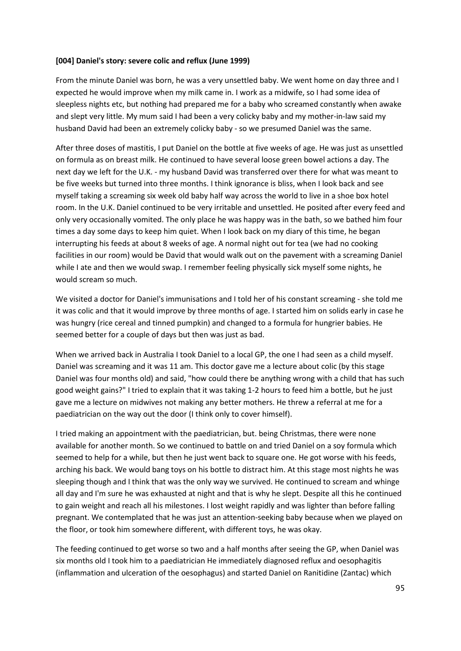#### **[004] Daniel's story: severe colic and reflux (June 1999)**

From the minute Daniel was born, he was a very unsettled baby. We went home on day three and I expected he would improve when my milk came in. I work as a midwife, so I had some idea of sleepless nights etc, but nothing had prepared me for a baby who screamed constantly when awake and slept very little. My mum said I had been a very colicky baby and my mother-in-law said my husband David had been an extremely colicky baby - so we presumed Daniel was the same.

After three doses of mastitis, I put Daniel on the bottle at five weeks of age. He was just as unsettled on formula as on breast milk. He continued to have several loose green bowel actions a day. The next day we left for the U.K. - my husband David was transferred over there for what was meant to be five weeks but turned into three months. I think ignorance is bliss, when I look back and see myself taking a screaming six week old baby half way across the world to live in a shoe box hotel room. In the U.K. Daniel continued to be very irritable and unsettled. He posited after every feed and only very occasionally vomited. The only place he was happy was in the bath, so we bathed him four times a day some days to keep him quiet. When I look back on my diary of this time, he began interrupting his feeds at about 8 weeks of age. A normal night out for tea (we had no cooking facilities in our room) would be David that would walk out on the pavement with a screaming Daniel while I ate and then we would swap. I remember feeling physically sick myself some nights, he would scream so much.

We visited a doctor for Daniel's immunisations and I told her of his constant screaming - she told me it was colic and that it would improve by three months of age. I started him on solids early in case he was hungry (rice cereal and tinned pumpkin) and changed to a formula for hungrier babies. He seemed better for a couple of days but then was just as bad.

When we arrived back in Australia I took Daniel to a local GP, the one I had seen as a child myself. Daniel was screaming and it was 11 am. This doctor gave me a lecture about colic (by this stage Daniel was four months old) and said, "how could there be anything wrong with a child that has such good weight gains?" I tried to explain that it was taking 1-2 hours to feed him a bottle, but he just gave me a lecture on midwives not making any better mothers. He threw a referral at me for a paediatrician on the way out the door (I think only to cover himself).

I tried making an appointment with the paediatrician, but. being Christmas, there were none available for another month. So we continued to battle on and tried Daniel on a soy formula which seemed to help for a while, but then he just went back to square one. He got worse with his feeds, arching his back. We would bang toys on his bottle to distract him. At this stage most nights he was sleeping though and I think that was the only way we survived. He continued to scream and whinge all day and I'm sure he was exhausted at night and that is why he slept. Despite all this he continued to gain weight and reach all his milestones. I lost weight rapidly and was lighter than before falling pregnant. We contemplated that he was just an attention-seeking baby because when we played on the floor, or took him somewhere different, with different toys, he was okay.

The feeding continued to get worse so two and a half months after seeing the GP, when Daniel was six months old I took him to a paediatrician He immediately diagnosed reflux and oesophagitis (inflammation and ulceration of the oesophagus) and started Daniel on Ranitidine (Zantac) which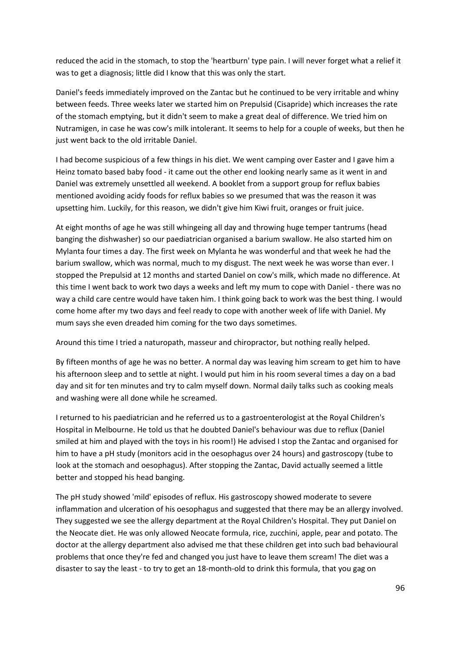reduced the acid in the stomach, to stop the 'heartburn' type pain. I will never forget what a relief it was to get a diagnosis; little did I know that this was only the start.

Daniel's feeds immediately improved on the Zantac but he continued to be very irritable and whiny between feeds. Three weeks later we started him on Prepulsid (Cisapride) which increases the rate of the stomach emptying, but it didn't seem to make a great deal of difference. We tried him on Nutramigen, in case he was cow's milk intolerant. It seems to help for a couple of weeks, but then he just went back to the old irritable Daniel.

I had become suspicious of a few things in his diet. We went camping over Easter and I gave him a Heinz tomato based baby food - it came out the other end looking nearly same as it went in and Daniel was extremely unsettled all weekend. A booklet from a support group for reflux babies mentioned avoiding acidy foods for reflux babies so we presumed that was the reason it was upsetting him. Luckily, for this reason, we didn't give him Kiwi fruit, oranges or fruit juice.

At eight months of age he was still whingeing all day and throwing huge temper tantrums (head banging the dishwasher) so our paediatrician organised a barium swallow. He also started him on Mylanta four times a day. The first week on Mylanta he was wonderful and that week he had the barium swallow, which was normal, much to my disgust. The next week he was worse than ever. I stopped the Prepulsid at 12 months and started Daniel on cow's milk, which made no difference. At this time I went back to work two days a weeks and left my mum to cope with Daniel - there was no way a child care centre would have taken him. I think going back to work was the best thing. I would come home after my two days and feel ready to cope with another week of life with Daniel. My mum says she even dreaded him coming for the two days sometimes.

Around this time I tried a naturopath, masseur and chiropractor, but nothing really helped.

By fifteen months of age he was no better. A normal day was leaving him scream to get him to have his afternoon sleep and to settle at night. I would put him in his room several times a day on a bad day and sit for ten minutes and try to calm myself down. Normal daily talks such as cooking meals and washing were all done while he screamed.

I returned to his paediatrician and he referred us to a gastroenterologist at the Royal Children's Hospital in Melbourne. He told us that he doubted Daniel's behaviour was due to reflux (Daniel smiled at him and played with the toys in his room!) He advised I stop the Zantac and organised for him to have a pH study (monitors acid in the oesophagus over 24 hours) and gastroscopy (tube to look at the stomach and oesophagus). After stopping the Zantac, David actually seemed a little better and stopped his head banging.

The pH study showed 'mild' episodes of reflux. His gastroscopy showed moderate to severe inflammation and ulceration of his oesophagus and suggested that there may be an allergy involved. They suggested we see the allergy department at the Royal Children's Hospital. They put Daniel on the Neocate diet. He was only allowed Neocate formula, rice, zucchini, apple, pear and potato. The doctor at the allergy department also advised me that these children get into such bad behavioural problems that once they're fed and changed you just have to leave them scream! The diet was a disaster to say the least - to try to get an 18-month-old to drink this formula, that you gag on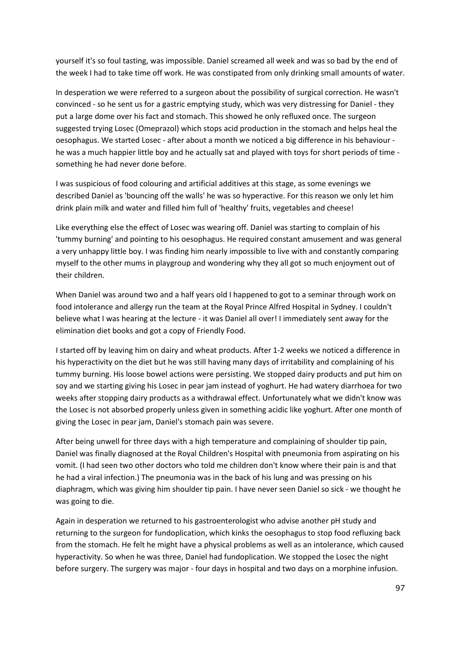yourself it's so foul tasting, was impossible. Daniel screamed all week and was so bad by the end of the week I had to take time off work. He was constipated from only drinking small amounts of water.

In desperation we were referred to a surgeon about the possibility of surgical correction. He wasn't convinced - so he sent us for a gastric emptying study, which was very distressing for Daniel - they put a large dome over his fact and stomach. This showed he only refluxed once. The surgeon suggested trying Losec (Omeprazol) which stops acid production in the stomach and helps heal the oesophagus. We started Losec - after about a month we noticed a big difference in his behaviour he was a much happier little boy and he actually sat and played with toys for short periods of time something he had never done before.

I was suspicious of food colouring and artificial additives at this stage, as some evenings we described Daniel as 'bouncing off the walls' he was so hyperactive. For this reason we only let him drink plain milk and water and filled him full of 'healthy' fruits, vegetables and cheese!

Like everything else the effect of Losec was wearing off. Daniel was starting to complain of his 'tummy burning' and pointing to his oesophagus. He required constant amusement and was general a very unhappy little boy. I was finding him nearly impossible to live with and constantly comparing myself to the other mums in playgroup and wondering why they all got so much enjoyment out of their children.

When Daniel was around two and a half years old I happened to got to a seminar through work on food intolerance and allergy run the team at the Royal Prince Alfred Hospital in Sydney. I couldn't believe what I was hearing at the lecture - it was Daniel all over! I immediately sent away for the elimination diet books and got a copy of Friendly Food.

I started off by leaving him on dairy and wheat products. After 1-2 weeks we noticed a difference in his hyperactivity on the diet but he was still having many days of irritability and complaining of his tummy burning. His loose bowel actions were persisting. We stopped dairy products and put him on soy and we starting giving his Losec in pear jam instead of yoghurt. He had watery diarrhoea for two weeks after stopping dairy products as a withdrawal effect. Unfortunately what we didn't know was the Losec is not absorbed properly unless given in something acidic like yoghurt. After one month of giving the Losec in pear jam, Daniel's stomach pain was severe.

After being unwell for three days with a high temperature and complaining of shoulder tip pain, Daniel was finally diagnosed at the Royal Children's Hospital with pneumonia from aspirating on his vomit. (I had seen two other doctors who told me children don't know where their pain is and that he had a viral infection.) The pneumonia was in the back of his lung and was pressing on his diaphragm, which was giving him shoulder tip pain. I have never seen Daniel so sick - we thought he was going to die.

Again in desperation we returned to his gastroenterologist who advise another pH study and returning to the surgeon for fundoplication, which kinks the oesophagus to stop food refluxing back from the stomach. He felt he might have a physical problems as well as an intolerance, which caused hyperactivity. So when he was three, Daniel had fundoplication. We stopped the Losec the night before surgery. The surgery was major - four days in hospital and two days on a morphine infusion.